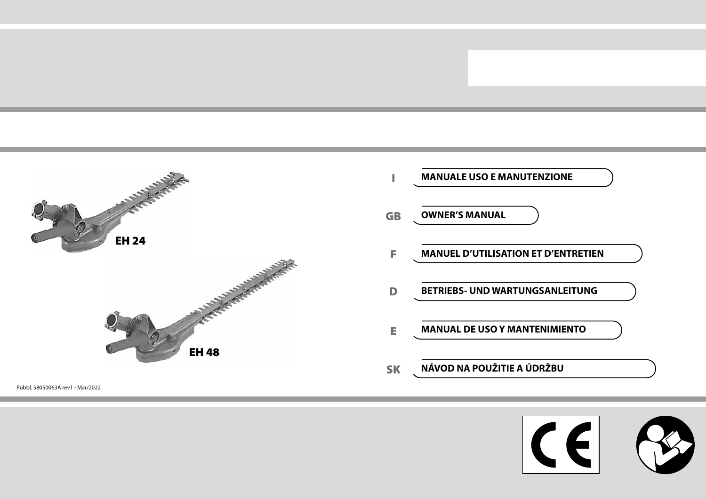

Pubbl. 58050063A rev1 - Mar/2022



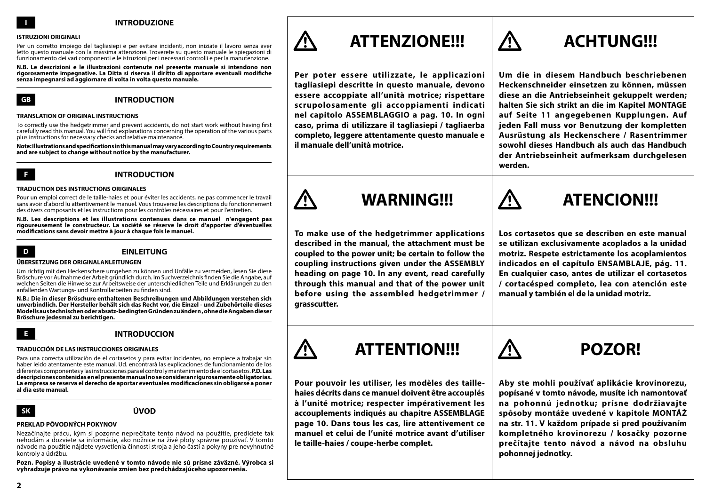### **I INTRODUZIONE**

### **ISTRUZIONI ORIGINALI**

Per un corretto impiego del tagliasiepi e per evitare incidenti, non iniziate il lavoro senza aver letto questo manuale con la massima attenzione. Troverete su questo manuale le spiegazioni di funzionamento dei vari componenti e le istruzioni per i necessari controlli e per la manutenzione.

**N.B. Le descrizioni e le illustrazioni contenute nel presente manuale si intendono non rigorosamente impegnative. La Ditta si riserva il diritto di apportare eventuali modifiche senza impegnarsi ad aggiornare di volta in volta questo manuale.**



**GB INTRODUCTION**

### **TRANSLATION OF ORIGINAL INSTRUCTIONS**

To correctly use the hedgetrimmer and prevent accidents, do not start work without having first carefully read this manual. You will find explanations concerning the operation of the various parts plus instructions for necessary checks and relative maintenance.

**Note: Illustrations and specifications in this manual may vary according to Country requirements and are subject to change without notice by the manufacturer.**



### **F INTRODUCTION**

### **TRADUCTION DES INSTRUCTIONS ORIGINALES**

Pour un emploi correct de le taille-haies et pour éviter les accidents, ne pas commencer le travail sans avoir d'abord lu attentivement le manuel. Vous trouverez les descriptions du fonctionnement des divers composants et les instructions pour les contrôles nécessaires et pour l'entretien.

**N.B. Les descriptions et les illustrations contenues dans ce manuel n'engagent pas rigoureusement le constructeur. La société se réserve le droit d'apporter d'éventuelles modifications sans devoir mettre à jour à chaque fois le manuel.**



### **D EINLEITUNG**

### **ÜBERSETZUNG DER ORIGINALANLEITUNGEN**

Um richtig mit den Heckenschere umgehen zu können und Unfälle zu vermeiden, lesen Sie diese Bröschure vor Aufnahme der Arbeit gründlich durch. Im Suchverzeichnis finden Sie die Angabe, auf welchen Seiten die Hinweise zur Arbeitsweise der unterschiedlichen Teile und Erklärungen zu den anfallenden Wartungs- und Kontrollarbeiten zu finden sind.

**N.B.: Die in dieser Bröschure enthaltenen Beschreibungen und Abbildungen verstehen sich unverbindlich. Der Hersteller behält sich das Recht vor, die Einzel - und Zubehörteile dieses Modells aus technischen oder absatz-bedingten Gründen zu ändern , ohne die Angaben dieser Bröschure jedesmal zu berichtigen.**

### **E INTRODUCCION**

### **TRADUCCIÓN DE LAS INSTRUCCIONES ORIGINALES**

Para una correcta utilizaciòn de el cortasetos y para evitar incidentes, no empiece a trabajar sin haber leido atentamente este manual. Ud. encontrarà las explicaciones de funcionamiento de los diferentes componentes y las instrucciones para el control y mantenimiento de el cortasetos. **P.D. Las descripciones contenidas en el presente manual no se consideran rigurosamente obligatorias. La empresa se reserva el derecho de aportar eventuales modificaciones sin obligarse a poner al dìa este manual.**

### **SK ÚVOD**

### **PREKLAD PÔVODNÝCH POKYNOV**

Nezačínajte prácu, kým si pozorne neprečítate tento návod na použitie, predídete tak nehodám a dozviete sa informácie, ako nožnice na živé ploty správne používať. V tomto návode na použitie nájdete vysvetlenia činnosti stroja a jeho častí a pokyny pre nevyhnutné kontroly a údržbu.

**Pozn. Popisy a ilustrácie uvedené v tomto návode nie sú prísne záväzné. Výrobca si vyhradzuje právo na vykonávanie zmien bez predchádzajúceho upozornenia.**



# **ATTENZIONE!!! ACHTUNG!!!**

**Per poter essere utilizzate, le applicazioni tagliasiepi descritte in questo manuale, devono essere accoppiate all'unità motrice; rispettare scrupolosamente gli accoppiamenti indicati nel capitolo ASSEMBLAGGIO a pag. 10. In ogni caso, prima di utilizzare il tagliasiepi / tagliaerba completo, leggere attentamente questo manuale e il manuale dell'unità motrice.**

**Um die in diesem Handbuch beschriebenen Heckenschneider einsetzen zu können, müssen diese an die Antriebseinheit gekuppelt werden; halten Sie sich strikt an die im Kapitel MONTAGE auf Seite 11 angegebenen Kupplungen. Auf jeden Fall muss vor Benutzung der kompletten Ausrüstung als Heckenschere / Rasentrimmer sowohl dieses Handbuch als auch das Handbuch der Antriebseinheit aufmerksam durchgelesen werden.**

**To make use of the hedgetrimmer applications described in the manual, the attachment must be coupled to the power unit; be certain to follow the coupling instructions given under the ASSEMBLY heading on page 10. In any event, read carefully through this manual and that of the power unit before using the assembled hedgetrimmer / grasscutter.**



**Los cortasetos que se describen en este manual se utilizan exclusivamente acoplados a la unidad motriz. Respete estrictamente los acoplamientos indicados en el capítulo ENSAMBLAJE, pág. 11. En cualquier caso, antes de utilizar el cortasetos / cortacésped completo, lea con atención este manual y también el de la unidad motriz.**



**Pour pouvoir les utiliser, les modèles des taillehaies décrits dans ce manuel doivent être accouplés à l'unité motrice; respecter impérativement les accouplements indiqués au chapitre ASSEMBLAGE page 10. Dans tous les cas, lire attentivement ce manuel et celui de l'unité motrice avant d'utiliser le taille-haies / coupe-herbe complet.**

**Aby ste mohli používať aplikácie krovinorezu, popísané v tomto návode, musíte ich namontovať na pohonnú jednotku; prísne dodržiavajte spôsoby montáže uvedené v kapitole MONTÁŽ na str. 11. V každom prípade si pred používaním kompletného krovinorezu / kosačky pozorne prečítajte tento návod a návod na obsluhu pohonnej jednotky.**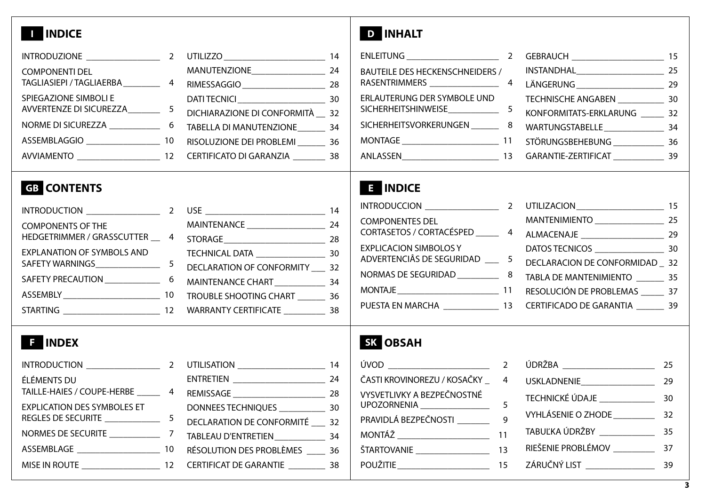# **I INDICE D INHALT**

|                                   |                                                                                    | 14 |
|-----------------------------------|------------------------------------------------------------------------------------|----|
| <b>COMPONENTI DEL</b>             | MANUTENZIONE_________________                                                      | 24 |
|                                   | TAGLIASIEPI / TAGLIAERBA_____________ 4 RIMESSAGGIO ___________________________ 28 |    |
| SPIEGAZIONE SIMBOLI E             |                                                                                    |    |
| AVVERTENZE DI SICUREZZA_________5 | DICHIARAZIONE DI CONFORMITÀ __ 32                                                  |    |
|                                   | NORME DI SICUREZZA _________________6 TABELLA DI MANUTENZIONE __________ 34        |    |
|                                   |                                                                                    |    |
|                                   |                                                                                    |    |

| BAUTEILE DES HECKENSCHNEIDERS /                                              |  |  |
|------------------------------------------------------------------------------|--|--|
|                                                                              |  |  |
| ERLAUTERUNG DER SYMBOLE UND                                                  |  |  |
|                                                                              |  |  |
| SICHERHEITSVORKERUNGEN __________ 8 WARTUNGSTABELLE _____________________ 34 |  |  |
|                                                                              |  |  |
|                                                                              |  |  |

# **GB CONTENTS E INDICE**

| INTRODUCTION _________________ | $\overline{2}$ |                                  | 14 |
|--------------------------------|----------------|----------------------------------|----|
| <b>COMPONENTS OF THE</b>       |                | MAINTENANCE ____________________ | 24 |
|                                |                |                                  |    |
| EXPLANATION OF SYMBOLS AND     |                |                                  |    |
|                                |                | DECLARATION OF CONFORMITY 32     |    |
|                                |                |                                  |    |
|                                |                |                                  |    |
|                                |                |                                  |    |
|                                |                |                                  |    |

| <b>COMPONENTES DEL</b>                                                        |  |  |
|-------------------------------------------------------------------------------|--|--|
| CORTASETOS / CORTACÉSPED _________ 4 ALMACENAJE __________________________ 29 |  |  |
|                                                                               |  |  |
|                                                                               |  |  |
|                                                                               |  |  |
|                                                                               |  |  |
| PUESTA EN MARCHA _________________ 13 CERTIFICADO DE GARANTIA ________ 39     |  |  |

|                                    |                                       | -14 |
|------------------------------------|---------------------------------------|-----|
| ÉLÉMENTS DU                        |                                       | 24  |
| TAILLE-HAIES / COUPE-HERBE 4       |                                       |     |
| <b>EXPLICATION DES SYMBOLES ET</b> | DONNEES TECHNIQUES _______________ 30 |     |
|                                    | DECLARATION DE CONFORMITÉ 32          |     |
|                                    | TABLEAU D'ENTRETIEN 34                |     |
|                                    |                                       |     |
|                                    |                                       |     |
|                                    |                                       |     |

# **F INDEX SK OBSAH**

|                                                            | $\overline{\phantom{0}}$ |
|------------------------------------------------------------|--------------------------|
| ČASTI KROVINOREZU / KOSAČKY                                | 4                        |
| VYSVETLIVKY A BEZPEČNOSTNÉ<br>UPOZORNENIA ________________ | 5                        |
| PRAVIDLÁ BEZPEČNOSTI                                       | 9                        |
|                                                            | 11                       |
| ŠTARTOVANIE _________________                              | 13                       |
| POUŽITIE ______________________                            | 15                       |
|                                                            |                          |

|                             | 25 |
|-----------------------------|----|
|                             | 29 |
| TECHNICKÉ ÚDAJE             | 30 |
| <b>VYHLÁSENIE O ZHODE</b>   | 32 |
| TABUĽKA ÚDRŽBY ____________ | 35 |
| RIEŠENIE PROBLÉMOV          | 37 |
| ZÁRUČNÝ LIST                |    |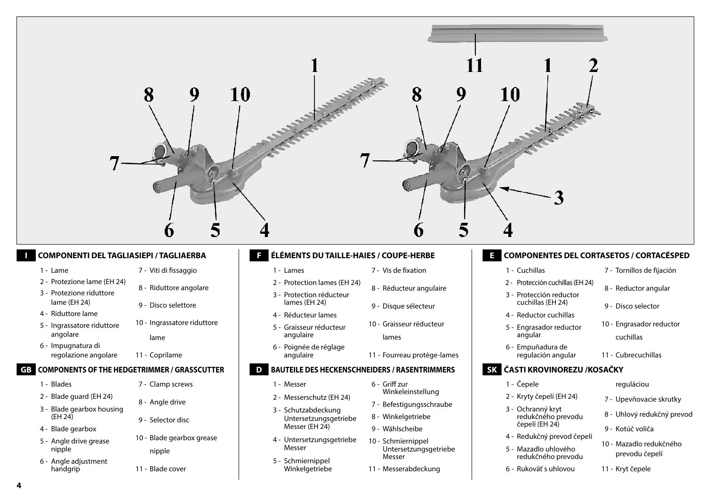

### **I COMPONENTI DEL TAGLIASIEPI / TAGLIAERBA**

### 1 - Lame

- 7 Viti di fissaggio
- 2 Protezione lame (EH 24)
- 3 Protezione riduttore lame (EH 24)
- 9 Disco selettore

8 - Riduttore angolare

10 - Ingrassatore riduttore

- 4 Riduttore lame
- 5 Ingrassatore riduttore angolare
- 6 Impugnatura di regolazione angolare
	- 11 Coprilame

lame

## **GB COMPONENTS OF THE HEDGETRIMMER / GRASSCUTTER**

- 1 Blades
- 2 Blade guard (EH 24)
- 3 Blade gearbox housing  $(EH 24)$
- 4 Blade gearbox
- 5 Angle drive grease nipple
- 6 Angle adjustment handgrip
- 7 Clamp screws
- 8 Angle drive
- 9 Selector disc
- 10 Blade gearbox grease nipple
- 11 Blade cover

### **F ÉLÉMENTS DU TAILLE-HAIES / COUPE-HERBE**

- 1 Lames
- 2 Protection lames (EH 24)
- 3 Protection réducteur lames (EH 24)
- 4 Réducteur lames
- 5 Graisseur réducteur angulaire
- 6 Poignée de réglage angulaire

### **D BAUTEILE DES HECKENSCHNEIDERS / RASENTRIMMERS**

- 1 Messer
- 2 Messerschutz (EH 24)
- 3 Schutzabdeckung Untersetzungsgetriebe Messer (EH 24)
- 4 Untersetzungsgetriebe Messer
- 5 Schmiernippel Winkelgetriebe
- 7 Vis de fixation
- 9 Disque sélecteur

8 - Réducteur angulaire

- 10 Graisseur réducteur
	- lames
- 11 Fourreau protège-lames

- 6 Griff zur Winkeleinstellung
- 7 Befestigungsschraube
- 8 Winkelgetriebe
- 9 Wählscheibe
- 10 Schmiernippel Untersetzungsgetriebe Messer
- 11 Messerabdeckung

## **E COMPONENTES DEL CORTASETOS / CORTACÉSPED**

- 1 Cuchillas
- 2 Protección cuchillas (EH 24) 8 - Reductor angular
- 3 Protección reductor cuchillas (EH 24)
- 4 Reductor cuchillas
- 5 Engrasador reductor angular
- 6 Empuñadura de regulación angular
	- 11 Cubrecuchillas

## **SK ČASTI KROVINOREZU /KOSAČKY**

- 1 Čepele
- 2 Kryty čepelí (EH 24)
- 3 Ochranný kryt redukčného prevodu čepelí (EH 24)
- 4 Redukčný prevod čepelí
- 5 Mazadlo uhlového redukčného prevodu
- 6 Rukoväť s uhlovou

reguláciou

7 - Tornillos de fijación

10 - Engrasador reductor

9 - Disco selector

cuchillas

- 7 Upevňovacie skrutky
- 8 Uhlový redukčný prevod
- 9 Kotúč voliča
- 10 Mazadlo redukčného prevodu čepelí
- 11 Kryt čepele

**4**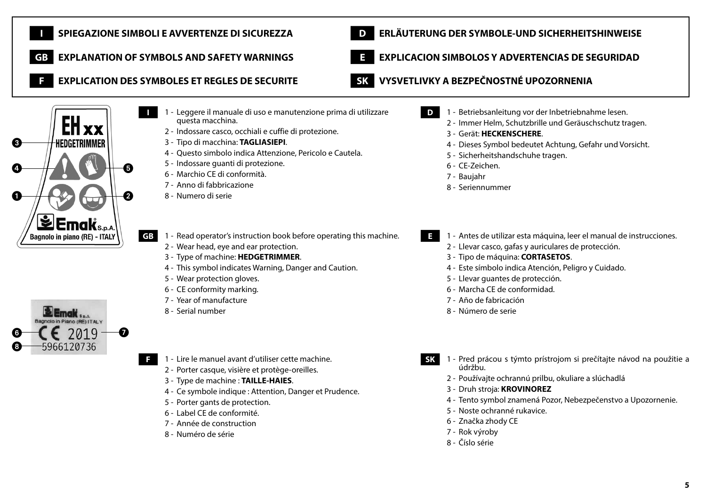

**5**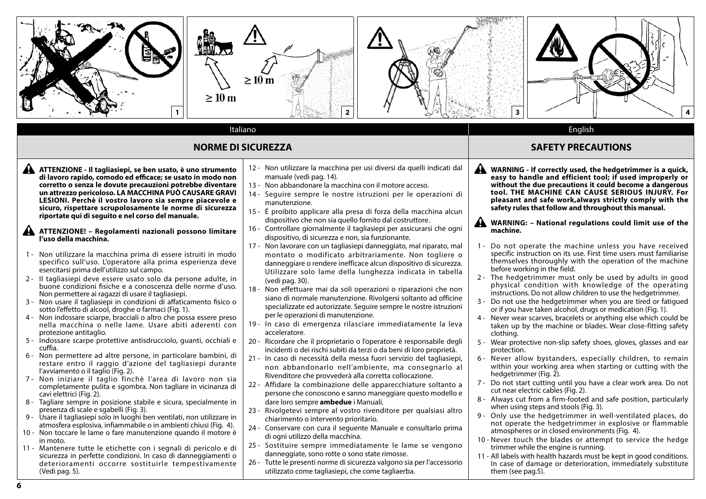

**6**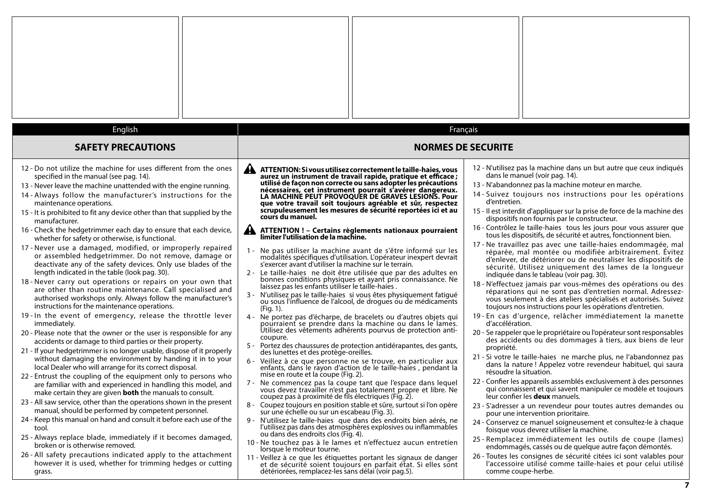| English                                                                                                                                                                                                                                                                                                                                                                                                                                                                                                                                                                                             |                                                                                                                                                                                                                                                                                                                                                                                                                                                                                                                                                                                                                                                                    | Français                                                                                                                                                                                                                                                                                                                                                                                                                                                                                                                                                                                                                                                                                             |
|-----------------------------------------------------------------------------------------------------------------------------------------------------------------------------------------------------------------------------------------------------------------------------------------------------------------------------------------------------------------------------------------------------------------------------------------------------------------------------------------------------------------------------------------------------------------------------------------------------|--------------------------------------------------------------------------------------------------------------------------------------------------------------------------------------------------------------------------------------------------------------------------------------------------------------------------------------------------------------------------------------------------------------------------------------------------------------------------------------------------------------------------------------------------------------------------------------------------------------------------------------------------------------------|------------------------------------------------------------------------------------------------------------------------------------------------------------------------------------------------------------------------------------------------------------------------------------------------------------------------------------------------------------------------------------------------------------------------------------------------------------------------------------------------------------------------------------------------------------------------------------------------------------------------------------------------------------------------------------------------------|
| <b>SAFETY PRECAUTIONS</b>                                                                                                                                                                                                                                                                                                                                                                                                                                                                                                                                                                           | <b>NORMES DE SECURITE</b>                                                                                                                                                                                                                                                                                                                                                                                                                                                                                                                                                                                                                                          |                                                                                                                                                                                                                                                                                                                                                                                                                                                                                                                                                                                                                                                                                                      |
| 12 - Do not utilize the machine for uses different from the ones<br>specified in the manual (see pag. 14).<br>13 - Never leave the machine unattended with the engine running.<br>14 - Always follow the manufacturer's instructions for the<br>maintenance operations.<br>15 - It is prohibited to fit any device other than that supplied by the<br>manufacturer.                                                                                                                                                                                                                                 | AN<br>ATTENTION: Si vous utilisez correctement le taille-haies, vous<br>aurez un instrument de travail rapide, pratique et efficace ;<br>utilisé de façon non correcte ou sans adopter les précautions<br>nécessaires, cet instrument pourrait s'avérer dangereux.<br>LA MACHINE PEUT PROVOQUER DE GRAVES LESIONS. Pour<br>que votre travail soit toujours agréable et sûr, respectez<br>scrupuleusement les mesures de sécurité reportées ici et au<br>cours du manuel.                                                                                                                                                                                           | 12 - N'utilisez pas la machine dans un but autre que ceux indiqués<br>dans le manuel (voir pag. 14).<br>13 - N'abandonnez pas la machine moteur en marche.<br>14 - Suivez toujours nos instructions pour les opérations<br>d'entretien.<br>15 - Il est interdit d'appliquer sur la prise de force de la machine des<br>dispositifs non fournis par le constructeur.                                                                                                                                                                                                                                                                                                                                  |
| 16 - Check the hedgetrimmer each day to ensure that each device,<br>whether for safety or otherwise, is functional.<br>17 - Never use a damaged, modified, or improperly repaired<br>or assembled hedgetrimmer. Do not remove, damage or<br>deactivate any of the safety devices. Only use blades of the<br>length indicated in the table (look pag. 30).<br>18 - Never carry out operations or repairs on your own that<br>are other than routine maintenance. Call specialised and<br>authorised workshops only. Always follow the manufacturer's<br>instructions for the maintenance operations. | ▲<br>ATTENTION ! - Certains règlements nationaux pourraient<br>limiter l'utilisation de la machine.<br>1 - Ne pas utiliser la machine avant de s'être informé sur les<br>modalités spécifiques d'utilisation. L'opérateur inexpert devrait<br>s'exercer avant d'utiliser la machine sur le terrain.<br>2 - Le taille-haies ne doit être utilisée que par des adultes en<br>bonnes conditions physiques et ayant pris connaissance. Ne laissez pas les enfants utiliser le taille-haies.<br>3 - N'utilisez pas le taille-haies si vous êtes physiquement fatigué<br>ou sous l'influence de l'alcool, de drogues ou de médicaments<br>(Fig. 1).                      | 16 - Contrôlez le taille-haies tous les jours pour vous assurer que<br>tous les dispositifs, de sécurité et autres, fonctionnent bien.<br>17 - Ne travaillez pas avec une taille-haies endommagée, mal<br>réparée, mal montée ou modifiée arbitrairement. Évitez<br>d'enlever, de détériorer ou de neutraliser les dispositifs de<br>sécurité. Utilisez uniquement des lames de la longueur<br>indiquée dans le tableau (voir pag. 30).<br>18 - N'effectuez jamais par vous-mêmes des opérations ou des<br>réparations qui ne sont pas d'entretien normal. Adressez-<br>vous seulement à des ateliers spécialisés et autorisés. Suivez<br>toujours nos instructions pour les opérations d'entretien. |
| 19-In the event of emergency, release the throttle lever<br>immediately.<br>20 - Please note that the owner or the user is responsible for any<br>accidents or damage to third parties or their property.<br>21 - If your hedgetrimmer is no longer usable, dispose of it properly<br>without damaging the environment by handing it in to your<br>local Dealer who will arrange for its correct disposal.<br>22 - Entrust the coupling of the equipment only to persons who                                                                                                                        | 4 - Ne portez pas d'écharpe, de bracelets ou d'autres objets qui<br>pourraient se prendre dans la machine ou dans le lames.<br>Utilisez des vêtements adhérents pourvus de protection anti-<br>coupure.<br>5 -<br>Portez des chaussures de protection antidérapantes, des gants,<br>des lunettes et des protège-oreilles.<br>6 - Veillez à ce que personne ne se trouve, en particulier aux<br>enfants, dans le rayon d'action de le taille-haies, pendant la<br>mise en route et la coupe (Fig. 2).                                                                                                                                                               | 19 - En cas d'urgence, relâcher immédiatement la manette<br>d'accélération.<br>20 - Se rappeler que le propriétaire ou l'opérateur sont responsables<br>des accidents ou des dommages à tiers, aux biens de leur<br>propriété.<br>21 - Si votre le taille-haies ne marche plus, ne l'abandonnez pas<br>dans la nature ! Appelez votre revendeur habituel, qui saura<br>résoudre la situation.                                                                                                                                                                                                                                                                                                        |
| are familiar with and experienced in handling this model, and<br>make certain they are given <b>both</b> the manuals to consult.<br>23 - All saw service, other than the operations shown in the present<br>manual, should be performed by competent personnel.<br>24 - Keep this manual on hand and consult it before each use of the<br>tool.<br>25 - Always replace blade, immediately if it becomes damaged,<br>broken or is otherwise removed.<br>26 - All safety precautions indicated apply to the attachment                                                                                | 7 - Ne commencez pas la coupe tant que l'espace dans lequel<br>vous devez travailler n'est pas totalement propre et libre. Ne<br>coupez pas à proximité de fils électriques (Fig. 2).<br>8 - Coupez toujours en position stable et sûre, surtout si l'on opère<br>sur une échelle ou sur un escabeau (Fig. 3).<br>9 - N'utilisez le taille-haies que dans des endroits bien aérés, ne<br>l'utilisez pas dans des atmosphères explosives ou inflammables<br>ou dans des endroits clos (Fig. 4).<br>10 - Ne touchez pas à le lames et n'effectuez aucun entretien<br>lorsque le moteur tourne.<br>11 - Veillez à ce que les étiquettes portant les signaux de danger | 22 - Confier les appareils assemblés exclusivement à des personnes<br>qui connaissent et qui savent manipuler ce modèle et toujours<br>leur confier les deux manuels.<br>23 - S'adresser a un revendeur pour toutes autres demandes ou<br>pour une intervention prioritaire.<br>24 - Conservez ce manuel soigneusement et consultez-le à chaque<br>foisque vous devrez utiliser la machine.<br>25 - Remplacez immédiatement les outils de coupe (lames)<br>endommagés, cassés ou de quelque autre façon démontés.<br>26 - Toutes les consignes de sécurité citées ici sont valables pour                                                                                                             |
| however it is used, whether for trimming hedges or cutting<br>grass.                                                                                                                                                                                                                                                                                                                                                                                                                                                                                                                                | et de sécurité soient toujours en parfait état. Si elles sont<br>détériorées, remplacez-les sans délai (voir pag.5).                                                                                                                                                                                                                                                                                                                                                                                                                                                                                                                                               | l'accessoire utilisé comme taille-haies et pour celui utilisé<br>comme coupe-herbe.                                                                                                                                                                                                                                                                                                                                                                                                                                                                                                                                                                                                                  |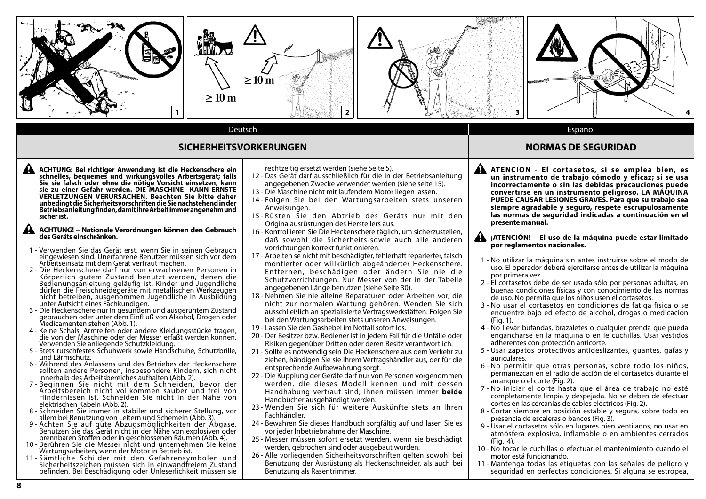

### **SICHERHEITSVORKERUNGEN NORMAS DE SEGURIDAD**

**ACHTUNG: Bei richtiger Anwendung ist die Heckenschere ein schnelles, bequemes und wirkungsvolles Arbeitsgerät; falls Sie sie falsch oder ohne die nötige Vorsicht einsetzen, kann sie zu einer Gefahr werden. DIE MASCHINE KANN ERNSTE VERLETZUNGEN VERURSACHEN. Beachten Sie bitte daher unbedingt die Sicherheitsvorschriften die Sie nachstehend in der Betriebsanleitung finden, damit ihre Arbeit immer angenehm und sicher ist.**

### **ACHTUNG! – Nationale Verordnungen können den Gebrauch des Geräts einschränken.**

- 1 Verwenden Sie das Gerät erst, wenn Sie in seinen Gebrauch eingewiesen sind. Unerfahrene Benutzer müssen sich vor dem Arbeitseinsatz mit dem Gerät vertraut machen.
- 2 Die Heckenschere darf nur von erwachsenen Personen in Körperlich gutem Zustand benutzt werden, denen die Bedienungsanleitung geläufig ist. Kinder und Jugendliche dürfen die Freischneidegeräte mit metallischen Werkzeugen nicht betreiben, ausgenommen Jugendliche in Ausbildung unter Aufsicht eines Fachkundigen.
- 3 Die Heckenschere nur in gesundem und ausgeruhtem Zustand gebrauchen oder unter dem Einfl uß von Alkohol, Drogen oder Medicamenten stehen (Abb. 1).
- 4 Keine Schals, Armreifen oder andere Kleidungsstücke tragen, die von der Maschine oder der Messer erfaßt werden können. Verwenden Sie anliegende Schutzkleidung.
- 5 Stets rutschfestes Schuhwerk sowie Handschuhe, Schutzbrille, und Lärmschutz.
- 6 Während des Anlassens und des Betriebes der Heckenschere sollten andere Personen, insbesondere Kindern, sich nicht innerhalb des Arbeitsbereiches aufhalten (Abb. 2).
- 7 Beginnen Sie nicht mit dem Schneiden, bevor der Arbeitsbereich nicht vollkommen sauber und frei von Hindernissen ist. Schneiden Sie nicht in der Nähe von elektrischen Kabeln (Abb. 2).
- 8 Schneiden Sie immer in stabiler und sicherer Stellung, vor allem bei Benutzung von Leitern und Schemeln (Abb. 3).
- 9 Achten Sie auf gute Abzugsmöglichkeiten der Abgase. Benutzen Sie das Gerät nicht in der Nähe von explosiven oder brennbaren Stoffen oder in geschlossenen Räumen (Abb. 4).
- 10 Berühren Sie die Messer nicht und unternehmen Sie keine Wartungsarbeiten, wenn der Motor in Betrieb ist.
- 11 Sämtliche Schilder mit den Gefahrensymbolen und Sicherheitszeichen müssen sich in einwandfreiem Zustand befinden. Bei Beschädigung oder Unleserlichkeit müssen sie

rechtzeitig ersetzt werden (siehe Seite 5).

- 12 Das Gerät darf ausschließlich für die in der Betriebsanleitung angegebenen Zwecke verwendet werden (siehe seite 15).
- 13 Die Maschine nicht mit laufendem Motor liegen lassen.
- 14 Folgen Sie bei den Wartungsarbeiten stets unseren Anweisungen.
- 15 Rüsten Sie den Abtrieb des Geräts nur mit den Originalausrüstungen des Herstellers aus.
- 16 Kontrollieren Sie Die Heckenschere täglich, um sicherzustellen, daß sowohl die Sicherheits-sowie auch alle anderen vorrichtungen korrekt funktionieren.
- 17 Arbeiten se nicht mit beschädigter, fehlerhaft reparierter, falsch montierter oder willkürlich abgeänderter Heckenschere. Entfernen, beschädigen oder ändern Sie nie die Schutzvorrichtungen. Nur Messer von der in der Tabelle angegebenen Länge benutzen (siehe Seite 30).
- 18 Nehmen Sie nie alleine Reparaturen oder Arbeiten vor, die nicht zur normalen Wartung gehören. Wenden Sie sich ausschließlich an spezialisierte Vertragswerkstätten. Folgen Sie bei den Wartungsarbeiten stets unseren Anweisungen.
- 19 Lassen Sie den Gashebel im Notfall sofort los.
- 20 Der Besitzer bzw. Bediener ist in jedem Fall für die Unfälle oder Risiken gegenüber Dritten oder deren Besitz verantwortlich.
- 21 Sollte es notwendig sein Die Heckenschere aus dem Verkehr zu ziehen, händigen Sie sie ihrem Vertragshändler aus, der für die entsprechende Aufbewahrung sorgt.
- 22 Die Kupplung der Geräte darf nur von Personen vorgenommen werden, die dieses Modell kennen und mit dessen Handhabung vertraut sind; ihnen müssen immer **beide** Handbücher ausgehändigt werden.
- 23 Wenden Sie sich für weitere Auskünfte stets an Ihren Fachhändler.
- 24 Bewahren Sie dieses Handbuch sorgfältig auf und lasen Sie es vor jeder Inbetriebnahme der Maschine.
- 25 Messer müssen sofort ersetzt werden, wenn sie beschädigt werden, gebrochen sind oder ausgebaut wurden.
- 26 Alle vorliegenden Sicherheitsvorschriften gelten sowohl bei Benutzung der Ausrüstung als Heckenschneider, als auch bei Benutzung als Rasentrimmer.

- **ATENCION El cor tasetos, si se emplea bien, es un instrumento de trabajo cómodo y eficaz; si se usa incorrectamente o sin las debidas precauciones puede convertirse en un instrumento peligroso. LA MÁQUINA PUEDE CAUSAR LESIONES GRAVES. Para que su trabajo sea siempre agradable y seguro, respete escrupulosamente las normas de seguridad indicadas a continuación en el presente manual.**
	- **¡ATENCIÓN! El uso de la máquina puede estar limitado por reglamentos nacionales.**
- 1 No utilizar la máquina sin antes instruirse sobre el modo de uso. El operador deberá ejercitarse antes de utilizar la máquina por primera vez.
- 2 El cortasetos debe de ser usada sólo por personas adultas, en buenas condiciones físicas y con conocimiento de las normas de uso. No permita que los niños usen el cortasetos.
- 3 No usar el cortasetos en condiciones de fatiga física o se encuentre bajo ed efecto de alcohol, drogas o medicación (Fig. 1).
- 4 No llevar bufandas, brazaletes o cualquier prenda que pueda engancharse en la máquina o en le cuchillas. Usar vestidos adherentes con protección anticorte.
- 5 Usar zapatos protectivos antideslizantes, guantes, gafas y auriculares.
- 6 No permitir que otras personas, sobre todo los niños, permanezcan en el radio de acción de el cortasetos durante el arranque o el corte (Fig. 2).
- 7 No iniciar el corte hasta que el área de trabajo no esté completamente limpia y despejada. No se deben de efectuar cortes en las cercanías de cables eléctricos (Fig. 2).
- 8 Cortar siempre en posición estable y segura, sobre todo en presencia de escaleras o bancos (Fig. 3).
- 9 Usar el cortasetos sólo en lugares bien ventilados, no usar en atmósfera explosiva, inflamable o en ambientes cerrados (Fig. 4).
- 10 No tocar le cuchillas o efectuar el mantenimiento cuando el motor está funcionando.
- 11 Mantenga todas las etiquetas con las señales de peligro y seguridad en perfectas condiciones. Si alguna se estropea,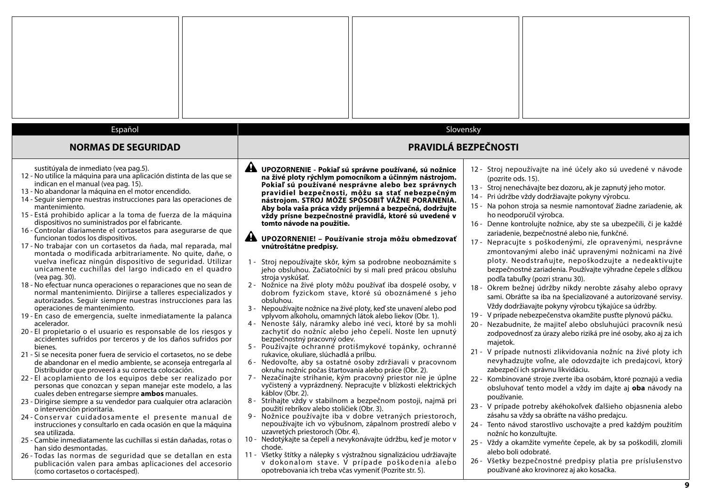| Español<br><b>NORMAS DE SEGURIDAD</b>                                                                                                                                                                                                                                                                                                                                                                                                                                                                                                                                                                                                                                                                                                                                                                                                                                                                                                                                                                                                                                                                                                                                                                                                                                                                                                                                                                                                                                                                                                                                                                                                                                                                                                                                                                                                                                                                                                                                                                                                                                                                                                                        |                                                                                                                                                                                                                                                                                                                                                                                                                                                                                                                                                                                                                                                                                                                                                                                                                                                                                                                                                                                                                                                                                                                                                                                                                                                                                                                                                                                                                                                                                                                                                                                                                                                                                                                                                                                                                                                                                                                                                                                                                           | Slovensky<br><b>PRAVIDLÁ BEZPEČNOSTI</b>                                                                                                                                                                                                                                                                                                                                                                                                                                                                                                                                                                                                                                                                                                                                                                                                                                                                                                                                                                                                                                                                                                                                                                                                                                                                                                                                                                                                                                                                                                                                                                                                                                                                                                                                                                                                                    |
|--------------------------------------------------------------------------------------------------------------------------------------------------------------------------------------------------------------------------------------------------------------------------------------------------------------------------------------------------------------------------------------------------------------------------------------------------------------------------------------------------------------------------------------------------------------------------------------------------------------------------------------------------------------------------------------------------------------------------------------------------------------------------------------------------------------------------------------------------------------------------------------------------------------------------------------------------------------------------------------------------------------------------------------------------------------------------------------------------------------------------------------------------------------------------------------------------------------------------------------------------------------------------------------------------------------------------------------------------------------------------------------------------------------------------------------------------------------------------------------------------------------------------------------------------------------------------------------------------------------------------------------------------------------------------------------------------------------------------------------------------------------------------------------------------------------------------------------------------------------------------------------------------------------------------------------------------------------------------------------------------------------------------------------------------------------------------------------------------------------------------------------------------------------|---------------------------------------------------------------------------------------------------------------------------------------------------------------------------------------------------------------------------------------------------------------------------------------------------------------------------------------------------------------------------------------------------------------------------------------------------------------------------------------------------------------------------------------------------------------------------------------------------------------------------------------------------------------------------------------------------------------------------------------------------------------------------------------------------------------------------------------------------------------------------------------------------------------------------------------------------------------------------------------------------------------------------------------------------------------------------------------------------------------------------------------------------------------------------------------------------------------------------------------------------------------------------------------------------------------------------------------------------------------------------------------------------------------------------------------------------------------------------------------------------------------------------------------------------------------------------------------------------------------------------------------------------------------------------------------------------------------------------------------------------------------------------------------------------------------------------------------------------------------------------------------------------------------------------------------------------------------------------------------------------------------------------|-------------------------------------------------------------------------------------------------------------------------------------------------------------------------------------------------------------------------------------------------------------------------------------------------------------------------------------------------------------------------------------------------------------------------------------------------------------------------------------------------------------------------------------------------------------------------------------------------------------------------------------------------------------------------------------------------------------------------------------------------------------------------------------------------------------------------------------------------------------------------------------------------------------------------------------------------------------------------------------------------------------------------------------------------------------------------------------------------------------------------------------------------------------------------------------------------------------------------------------------------------------------------------------------------------------------------------------------------------------------------------------------------------------------------------------------------------------------------------------------------------------------------------------------------------------------------------------------------------------------------------------------------------------------------------------------------------------------------------------------------------------------------------------------------------------------------------------------------------------|
| sustitúyala de inmediato (vea pag.5).<br>12 - No utilice la máquina para una aplicación distinta de las que se<br>indican en el manual (vea pag. 15).<br>13 - No abandonar la máquina en el motor encendido.<br>14 - Seguir siempre nuestras instrucciones para las operaciones de<br>mantenimiento.<br>15 - Está prohibido aplicar a la toma de fuerza de la máquina<br>dispositivos no suministrados por el fabricante.<br>16 - Controlar diariamente el cortasetos para asegurarse de que<br>funcionan todos los dispositivos.<br>17 - No trabajar con un cortasetos da ñada, mal reparada, mal<br>montada o modificada arbitrariamente. No quite, dañe, o<br>vuelva ineficaz ningún dispositivo de seguridad. Utilizar<br>unicamente cuchillas del largo indicado en el quadro<br>(vea pag. 30).<br>18 - No efectuar nunca operaciones o reparaciones que no sean de<br>normal mantenimiento. Dirijirse a talleres especializados y<br>autorizados. Seguir siempre nuestras instrucciones para las<br>operaciones de mantenimiento.<br>19 - En caso de emergencia, suelte inmediatamente la palanca<br>acelerador.<br>20 - El propietario o el usuario es responsable de los riesgos y<br>accidentes sufridos por terceros y de los daños sufridos por<br>bienes.<br>21 - Si se necesita poner fuera de servicio el cortasetos, no se debe<br>de abandonar en el medio ambiente, se aconseja entregarla al<br>Distribuidor que proveerá a su correcta colocación.<br>22 - El acoplamiento de los equipos debe ser realizado por<br>personas que conozcan y sepan manejar este modelo, a las<br>cuales deben entregarse siempre ambos manuales.<br>23 - Dirigirse siempre a su vendedor para cualquier otra aclaraciòn<br>o intervención prioritaria.<br>24-Conservar cuidadosamente el presente manual de<br>instrucciones y consultarlo en cada ocasión en que la máquina<br>sea utilizada.<br>25 - Cambie inmediatamente las cuchillas si están dañadas, rotas o<br>han sido desmontadas.<br>26 - Todas las normas de seguridad que se detallan en esta<br>publicación valen para ambas aplicaciones del accesorio<br>(como cortasetos o cortacésped). | A UPOZORNENIE - Pokiaľ sú správne používané, sú nožnice<br>na živé ploty rýchlym pomocníkom a účinným nástrojom.<br>Pokiaľ sú používané nesprávne alebo bez správnych<br>pravidiel bezpečnosti, môžu sa stať nebezpečným<br>nástrojom. STROJ MÔŽE SPÔSOBIŤ VÁŽNE PORANENIA.<br>Aby bola vaša práca vždy príjemná a bezpečná, dodržujte<br>vždy prísne bezpečnostné pravidlá, ktoré sú uvedené v<br>tomto návode na použitie.<br>Æ.<br>UPOZORNENIE! - Používanie stroja môžu obmedzovať<br>vnútroštátne predpisy.<br>1 - Stroj nepoužívajte skôr, kým sa podrobne neoboznámite s<br>jeho obsluhou. Začiatočníci by si mali pred prácou obsluhu<br>stroja vyskúšať.<br>2 - Nožnice na živé ploty môžu používať iba dospelé osoby, v<br>dobrom fyzickom stave, ktoré sú oboznámené s jeho<br>obsluhou.<br>3 - Nepoužívajte nožnice na živé ploty, keď ste unavení alebo pod<br>vplyvom alkoholu, omamných látok alebo liekov (Obr. 1).<br>4 - Nenoste šály, náramky alebo iné veci, ktoré by sa mohli<br>zachytiť do nožníc alebo jeho čepelí. Noste len upnutý<br>bezpečnostný pracovný odev.<br>5 - Používajte ochranné protišmykové topánky, ochranné<br>rukavice, okuliare, slúchadlá a prilbu.<br>6 - Nedovoľte, aby sa ostatné osoby zdržiavali v pracovnom<br>okruhu nožníc počas štartovania alebo práce (Obr. 2).<br>7 - Nezačínajte strihanie, kým pracovný priestor nie je úplne<br>vyčistený a vyprázdnený. Nepracujte v blízkosti elektrických<br>káblov (Obr. 2).<br>8 - Strihajte vždy v stabilnom a bezpečnom postoji, najmä pri<br>použití rebríkov alebo stoličiek (Obr. 3).<br>9 - Nožnice používajte iba v dobre vetraných priestoroch,<br>nepoužívajte ich vo výbušnom, zápalnom prostredí alebo v<br>uzavretých priestoroch (Obr. 4).<br>10 - Nedotýkajte sa čepelí a nevykonávajte údržbu, keď je motor v<br>chode.<br>11 - Všetky štítky a nálepky s výstražnou signalizáciou udržiavajte<br>v dokonalom stave. V prípade poškodenia alebo<br>opotrebovania ich treba včas vymeniť (Pozrite str. 5). | 12 - Stroj nepoužívajte na iné účely ako sú uvedené v návode<br>(pozrite ods. 15).<br>13 - Stroj nenechávajte bez dozoru, ak je zapnutý jeho motor.<br>14 - Pri údržbe vždy dodržiavajte pokyny výrobcu.<br>15 - Na pohon stroja sa nesmie namontovať žiadne zariadenie, ak<br>ho neodporučil výrobca.<br>16 - Denne kontrolujte nožnice, aby ste sa ubezpečili, či je každé<br>zariadenie, bezpečnostné alebo nie, funkčné.<br>17 - Nepracujte s poškodenými, zle opravenými, nesprávne<br>zmontovanými alebo ináč upravenými nožnicami na živé<br>ploty. Neodstraňujte, nepoškodzujte a nedeaktivujte<br>bezpečnostné zariadenia. Používajte výhradne čepele s dĺžkou<br>podľa tabuľky (pozri stranu 30).<br>18 - Okrem bežnej údržby nikdy nerobte zásahy alebo opravy<br>sami. Obráťte sa iba na špecializované a autorizované servisy.<br>Vždy dodržiavajte pokyny výrobcu týkajúce sa údržby.<br>V prípade nebezpečenstva okamžite pusťte plynovú páčku.<br>$19 -$<br>20 - Nezabudnite, že majiteľ alebo obsluhujúci pracovník nesú<br>zodpovednosť za úrazy alebo riziká pre iné osoby, ako aj za ich<br>majetok.<br>21 - V prípade nutnosti zlikvidovania nožníc na živé ploty ich<br>nevyhadzujte voľne, ale odovzdajte ich predajcovi, ktorý<br>zabezpečí ich správnu likvidáciu.<br>22 - Kombinované stroje zverte iba osobám, ktoré poznajú a vedia<br>obsluhovať tento model a vždy im dajte aj oba návody na<br>používanie.<br>23 - V prípade potreby akéhokoľvek ďalšieho objasnenia alebo<br>zásahu sa vždy sa obráťte na vášho predajcu.<br>24 - Tento návod starostlivo uschovajte a pred každým použitím<br>nožníc ho konzultujte.<br>25 - Vždy a okamžite vymeňte čepele, ak by sa poškodili, zlomili<br>alebo boli odobraté.<br>26 - Všetky bezpečnostné predpisy platia pre príslušenstvo<br>používané ako krovinorez aj ako kosačka. |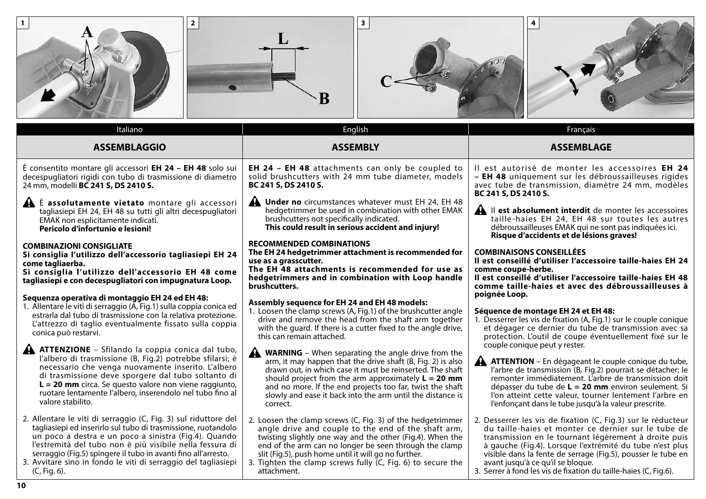| $\overline{\mathbf{2}}$                                                                                                                                                                                                                                                                                                                                                                                                                                                                                                                                                                                                                                                                                                                                                                                                                                                       | В                                                                                                                                                                                                                                                                                                                                                                                                                                                                                                                                                                                                                                                                                                                                                                                                                                                                                           |                                                                                                                                                                                                                                                                                                                                                                                                                                                                                                                                                                                                                                                                                                                                                                                                                                                                                                       |
|-------------------------------------------------------------------------------------------------------------------------------------------------------------------------------------------------------------------------------------------------------------------------------------------------------------------------------------------------------------------------------------------------------------------------------------------------------------------------------------------------------------------------------------------------------------------------------------------------------------------------------------------------------------------------------------------------------------------------------------------------------------------------------------------------------------------------------------------------------------------------------|---------------------------------------------------------------------------------------------------------------------------------------------------------------------------------------------------------------------------------------------------------------------------------------------------------------------------------------------------------------------------------------------------------------------------------------------------------------------------------------------------------------------------------------------------------------------------------------------------------------------------------------------------------------------------------------------------------------------------------------------------------------------------------------------------------------------------------------------------------------------------------------------|-------------------------------------------------------------------------------------------------------------------------------------------------------------------------------------------------------------------------------------------------------------------------------------------------------------------------------------------------------------------------------------------------------------------------------------------------------------------------------------------------------------------------------------------------------------------------------------------------------------------------------------------------------------------------------------------------------------------------------------------------------------------------------------------------------------------------------------------------------------------------------------------------------|
| Italiano                                                                                                                                                                                                                                                                                                                                                                                                                                                                                                                                                                                                                                                                                                                                                                                                                                                                      | English                                                                                                                                                                                                                                                                                                                                                                                                                                                                                                                                                                                                                                                                                                                                                                                                                                                                                     | Français                                                                                                                                                                                                                                                                                                                                                                                                                                                                                                                                                                                                                                                                                                                                                                                                                                                                                              |
| <b>ASSEMBLAGGIO</b>                                                                                                                                                                                                                                                                                                                                                                                                                                                                                                                                                                                                                                                                                                                                                                                                                                                           | <b>ASSEMBLY</b>                                                                                                                                                                                                                                                                                                                                                                                                                                                                                                                                                                                                                                                                                                                                                                                                                                                                             | <b>ASSEMBLAGE</b>                                                                                                                                                                                                                                                                                                                                                                                                                                                                                                                                                                                                                                                                                                                                                                                                                                                                                     |
| È consentito montare gli accessori EH 24 - EH 48 solo sui<br>decespugliatori rigidi con tubo di trasmissione di diametro<br>24 mm, modelli BC 241 S, DS 2410 S.<br>Let assolutamente vietato montare gli accessori<br>tagliasiepi EH 24, EH 48 su tutti gli altri decespugliatori<br>EMAK non esplicitamente indicati.<br>Pericolo d'infortunio e lesioni!<br><b>COMBINAZIONI CONSIGLIATE</b><br>Si consiglia l'utilizzo dell'accessorio tagliasiepi EH 24<br>come tagliaerba.<br>Si consiglia l'utilizzo dell'accessorio EH 48 come<br>tagliasiepi e con decespugliatori con impugnatura Loop.<br>Sequenza operativa di montaggio EH 24 ed EH 48:<br>1. Allentare le viti di serraggio (A, Fig.1) sulla coppia conica ed<br>estrarla dal tubo di trasmissione con la relativa protezione.<br>L'attrezzo di taglio eventualmente fissato sulla coppia<br>conica può restarvi. | <b>EH 24 - EH 48</b> attachments can only be coupled to<br>solid brushcutters with 24 mm tube diameter, models<br>BC 241 S, DS 2410 S.<br>$\mathbf{A}$<br>Under no circumstances whatever must EH 24, EH 48<br>hedgetrimmer be used in combination with other EMAK<br>brushcutters not specifically indicated.<br>This could result in serious accident and injury!<br><b>RECOMMENDED COMBINATIONS</b><br>The EH 24 hedgetrimmer attachment is recommended for<br>use as a grasscutter.<br>The EH 48 attachments is recommended for use as<br>hedgetrimmers and in combination with Loop handle<br>brushcutters.<br>Assembly sequence for EH 24 and EH 48 models:<br>1. Loosen the clamp screws (A, Fig.1) of the brushcutter angle<br>drive and remove the head from the shaft arm together<br>with the guard. If there is a cutter fixed to the angle drive,<br>this can remain attached. | Il est autorisé de monter les accessoires EH 24<br>- EH 48 uniquement sur les débroussailleuses rigides<br>avec tube de transmission, diamètre 24 mm, modèles<br>BC 241 S, DS 2410 S.<br>A Il est absolument interdit de monter les accessoires<br>taille-haies EH 24, EH 48 sur toutes les autres<br>débroussailleuses EMAK qui ne sont pas indiquées ici.<br>Risque d'accidents et de lésions graves!<br><b>COMBINAISONS CONSEILLÉES</b><br>Il est conseillé d'utiliser l'accessoire taille-haies EH 24<br>comme coupe-herbe.<br>Il est conseillé d'utiliser l'accessoire taille-haies EH 48<br>comme taille-haies et avec des débroussailleuses à<br>poignée Loop.<br>Séquence de montage EH 24 et EH 48:<br>1. Desserrer les vis de fixation (A, Fig.1) sur le couple conique<br>et dégager ce dernier du tube de transmission avec sa<br>protection. L'outil de coupe éventuellement fixé sur le |
| <b>A ATTENZIONE</b> – Sfilando la coppia conica dal tubo,<br>l'albero di trasmissione (B, Fig.2) potrebbe sfilarsi; è<br>necessario che venga nuovamente inserito. L'albero<br>di trasmissione deve sporgere dal tubo soltanto di<br>$L = 20$ mm circa. Se questo valore non viene raggiunto,<br>ruotare lentamente l'albero, inserendolo nel tubo fino al<br>valore stabilito.                                                                                                                                                                                                                                                                                                                                                                                                                                                                                               | <b>WARNING</b> – When separating the angle drive from the<br>arm, it may happen that the drive shaft (B, Fig. 2) is also<br>drawn out, in which case it must be reinserted. The shaft<br>should project from the arm approximately $L = 20$ mm<br>and no more. If the end projects too far, twist the shaft<br>slowly and ease it back into the arm until the distance is<br>correct.                                                                                                                                                                                                                                                                                                                                                                                                                                                                                                       | couple conique peut y rester.<br><b>A ATTENTION</b> – En dégageant le couple conique du tube,<br>l'arbre de transmission (B, Fig.2) pourrait se détacher; le<br>remonter immédiatement. L'arbre de transmission doit<br>dépasser du tube de $L = 20$ mm environ seulement. Si<br>l'on atteint cette valeur, tourner lentement l'arbre en<br>l'enfonçant dans le tube jusqu'à la valeur prescrite.                                                                                                                                                                                                                                                                                                                                                                                                                                                                                                     |
| 2. Allentare le viti di serraggio (C, Fig. 3) sul riduttore del<br>tagliasiepi ed inserirlo sul tubo di trasmissione, ruotandolo<br>un poco a destra e un poco a sinistra (Fig.4). Quando<br>l'estremità del tubo non è più visibile nella fessura di<br>serraggio (Fig.5) spingere il tubo in avanti fino all'arresto.<br>3. Avvitare sino in fondo le viti di serraggio del tagliasiepi<br>(C, Fig. 6).                                                                                                                                                                                                                                                                                                                                                                                                                                                                     | 2. Loosen the clamp screws (C, Fig. 3) of the hedgetrimmer<br>angle drive and couple to the end of the shaft arm,<br>twisting slightly one way and the other (Fig.4). When the<br>end of the arm can no longer be seen through the clamp<br>slit (Fig.5), push home until it will go no further.<br>3. Tighten the clamp screws fully $(C, Fig. 6)$ to secure the<br>attachment.                                                                                                                                                                                                                                                                                                                                                                                                                                                                                                            | 2. Desserrer les vis de fixation (C, Fig.3) sur le réducteur<br>du taille-haies et monter ce dernier sur le tube de<br>transmission en le tournant légèrement à droite puis<br>à gauche (Fig.4). Lorsque l'extrémité du tube n'est plus<br>visible dans la fente de serrage (Fig.5), pousser le tube en<br>avant jusqu'à ce qu'il se bloque.<br>3. Serrer à fond les vis de fixation du taille-haies (C, Fig.6).                                                                                                                                                                                                                                                                                                                                                                                                                                                                                      |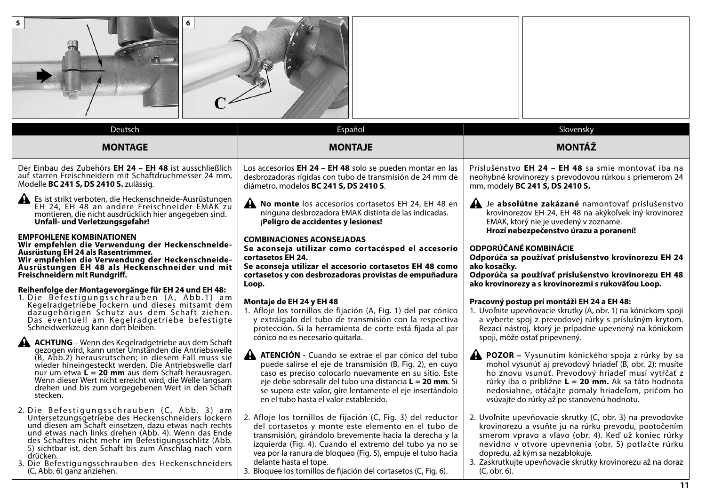| 5<br>6                                                                                                                                                                                                                                                                                                                                                                                                                              |                                                                                                                                                                                                                                                                                                                                                                                                       |                                                                                                                                                                                                                                                                                                                                                        |  |
|-------------------------------------------------------------------------------------------------------------------------------------------------------------------------------------------------------------------------------------------------------------------------------------------------------------------------------------------------------------------------------------------------------------------------------------|-------------------------------------------------------------------------------------------------------------------------------------------------------------------------------------------------------------------------------------------------------------------------------------------------------------------------------------------------------------------------------------------------------|--------------------------------------------------------------------------------------------------------------------------------------------------------------------------------------------------------------------------------------------------------------------------------------------------------------------------------------------------------|--|
| Deutsch                                                                                                                                                                                                                                                                                                                                                                                                                             | Español                                                                                                                                                                                                                                                                                                                                                                                               | Slovensky                                                                                                                                                                                                                                                                                                                                              |  |
| <b>MONTAGE</b>                                                                                                                                                                                                                                                                                                                                                                                                                      | <b>MONTAJE</b>                                                                                                                                                                                                                                                                                                                                                                                        | <b>MONTÁŽ</b>                                                                                                                                                                                                                                                                                                                                          |  |
| Der Einbau des Zubehörs EH 24 - EH 48 ist ausschließlich<br>auf starren Freischneidern mit Schaftdruchmesser 24 mm,<br>Modelle BC 241 S, DS 2410 S. zulässig.                                                                                                                                                                                                                                                                       | Los accesorios EH 24 - EH 48 solo se pueden montar en las<br>desbrozadoras rígidas con tubo de transmisión de 24 mm de<br>diámetro, modelos BC 241 S, DS 2410 S.                                                                                                                                                                                                                                      | Príslušenstvo EH 24 - EH 48 sa smie montovať iba na<br>neohybné krovinorezy s prevodovou rúrkou s priemerom 24<br>mm, modely BC 241 S, DS 2410 S.                                                                                                                                                                                                      |  |
| Es ist strikt verboten, die Heckenschneide-Ausrüstungen<br>EH 24, EH 48 an andere Freischneider EMAK zu<br>montieren, die nicht ausdrücklich hier angegeben sind.<br>Unfall- und Verletzungsgefahr!                                                                                                                                                                                                                                 | No monte los accesorios cortasetos EH 24, EH 48 en<br>ninguna desbrozadora EMAK distinta de las indicadas.<br>¡Peligro de accidentes y lesiones!                                                                                                                                                                                                                                                      | Je absolútne zakázané namontovať príslušenstvo<br>krovinorezov EH 24, EH 48 na akýkoľvek iný krovinorez<br>EMAK, ktorý nie je uvedený v zozname.                                                                                                                                                                                                       |  |
| <b>EMPFOHLENE KOMBINATIONEN</b><br>Wir empfehlen die Verwendung der Heckenschneide-<br>Ausrüstung EH 24 als Rasentrimmer.<br>Wir empfehlen die Verwendung der Heckenschneide-<br>Ausrüstungen EH 48 als Heckenschneider und mit<br>Freischneidern mit Rundgriff.<br>Reihenfolge der Montagevorgänge für EH 24 und EH 48:                                                                                                            | <b>COMBINACIONES ACONSEJADAS</b><br>Se aconseja utilizar como cortacésped el accesorio<br>cortasetos EH 24.<br>Se aconseja utilizar el accesorio cortasetos EH 48 como<br>cortasetos y con desbrozadoras provistas de empuñadura<br>Loop.                                                                                                                                                             | Hrozí nebezpečenstvo úrazu a poranení!<br><b>ODPORÚČANÉ KOMBINÁCIE</b><br>Odporúča sa používať príslušenstvo krovinorezu EH 24<br>ako kosačky.<br>Odporúča sa používať príslušenstvo krovinorezu EH 48<br>ako krovinorezy a s krovinorezmi s rukoväťou Loop.                                                                                           |  |
| 1. Die Befestigungsschrauben (A, Abb.1) am<br>Kegelradgetriebe lockern und dieses mitsamt dem<br>dazugehörigen Schutz aus dem Schaft ziehen.<br>Das eventuell am Kegelradgetriebe befestigte<br>Schneidwerkzeug kann dort bleiben.<br><b>ACHTUNG</b> – Wenn des Kegelradgetriebe aus dem Schaft                                                                                                                                     | Montaje de EH 24 y EH 48<br>1. Afloje los tornillos de fijación (A, Fig. 1) del par cónico<br>y extráigalo del tubo de transmisión con la respectiva<br>protección. Si la herramienta de corte está fijada al par<br>cónico no es necesario quitarla.                                                                                                                                                 | Pracovný postup pri montáži EH 24 a EH 48:<br>1. Uvoľnite upevňovacie skrutky (A, obr. 1) na kónickom spoji<br>a vyberte spoj z prevodovej rúrky s príslušným krytom.<br>Rezací nástroj, ktorý je prípadne upevnený na kónickom<br>spoji, môže ostať pripevnený.                                                                                       |  |
| gezogen wird, kann unter Umständen die Antriebswelle<br>(B, Abb.2) herausrutschen; in diesem Fall muss sie<br>wieder hineingesteckt werden. Die Antriebswelle darf<br>nur um etwa $\mathbf{L} = 20$ mm aus dem Schaft herausragen.<br>Wenn dieser Wert nicht erreicht wird, die Welle langsam<br>drehen und bis zum vorgegebenen Wert in den Schaft<br>stecken.                                                                     | <b>A ATENCIÓN</b> - Cuando se extrae el par cónico del tubo<br>puede salirse el eje de transmisión (B, Fig. 2), en cuyo<br>caso es preciso colocarlo nuevamente en su sitio. Este<br>eje debe sobresalir del tubo una distancia $L = 20$ mm. Si<br>se supera este valor, gire lentamente el eje insertándolo<br>en el tubo hasta el valor establecido.                                                | <b>A POZOR</b> – Vysunutím kónického spoja z rúrky by sa<br>mohol vysunúť aj prevodový hriadeľ (B, obr. 2); musíte<br>ho znovu vsunúť. Prevodový hriadeľ musí vytŕčať z<br>rúrky iba o približne <b>L = 20 mm.</b> Ak sa táto hodnota<br>nedosiahne, otáčajte pomaly hriadeľom, pričom ho<br>vsúvajte do rúrky až po stanovenú hodnotu.                |  |
| 2. Die Befestigungsschrauben (C, Abb. 3) am<br>Untersetzungsgetriebe des Heckenschneiders lockern<br>und diesen am Schaft einsetzen, dazu etwas nach rechts<br>und etwas nach links drehen (Abb. 4). Wenn das Ende<br>des Schaftes nicht mehr im Befestigungsschlitz (Abb.<br>5) sichtbar ist, den Schaft bis zum Anschlag nach vorn<br>drücken.<br>3. Die Befestigungsschrauben des Heckenschneiders<br>(C, Abb. 6) ganz anziehen. | 2. Afloje los tornillos de fijación (C, Fig. 3) del reductor<br>del cortasetos y monte este elemento en el tubo de<br>transmisión, girándolo brevemente hacia la derecha y la<br>izquierda (Fig. 4). Cuando el extremo del tubo ya no se<br>vea por la ranura de bloqueo (Fig. 5), empuje el tubo hacia<br>delante hasta el tope.<br>3. Bloquee los tornillos de fijación del cortasetos (C, Fig. 6). | 2. Uvoľnite upevňovacie skrutky (C, obr. 3) na prevodovke<br>krovinorezu a vsuňte ju na rúrku prevodu, pootočením<br>smerom vpravo a vľavo (obr. 4). Keď už koniec rúrky<br>nevidno v otvore upevnenia (obr. 5) potlačte rúrku<br>dopredu, až kým sa nezablokuje.<br>3. Zaskrutkujte upevňovacie skrutky krovinorezu až na doraz<br>(C, obr. 6).<br>11 |  |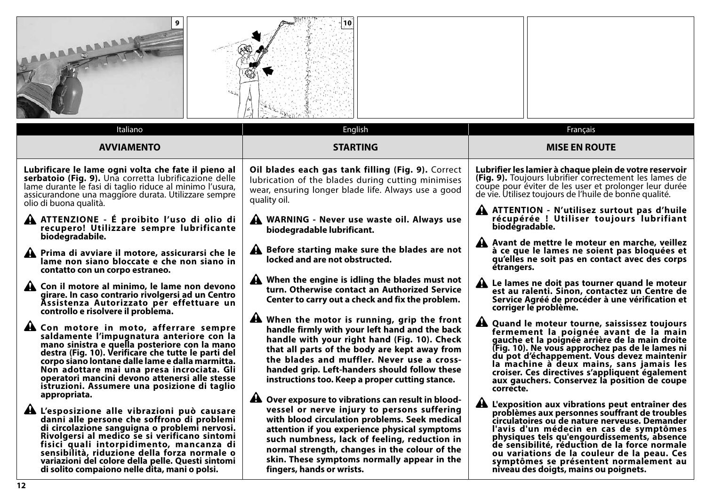| BARABAAA<br>Italiano                                                                                                                                                                                                                                                                                                                                                                                            | 10.<br>English                                                                                                                                                                                                                                                                                                                                                                          |                | Français                                                                                                                                                                                                                                                                                                                                                                                                                        |  |
|-----------------------------------------------------------------------------------------------------------------------------------------------------------------------------------------------------------------------------------------------------------------------------------------------------------------------------------------------------------------------------------------------------------------|-----------------------------------------------------------------------------------------------------------------------------------------------------------------------------------------------------------------------------------------------------------------------------------------------------------------------------------------------------------------------------------------|----------------|---------------------------------------------------------------------------------------------------------------------------------------------------------------------------------------------------------------------------------------------------------------------------------------------------------------------------------------------------------------------------------------------------------------------------------|--|
| <b>AVVIAMENTO</b>                                                                                                                                                                                                                                                                                                                                                                                               | <b>STARTING</b>                                                                                                                                                                                                                                                                                                                                                                         |                | <b>MISE EN ROUTE</b>                                                                                                                                                                                                                                                                                                                                                                                                            |  |
|                                                                                                                                                                                                                                                                                                                                                                                                                 |                                                                                                                                                                                                                                                                                                                                                                                         |                |                                                                                                                                                                                                                                                                                                                                                                                                                                 |  |
| Lubrificare le lame ogni volta che fate il pieno al<br>serbatoio (Fig. 9). Una corretta lubrificazione delle<br>lame durante le fasi di taglio riduce al minimo l'usura,<br>assicurandone una maggiore durata. Utilizzare sempre<br>olio di buona qualità.                                                                                                                                                      | Oil blades each gas tank filling (Fig. 9). Correct<br>lubrication of the blades during cutting minimises<br>wear, ensuring longer blade life. Always use a good<br>quality oil.                                                                                                                                                                                                         |                | Lubrifier les lamier à chaque plein de votre reservoir<br>(Fig. 9). Toujours lubrifier correctement les lames de<br>coupe pour éviter de les user et prolonger leur durée<br>de vie. Utilisez toujours de l'huile de bonne qualité.                                                                                                                                                                                             |  |
| A ATTENZIONE - É proibito l'uso di olio di<br>recupero! Utilizzare sempre lubrificante<br>biodegradabile.                                                                                                                                                                                                                                                                                                       | WARNING - Never use waste oil. Always use<br>biodegradable lubrificant.                                                                                                                                                                                                                                                                                                                 | biodégradable. | ATTENTION - N'utilisez surtout pas d'huile<br>récupérée ! Utiliser toujours lubrifiant<br>Avant de mettre le moteur en marche, veillez                                                                                                                                                                                                                                                                                          |  |
| A Prima di avviare il motore, assicurarsi che le<br>lame non siano bloccate e che non siano in<br>contatto con un corpo estraneo.                                                                                                                                                                                                                                                                               | A Before starting make sure the blades are not<br>locked and are not obstructed.                                                                                                                                                                                                                                                                                                        | étrangers.     | à ce que le lames ne soient pas bloquées et<br>qu'elles ne soit pas en contact avec des corps                                                                                                                                                                                                                                                                                                                                   |  |
| A Con il motore al minimo, le lame non devono<br>girare. In caso contrario rivolgersi ad un Centro<br>Assistenza Autorizzato per effettuare un<br>controllo e risolvere il problema.                                                                                                                                                                                                                            | When the engine is idling the blades must not<br>turn. Otherwise contact an Authorized Service<br>Center to carry out a check and fix the problem.                                                                                                                                                                                                                                      |                | A Le lames ne doit pas tourner quand le moteur<br>est au ralenti. Sinon, contactez un Centre de<br>Service Agréé de procéder à une vérification et<br>corriger le problème.                                                                                                                                                                                                                                                     |  |
| A Con motore in moto, afferrare sempre<br>saldamente l'impugnatura anteriore con la<br>mano sinistra e quella posteriore con la mano<br>destra (Fig. 10). Verificare che tutte le parti del<br>corpo siano lontane dalle lame e dalla marmitta.<br>Non adottare mai una presa incrociata. Gli<br>operatori mancini devono attenersi alle stesse<br>istruzioni. Assumere una posizione di taglio<br>appropriata. | A When the motor is running, grip the front<br>handle firmly with your left hand and the back<br>handle with your right hand (Fig. 10). Check<br>that all parts of the body are kept away from<br>the blades and muffler. Never use a cross-<br>handed grip. Left-handers should follow these<br>instructions too. Keep a proper cutting stance.                                        | ┻<br>correcte. | Quand le moteur tourne, saississez toujours<br>fermement la poignée avant de la main<br>gauche et la poignée arrière de la main droite<br>(Fig. 10). Ne vous approchez pas de le lames ni<br>du pot d'échappement. Vous devez maintenir<br>la machine à deux mains, sans jamais les<br>croiser. Ces directives s'appliquent également<br>aux gauchers. Conservez la position de coupe                                           |  |
| A L'esposizione alle vibrazioni può causare<br>danni alle persone che soffrono di problemi<br>di circolazione sanguigna o problemi nervosi.<br>Rivolgersi al medico se si verificano sintomi<br>fisici quali intorpidimento, mancanza di<br>sensibilità, riduzione della forza normale o<br>variazioni del colore della pelle. Questi sintomi<br>di solito compaiono nelle dita, mani o polsi.                  | <b>A</b> Over exposure to vibrations can result in blood-<br>vessel or nerve injury to persons suffering<br>with blood circulation problems. Seek medical<br>attention if you experience physical symptoms<br>such numbness, lack of feeling, reduction in<br>normal strength, changes in the colour of the<br>skin. These symptoms normally appear in the<br>fingers, hands or wrists. |                | A L'exposition aux vibrations peut entraîner des<br>problèmes aux personnes souffrant de troubles<br>circulatoires ou de nature nerveuse. Demander<br>l'avis d'un médecin en cas de symptômes<br>physiques tels qu'engourdissements, absence<br>de sensibilité, réduction de la force normale<br>ou variations de la couleur de la peau. Ces<br>symptômes se présentent normalement au<br>niveau des doigts, mains ou poignets. |  |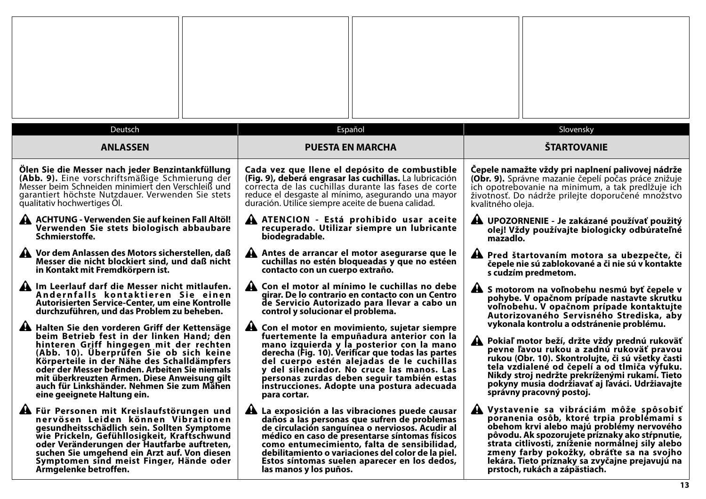| Deutsch                                                                                                                                                                                                                                                                                                                                                                                                                                                                                                                                                                                                 | Español                                                                                                                                                                                                                                                                                                                                                                                                                                                                                                                                                                                       | Slovensky                                                                                                                                                                                                                                                                                                                                                                                                                                                                                                                                                         |
|---------------------------------------------------------------------------------------------------------------------------------------------------------------------------------------------------------------------------------------------------------------------------------------------------------------------------------------------------------------------------------------------------------------------------------------------------------------------------------------------------------------------------------------------------------------------------------------------------------|-----------------------------------------------------------------------------------------------------------------------------------------------------------------------------------------------------------------------------------------------------------------------------------------------------------------------------------------------------------------------------------------------------------------------------------------------------------------------------------------------------------------------------------------------------------------------------------------------|-------------------------------------------------------------------------------------------------------------------------------------------------------------------------------------------------------------------------------------------------------------------------------------------------------------------------------------------------------------------------------------------------------------------------------------------------------------------------------------------------------------------------------------------------------------------|
| <b>ANLASSEN</b>                                                                                                                                                                                                                                                                                                                                                                                                                                                                                                                                                                                         | <b>PUESTA EN MARCHA</b>                                                                                                                                                                                                                                                                                                                                                                                                                                                                                                                                                                       | <b>ŠTARTOVANIE</b>                                                                                                                                                                                                                                                                                                                                                                                                                                                                                                                                                |
| Ölen Sie die Messer nach jeder Benzintankfüllung                                                                                                                                                                                                                                                                                                                                                                                                                                                                                                                                                        | Cada vez que llene el depósito de combustible                                                                                                                                                                                                                                                                                                                                                                                                                                                                                                                                                 | Čepele namažte vždy pri naplnení palivovej nádrže                                                                                                                                                                                                                                                                                                                                                                                                                                                                                                                 |
| (Abb. 9). Eine vorschriftsmäßige Schmierung der                                                                                                                                                                                                                                                                                                                                                                                                                                                                                                                                                         | (Fig. 9), deberá engrasar las cuchillas. La lubricación                                                                                                                                                                                                                                                                                                                                                                                                                                                                                                                                       | <b>(Obr. 9).</b> Správne mazanie čepelí počas práce znižuje                                                                                                                                                                                                                                                                                                                                                                                                                                                                                                       |
| Messer beim Schneiden minimiert den Verschleiß und                                                                                                                                                                                                                                                                                                                                                                                                                                                                                                                                                      | correcta de las cuchillas durante las fases de corte                                                                                                                                                                                                                                                                                                                                                                                                                                                                                                                                          | ich opotrebovanie na minimum, a tak predlžuje ich                                                                                                                                                                                                                                                                                                                                                                                                                                                                                                                 |
| garantiert höchste Nutzdauer. Verwenden Sie stets                                                                                                                                                                                                                                                                                                                                                                                                                                                                                                                                                       | reduce el desgaste al mínimo, asegurando una mayor                                                                                                                                                                                                                                                                                                                                                                                                                                                                                                                                            | životnosť. Do nádrže prilejte doporučené množstvo                                                                                                                                                                                                                                                                                                                                                                                                                                                                                                                 |
| qualitativ hochwertiges OI.                                                                                                                                                                                                                                                                                                                                                                                                                                                                                                                                                                             | duración. Utilice siempre aceite de buena calidad.                                                                                                                                                                                                                                                                                                                                                                                                                                                                                                                                            | kvalitného oleja.                                                                                                                                                                                                                                                                                                                                                                                                                                                                                                                                                 |
| A ACHTUNG - Verwenden Sie auf keinen Fall Altöl!                                                                                                                                                                                                                                                                                                                                                                                                                                                                                                                                                        | A ATENCION - Está prohibido usar aceite                                                                                                                                                                                                                                                                                                                                                                                                                                                                                                                                                       | A UPOZORNENIE - Je zakázané používať použitý                                                                                                                                                                                                                                                                                                                                                                                                                                                                                                                      |
| Verwenden Sie stets biologisch abbaubare                                                                                                                                                                                                                                                                                                                                                                                                                                                                                                                                                                | recuperado. Utilizar siempre un lubricante                                                                                                                                                                                                                                                                                                                                                                                                                                                                                                                                                    | olej! Vždy používajte biologicky odbúrateľné                                                                                                                                                                                                                                                                                                                                                                                                                                                                                                                      |
| Schmierstoffe.                                                                                                                                                                                                                                                                                                                                                                                                                                                                                                                                                                                          | biodegradable.                                                                                                                                                                                                                                                                                                                                                                                                                                                                                                                                                                                | mazadlo.                                                                                                                                                                                                                                                                                                                                                                                                                                                                                                                                                          |
| Vor dem Anlassen des Motors sicherstellen, daß                                                                                                                                                                                                                                                                                                                                                                                                                                                                                                                                                          | Antes de arrancar el motor asegurarse que le                                                                                                                                                                                                                                                                                                                                                                                                                                                                                                                                                  | A Pred štartovaním motora sa ubezpečte, či                                                                                                                                                                                                                                                                                                                                                                                                                                                                                                                        |
| Messer die nicht blockiert sind, und daß nicht                                                                                                                                                                                                                                                                                                                                                                                                                                                                                                                                                          | cuchillas no estén bloqueadas y que no estéen                                                                                                                                                                                                                                                                                                                                                                                                                                                                                                                                                 | čepele nie sú zablokované a či nie sú v kontakte                                                                                                                                                                                                                                                                                                                                                                                                                                                                                                                  |
| in Kontakt mit Fremdkörpern ist.                                                                                                                                                                                                                                                                                                                                                                                                                                                                                                                                                                        | contacto con un cuerpo extraño.                                                                                                                                                                                                                                                                                                                                                                                                                                                                                                                                                               | s cudzím predmetom.                                                                                                                                                                                                                                                                                                                                                                                                                                                                                                                                               |
| A Im Leerlauf darf die Messer nicht mitlaufen.<br>Andernfalls kontaktieren Sie einen<br>Autorisierten Service-Center, um eine Kontrolle<br>durchzuführen, und das Problem zu beheben.<br>A Halten Sie den vorderen Griff der Kettensäge<br>beim Betrieb fest in der linken Hand; den<br>hinteren Griff hingegen mit der rechten<br>(Abb. 10). Überprüfen Sie ob sich keine<br>Körperteile in der Nähe des Schalldämpfers<br>oder der Messer befinden. Arbeiten Sie niemals<br>mit überkreuzten Armen. Diese Anweisung gilt<br>auch für Linkshänder. Nehmen Sie zum Mähen<br>eine geeignete Haltung ein. | A Con el motor al mínimo le cuchillas no debe<br>girar. De lo contrario en contacto con un Centro<br>de Servicio Autorizado para llevar a cabo un<br>control y solucionar el problema.<br>A Con el motor en movimiento, sujetar siempre<br>fuertemente la empuñadura anterior con la<br>mano izquierda y la posterior con la mano<br>derecha (Fig. 10). Verificar que todas las partes<br>del cuerpo estén alejadas de le cuchillas<br>y del silenciador. No cruce las manos. Las<br>personas zurdas deben seguir también estas<br>instrucciones. Adopte una postura adecuada<br>para cortar. | A S motorom na voľnobehu nesmú byť čepele v<br>pohybe. V opačnom prípade nastavte skrutku<br>voľnobehu. V opačnom prípade kontaktujte<br>Autorizovaného Servisného Strediska, aby<br>vykonala kontrolu a odstránenie problému.<br>A Pokiaľ motor beží, držte vždy prednú rukoväť<br>pevne ľavou rukou a zadnú rukoväť pravou<br>rukou (Obr. 10). Skontrolujte, či sú všetky časti<br>tela vzdialené od čepelí a od tlmiča výfuku.<br>Nikdy stroj nedržte prekríženými rukamí. Tieto<br>pokyny musia dodržiavať aj ľaváci. Udržiavajte<br>správny pracovný postoj. |
| A Für Personen mit Kreislaufstörungen und                                                                                                                                                                                                                                                                                                                                                                                                                                                                                                                                                               | A La exposición a las vibraciones puede causar                                                                                                                                                                                                                                                                                                                                                                                                                                                                                                                                                | Vystavenie sa vibráciám môže spôsobiť                                                                                                                                                                                                                                                                                                                                                                                                                                                                                                                             |
| nervösen Leiden können Vibrationen                                                                                                                                                                                                                                                                                                                                                                                                                                                                                                                                                                      | daños a las personas que sufren de problemas                                                                                                                                                                                                                                                                                                                                                                                                                                                                                                                                                  | poranenia osôb, ktoré trpia problémami s                                                                                                                                                                                                                                                                                                                                                                                                                                                                                                                          |
| gesundheitsschädlich sein. Sollten Symptome                                                                                                                                                                                                                                                                                                                                                                                                                                                                                                                                                             | de circulación sanguínea o nerviosos. Acudir al                                                                                                                                                                                                                                                                                                                                                                                                                                                                                                                                               | obehom krvi alebo majú problémy nervového                                                                                                                                                                                                                                                                                                                                                                                                                                                                                                                         |
| wie Prickeln, Gefühllosigkeit, Kraftschwund                                                                                                                                                                                                                                                                                                                                                                                                                                                                                                                                                             | médico en caso de presentarse síntomas físicos                                                                                                                                                                                                                                                                                                                                                                                                                                                                                                                                                | pôvodu. Ak spozorujete príznaky ako stŕpnutie,                                                                                                                                                                                                                                                                                                                                                                                                                                                                                                                    |
| oder Veränderungen der Hautfarbe auftreten,                                                                                                                                                                                                                                                                                                                                                                                                                                                                                                                                                             | como entumecimiento, falta de sensibilidad,                                                                                                                                                                                                                                                                                                                                                                                                                                                                                                                                                   | strata citlivosti, zníženie normálnej sily alebo                                                                                                                                                                                                                                                                                                                                                                                                                                                                                                                  |
| suchen Sie umgehend ein Arzt auf. Von diesen                                                                                                                                                                                                                                                                                                                                                                                                                                                                                                                                                            | debilitamiento o variaciones del color de la piel.                                                                                                                                                                                                                                                                                                                                                                                                                                                                                                                                            | zmeny farby pokožky, obráťte sa na svojho                                                                                                                                                                                                                                                                                                                                                                                                                                                                                                                         |
| Symptomen sind meist Finger, Hände oder                                                                                                                                                                                                                                                                                                                                                                                                                                                                                                                                                                 | Estos síntomas suelen aparecer en los dedos,                                                                                                                                                                                                                                                                                                                                                                                                                                                                                                                                                  | lekára. Tieto príznaky sa zvyčajne prejavujú na                                                                                                                                                                                                                                                                                                                                                                                                                                                                                                                   |
| Armgelenke betroffen.                                                                                                                                                                                                                                                                                                                                                                                                                                                                                                                                                                                   | las manos y los puños.                                                                                                                                                                                                                                                                                                                                                                                                                                                                                                                                                                        | prstoch, rukách a zápästiach.                                                                                                                                                                                                                                                                                                                                                                                                                                                                                                                                     |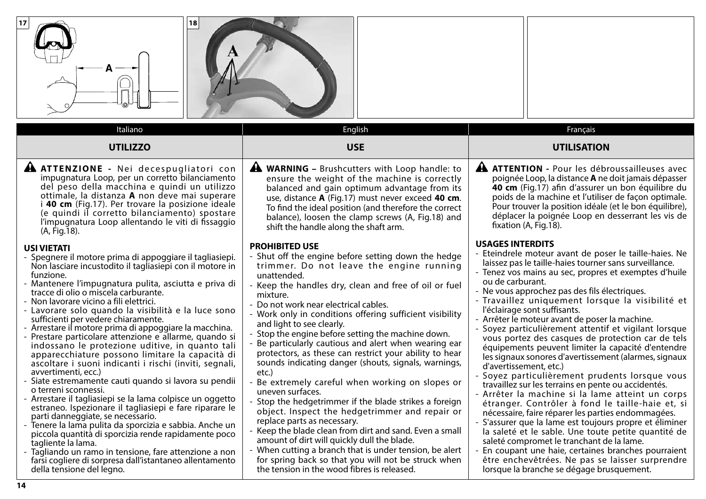| 18<br>17                                                                                                                                                                                                                                                                                                                                                                                                                                                                                                                                                                                                                                                                                                                                                                                                                                                                                                                                                                                                                                                                                                                                                                                                                                                                                                                                                                                                                                               |                                                                                                                                                                                                                                                                                                                                                                                                                                                                                                                                                                                                                                                                                                                                                                                                                                                                                                                                                                                                                                                                                                                                                                                                                                                                                        |                                                                                                                                                                                                                                                                                                                                                                                                                                                                                                                                                                                                                                                                                                                                                                                                                                                                                                                                                                                                                                                                                                                                                                                                                                                                                                                                                                                                                                                                                            |
|--------------------------------------------------------------------------------------------------------------------------------------------------------------------------------------------------------------------------------------------------------------------------------------------------------------------------------------------------------------------------------------------------------------------------------------------------------------------------------------------------------------------------------------------------------------------------------------------------------------------------------------------------------------------------------------------------------------------------------------------------------------------------------------------------------------------------------------------------------------------------------------------------------------------------------------------------------------------------------------------------------------------------------------------------------------------------------------------------------------------------------------------------------------------------------------------------------------------------------------------------------------------------------------------------------------------------------------------------------------------------------------------------------------------------------------------------------|----------------------------------------------------------------------------------------------------------------------------------------------------------------------------------------------------------------------------------------------------------------------------------------------------------------------------------------------------------------------------------------------------------------------------------------------------------------------------------------------------------------------------------------------------------------------------------------------------------------------------------------------------------------------------------------------------------------------------------------------------------------------------------------------------------------------------------------------------------------------------------------------------------------------------------------------------------------------------------------------------------------------------------------------------------------------------------------------------------------------------------------------------------------------------------------------------------------------------------------------------------------------------------------|--------------------------------------------------------------------------------------------------------------------------------------------------------------------------------------------------------------------------------------------------------------------------------------------------------------------------------------------------------------------------------------------------------------------------------------------------------------------------------------------------------------------------------------------------------------------------------------------------------------------------------------------------------------------------------------------------------------------------------------------------------------------------------------------------------------------------------------------------------------------------------------------------------------------------------------------------------------------------------------------------------------------------------------------------------------------------------------------------------------------------------------------------------------------------------------------------------------------------------------------------------------------------------------------------------------------------------------------------------------------------------------------------------------------------------------------------------------------------------------------|
| Italiano                                                                                                                                                                                                                                                                                                                                                                                                                                                                                                                                                                                                                                                                                                                                                                                                                                                                                                                                                                                                                                                                                                                                                                                                                                                                                                                                                                                                                                               | English                                                                                                                                                                                                                                                                                                                                                                                                                                                                                                                                                                                                                                                                                                                                                                                                                                                                                                                                                                                                                                                                                                                                                                                                                                                                                | Français                                                                                                                                                                                                                                                                                                                                                                                                                                                                                                                                                                                                                                                                                                                                                                                                                                                                                                                                                                                                                                                                                                                                                                                                                                                                                                                                                                                                                                                                                   |
| <b>UTILIZZO</b>                                                                                                                                                                                                                                                                                                                                                                                                                                                                                                                                                                                                                                                                                                                                                                                                                                                                                                                                                                                                                                                                                                                                                                                                                                                                                                                                                                                                                                        | <b>USE</b>                                                                                                                                                                                                                                                                                                                                                                                                                                                                                                                                                                                                                                                                                                                                                                                                                                                                                                                                                                                                                                                                                                                                                                                                                                                                             | <b>UTILISATION</b>                                                                                                                                                                                                                                                                                                                                                                                                                                                                                                                                                                                                                                                                                                                                                                                                                                                                                                                                                                                                                                                                                                                                                                                                                                                                                                                                                                                                                                                                         |
| A ATTENZIONE - Nei decespugliatori con<br>impugnatura Loop, per un corretto bilanciamento<br>del peso della macchina e quindi un utilizzo<br>ottimale, la distanza A non deve mai superare<br>40 cm (Fig.17). Per trovare la posizione ideale<br>(e quindi il corretto bilanciamento) spostare<br>l'impugnatura Loop allentando le viti di fissaggio<br>(A, Fig. 18).<br><b>USI VIETATI</b><br>- Spegnere il motore prima di appoggiare il tagliasiepi.<br>Non lasciare incustodito il tagliasiepi con il motore in<br>funzione.<br>- Mantenere l'impugnatura pulita, asciutta e priva di<br>tracce di olio o miscela carburante.<br>- Non lavorare vicino a fili elettrici.<br>- Lavorare solo quando la visibilità e la luce sono<br>sufficienti per vedere chiaramente.<br>- Arrestare il motore prima di appoggiare la macchina.<br>- Prestare particolare attenzione e allarme, quando si<br>indossano le protezione uditive, in quanto tali<br>apparecchiature possono limitare la capacità di<br>ascoltare i suoni indicanti i rischi (inviti, segnali,<br>avvertimenti, ecc.)<br>- Siate estremamente cauti quando si lavora su pendii<br>o terreni sconnessi.<br>- Arrestare il tagliasiepi se la lama colpisce un oggetto<br>estraneo. Ispezionare il tagliasiepi e fare riparare le<br>parti danneggiate, se necessario.<br>- Tenere la lama pulita da sporcizia e sabbia. Anche un<br>piccola quantità di sporcizia rende rapidamente poco | <b>A WARNING</b> - Brushcutters with Loop handle: to<br>ensure the weight of the machine is correctly<br>balanced and gain optimum advantage from its<br>use, distance A (Fig.17) must never exceed 40 cm.<br>To find the ideal position (and therefore the correct<br>balance), loosen the clamp screws (A, Fig.18) and<br>shift the handle along the shaft arm.<br><b>PROHIBITED USE</b><br>- Shut off the engine before setting down the hedge<br>trimmer. Do not leave the engine running<br>unattended.<br>Keep the handles dry, clean and free of oil or fuel<br>mixture.<br>Do not work near electrical cables.<br>- Work only in conditions offering sufficient visibility<br>and light to see clearly.<br>- Stop the engine before setting the machine down.<br>- Be particularly cautious and alert when wearing ear<br>protectors, as these can restrict your ability to hear<br>sounds indicating danger (shouts, signals, warnings,<br>etc.)<br>- Be extremely careful when working on slopes or<br>uneven surfaces.<br>- Stop the hedgetrimmer if the blade strikes a foreign<br>object. Inspect the hedgetrimmer and repair or<br>replace parts as necessary.<br>- Keep the blade clean from dirt and sand. Even a small<br>amount of dirt will quickly dull the blade. | A<br><b>ATTENTION - Pour les débroussailleuses avec</b><br>poignée Loop, la distance <b>A</b> ne doit jamais dépasser<br>40 cm (Fig.17) afin d'assurer un bon équilibre du<br>poids de la machine et l'utiliser de façon optimale.<br>Pour trouver la position idéale (et le bon équilibre),<br>déplacer la poignée Loop en desserrant les vis de<br>fixation (A, Fig.18).<br><b>USAGES INTERDITS</b><br>- Eteindrele moteur avant de poser le taille-haies. Ne<br>laissez pas le taille-haies tourner sans surveillance.<br>- Tenez vos mains au sec, propres et exemptes d'huile<br>ou de carburant.<br>- Ne vous approchez pas des fils électriques.<br>- Travaillez uniquement lorsque la visibilité et<br>l'éclairage sont suffisants.<br>- Arrêter le moteur avant de poser la machine.<br>- Soyez particulièrement attentif et vigilant lorsque<br>vous portez des casques de protection car de tels<br>équipements peuvent limiter la capacité d'entendre<br>les signaux sonores d'avertissement (alarmes, signaux<br>d'avertissement, etc.)<br>- Soyez particulièrement prudents lorsque vous<br>travaillez sur les terrains en pente ou accidentés.<br>- Arrêter la machine si la lame atteint un corps<br>étranger. Contrôler à fond le taille-haie et, si<br>nécessaire, faire réparer les parties endommagées.<br>- S'assurer que la lame est toujours propre et éliminer<br>la saleté et le sable. Une toute petite quantité de<br>saleté compromet le tranchant de la lame. |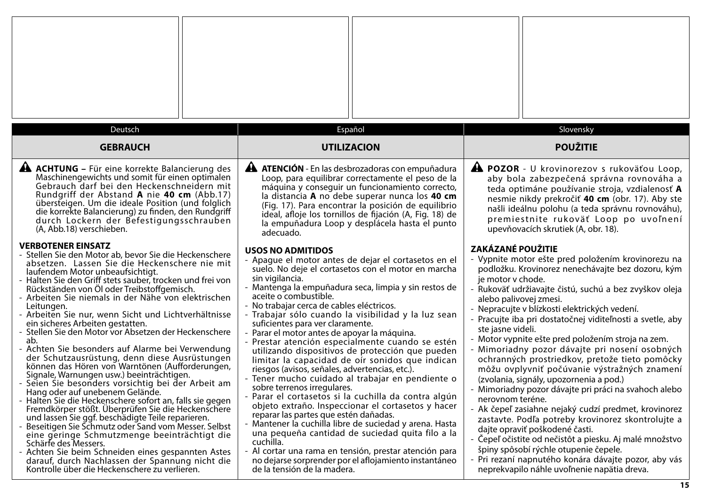| Deutsch                                                                                                                                                                                                                                                                                                                                                                                                                                                                                                                                                                                                                                                                                                                                                                                                                                                                                                                                                                                                                                                                                                                                                                                                                                                                          | Español                                                                                                                                                                                                                                                                                                                                                                                                                                                                                                                                                                                                                                                                                                                                                                                                                                                                                                                                                                                                                                                                                                                                                                   | Slovensky                                                                                                                                                                                                                                                                                                                                                                                                                                                                                                                                                                                                                                                                                                                                                                                                                                                                                                                                                                                                                                                                   |
|----------------------------------------------------------------------------------------------------------------------------------------------------------------------------------------------------------------------------------------------------------------------------------------------------------------------------------------------------------------------------------------------------------------------------------------------------------------------------------------------------------------------------------------------------------------------------------------------------------------------------------------------------------------------------------------------------------------------------------------------------------------------------------------------------------------------------------------------------------------------------------------------------------------------------------------------------------------------------------------------------------------------------------------------------------------------------------------------------------------------------------------------------------------------------------------------------------------------------------------------------------------------------------|---------------------------------------------------------------------------------------------------------------------------------------------------------------------------------------------------------------------------------------------------------------------------------------------------------------------------------------------------------------------------------------------------------------------------------------------------------------------------------------------------------------------------------------------------------------------------------------------------------------------------------------------------------------------------------------------------------------------------------------------------------------------------------------------------------------------------------------------------------------------------------------------------------------------------------------------------------------------------------------------------------------------------------------------------------------------------------------------------------------------------------------------------------------------------|-----------------------------------------------------------------------------------------------------------------------------------------------------------------------------------------------------------------------------------------------------------------------------------------------------------------------------------------------------------------------------------------------------------------------------------------------------------------------------------------------------------------------------------------------------------------------------------------------------------------------------------------------------------------------------------------------------------------------------------------------------------------------------------------------------------------------------------------------------------------------------------------------------------------------------------------------------------------------------------------------------------------------------------------------------------------------------|
| <b>GEBRAUCH</b>                                                                                                                                                                                                                                                                                                                                                                                                                                                                                                                                                                                                                                                                                                                                                                                                                                                                                                                                                                                                                                                                                                                                                                                                                                                                  | <b>UTILIZACION</b>                                                                                                                                                                                                                                                                                                                                                                                                                                                                                                                                                                                                                                                                                                                                                                                                                                                                                                                                                                                                                                                                                                                                                        | <b>POUŽITIE</b>                                                                                                                                                                                                                                                                                                                                                                                                                                                                                                                                                                                                                                                                                                                                                                                                                                                                                                                                                                                                                                                             |
| <b>A ACHTUNG</b> – Für eine korrekte Balancierung des<br>Maschinengewichts und somit für einen optimalen<br>Gebrauch darf bei den Heckenschneidern mit<br>Rundgriff der Abstand A nie 40 cm (Abb.17)<br>übersteigen. Um die ideale Position (und folglich<br>die korrekte Balancierung) zu finden, den Rundgriff<br>durch Lockern der Befestigungsschrauben<br>(A, Abb.18) verschieben.                                                                                                                                                                                                                                                                                                                                                                                                                                                                                                                                                                                                                                                                                                                                                                                                                                                                                          | <b>A ATENCIÓN</b> - En las desbrozadoras con empuñadura<br>Loop, para equilibrar correctamente el peso de la<br>máquina y conseguir un funcionamiento correcto,<br>la distancia A no debe superar nunca los 40 cm<br>(Fig. 17). Para encontrar la posición de equilibrio<br>ideal, afloje los tornillos de fijación (A, Fig. 18) de<br>la empuñadura Loop y desplácela hasta el punto<br>adecuado.                                                                                                                                                                                                                                                                                                                                                                                                                                                                                                                                                                                                                                                                                                                                                                        | A POZOR - U krovinorezov s rukoväťou Loop,<br>aby bola zabezpečená správna rovnováha a<br>teda optimáne používanie stroja, vzdialenosť A<br>nesmie nikdy prekročiť 40 cm (obr. 17). Aby ste<br>našli ideálnu polohu (a teda správnu rovnováhu),<br>premiestnite rukoväť Loop po uvoľnení<br>upevňovacích skrutiek (A, obr. 18).                                                                                                                                                                                                                                                                                                                                                                                                                                                                                                                                                                                                                                                                                                                                             |
| <b>VERBOTENER EINSATZ</b><br>- Stellen Sie den Motor ab, bevor Sie die Heckenschere<br>absetzen. Lassen Sie die Heckenschere nie mit<br>laufendem Motor unbeaufsichtigt.<br>- Halten Sie den Griff stets sauber, trocken und frei von<br>Rückständen von Öl oder Treibstoffgemisch.<br>- Arbeiten Sie niemals in der Nähe von elektrischen<br>Leitungen.<br>- Arbeiten Sie nur, wenn Sicht und Lichtverhältnisse<br>ein sicheres Arbeiten gestatten.<br>- Stellen Sie den Motor vor Absetzen der Heckenschere<br>ab.<br>- Achten Sie besonders auf Alarme bei Verwendung<br>der Schutzausrüstung, denn diese Ausrüstungen<br>können das Hören von Warntönen (Aufforderungen,<br>Signale, Warnungen usw.) beeinträchtigen.<br>Seien Sie besonders vorsichtig bei der Arbeit am<br>Hang oder auf unebenem Gelände.<br>- Halten Sie die Heckenschere sofort an, falls sie gegen<br>Fremdkörper stößt. Überprüfen Sie die Heckenschere<br>und lassen Sie ggf. beschädigte Teile reparieren.<br>Beseitigen Sie Schmutz oder Sand vom Messer. Selbst<br>eine geringe Schmutzmenge beeinträchtigt die<br>Schärfe des Messers.<br>- Achten Sie beim Schneiden eines gespannten Astes<br>darauf, durch Nachlassen der Spannung nicht die<br>Kontrolle über die Heckenschere zu verlieren. | <b>USOS NO ADMITIDOS</b><br>- Apague el motor antes de dejar el cortasetos en el<br>suelo. No deje el cortasetos con el motor en marcha<br>sin vigilancia.<br>- Mantenga la empuñadura seca, limpia y sin restos de<br>aceite o combustible.<br>- No trabajar cerca de cables eléctricos.<br>- Trabajar sólo cuando la visibilidad y la luz sean<br>suficientes para ver claramente.<br>- Parar el motor antes de apoyar la máquina.<br>- Prestar atención especialmente cuando se estén<br>utilizando dispositivos de protección que pueden<br>limitar la capacidad de oír sonidos que indican<br>riesgos (avisos, señales, advertencias, etc.).<br>- Tener mucho cuidado al trabajar en pendiente o<br>sobre terrenos irregulares.<br>- Parar el cortasetos si la cuchilla da contra algún<br>objeto extraño. Inspeccionar el cortasetos y hacer<br>reparar las partes que estén dañadas.<br>- Mantener la cuchilla libre de suciedad y arena. Hasta<br>una pequeña cantidad de suciedad quita filo a la<br>cuchilla.<br>- Al cortar una rama en tensión, prestar atención para<br>no dejarse sorprender por el aflojamiento instantáneo<br>de la tensión de la madera. | <b>ZAKÁZANÉ POUŽITIE</b><br>- Vypnite motor ešte pred položením krovinorezu na<br>podložku. Krovinorez nenechávajte bez dozoru, kým<br>je motor v chode.<br>- Rukoväť udržiavajte čistú, suchú a bez zvyškov oleja<br>alebo palivovej zmesi.<br>- Nepracujte v blízkosti elektrických vedení.<br>- Pracujte iba pri dostatočnej viditeľnosti a svetle, aby<br>ste jasne videli.<br>- Motor vypnite ešte pred položením stroja na zem.<br>- Mimoriadny pozor dávajte pri nosení osobných<br>ochranných prostriedkov, pretože tieto pomôcky<br>môžu ovplyvniť počúvanie výstražných znamení<br>(zvolania, signály, upozornenia a pod.)<br>- Mimoriadny pozor dávajte pri práci na svahoch alebo<br>nerovnom teréne.<br>- Ak čepeľ zasiahne nejaký cudzí predmet, krovinorez<br>zastavte. Podľa potreby krovinorez skontrolujte a<br>dajte opraviť poškodené časti.<br>- Čepeľ očistite od nečistôt a piesku. Aj malé množstvo<br>špiny spôsobí rýchle otupenie čepele.<br>- Pri rezaní napnutého konára dávajte pozor, aby vás<br>neprekvapilo náhle uvoľnenie napätia dreva. |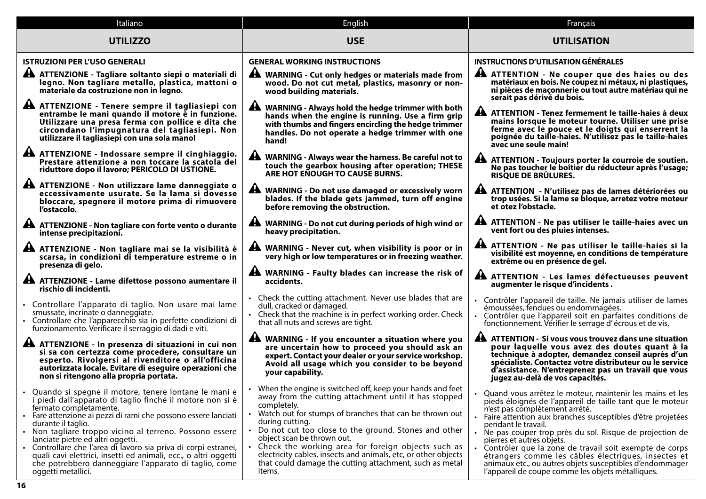| Italiano                                                                                                                                                                                                                                                                                                                                                                                                                                                                                                                                             | English                                                                                                                                                                                                                                                                                                                                                                                                                                                                                                  | Français                                                                                                                                                                                                                                                                                                                                                                                                                                                                                                                                                               |
|------------------------------------------------------------------------------------------------------------------------------------------------------------------------------------------------------------------------------------------------------------------------------------------------------------------------------------------------------------------------------------------------------------------------------------------------------------------------------------------------------------------------------------------------------|----------------------------------------------------------------------------------------------------------------------------------------------------------------------------------------------------------------------------------------------------------------------------------------------------------------------------------------------------------------------------------------------------------------------------------------------------------------------------------------------------------|------------------------------------------------------------------------------------------------------------------------------------------------------------------------------------------------------------------------------------------------------------------------------------------------------------------------------------------------------------------------------------------------------------------------------------------------------------------------------------------------------------------------------------------------------------------------|
| <b>UTILIZZO</b>                                                                                                                                                                                                                                                                                                                                                                                                                                                                                                                                      | <b>USE</b>                                                                                                                                                                                                                                                                                                                                                                                                                                                                                               | <b>UTILISATION</b>                                                                                                                                                                                                                                                                                                                                                                                                                                                                                                                                                     |
| <b>ISTRUZIONI PER L'USO GENERALI</b>                                                                                                                                                                                                                                                                                                                                                                                                                                                                                                                 | <b>GENERAL WORKING INSTRUCTIONS</b>                                                                                                                                                                                                                                                                                                                                                                                                                                                                      | <b>INSTRUCTIONS D'UTILISATION GÉNÉRALES</b>                                                                                                                                                                                                                                                                                                                                                                                                                                                                                                                            |
| A ATTENZIONE - Tagliare soltanto siepi o materiali di<br>legno. Non tagliare metallo, plastica, mattoni o<br>materiale da costruzione non in legno.                                                                                                                                                                                                                                                                                                                                                                                                  | A WARNING - Cut only hedges or materials made from<br>wood. Do not cut metal, plastics, masonry or non-<br>wood building materials.                                                                                                                                                                                                                                                                                                                                                                      | A ATTENTION - Ne couper que des haies ou des<br>matériaux en bois. Ne coupez ni métaux, ni plastiques,<br>ni pièces de maçonnerie ou tout autre matériau qui ne<br>serait pas dérivé du bois.                                                                                                                                                                                                                                                                                                                                                                          |
| A ATTENZIONE - Tenere sempre il tagliasiepi con<br>entrambe le mani quando il motore è in funzione.<br>Utilizzare una presa ferma con pollice e dita che<br>circondano l'impugnatura del tagliasiepi. Non<br>utilizzare il tagliasiepi con una sola mano!                                                                                                                                                                                                                                                                                            | WARNING - Always hold the hedge trimmer with both<br>hands when the engine is running. Use a firm grip<br>with thumbs and fingers encircling the hedge trimmer<br>handles. Do not operate a hedge trimmer with one<br>hand!                                                                                                                                                                                                                                                                              | ATTENTION - Tenez fermement le taille-haies à deux<br>mains lorsque le moteur tourne. Utiliser une prise<br>ferme avec le pouce et le doigts qui enserrent la<br>poignée du taille-haies. N'utilisez pas le taille-haies<br>avec une seule main!                                                                                                                                                                                                                                                                                                                       |
| A ATTENZIONE - Indossare sempre il cinghiaggio.<br>Prestare attenzione a non toccare la scatola del<br>riduttore dopo il lavoro; PERICOLO DI USTIONE.                                                                                                                                                                                                                                                                                                                                                                                                | A WARNING - Always wear the harness. Be careful not to<br>touch the gearbox housing after operation; THESE<br>ARE HOT ENOUGH TO CAUSE BURNS.                                                                                                                                                                                                                                                                                                                                                             | A ATTENTION - Toujours porter la courroie de soutien.<br>Ne pas toucher le boîtier du réducteur après l'usage;<br>RISQUE DE BRÛLURES.                                                                                                                                                                                                                                                                                                                                                                                                                                  |
| A ATTENZIONE - Non utilizzare lame danneggiate o<br>eccessivamente usurate. Se la lama si dovesse<br>bloccare, spegnere il motore prima di rimuovere<br>l'ostacolo.                                                                                                                                                                                                                                                                                                                                                                                  | <b>WARNING - Do not use damaged or excessively worn</b><br>blades. If the blade gets jammed, turn off engine<br>before removing the obstruction.                                                                                                                                                                                                                                                                                                                                                         | ATTENTION - N'utilisez pas de lames détériorées ou<br>trop usées. Si la lame se bloque, arretez votre moteur<br>et otez l'obstacle.                                                                                                                                                                                                                                                                                                                                                                                                                                    |
| A ATTENZIONE - Non tagliare con forte vento o durante<br>intense precipitazioni.                                                                                                                                                                                                                                                                                                                                                                                                                                                                     | A WARNING - Do not cut during periods of high wind or<br>heavy precipitation.                                                                                                                                                                                                                                                                                                                                                                                                                            | ATTENTION - Ne pas utiliser le taille-haies avec un<br>vent fort ou des pluies intenses.                                                                                                                                                                                                                                                                                                                                                                                                                                                                               |
| A ATTENZIONE - Non tagliare mai se la visibilità è<br>scarsa, in condizioni di temperature estreme o in<br>presenza di gelo.                                                                                                                                                                                                                                                                                                                                                                                                                         | A WARNING - Never cut, when visibility is poor or in<br>very high or low temperatures or in freezing weather.                                                                                                                                                                                                                                                                                                                                                                                            | ATTENTION - Ne pas utiliser le taille-haies si la<br>visibilité est moyenne, en conditions de température<br>extrême ou en présence de gel.                                                                                                                                                                                                                                                                                                                                                                                                                            |
| A ATTENZIONE - Lame difettose possono aumentare il<br>rischio di incidenti.                                                                                                                                                                                                                                                                                                                                                                                                                                                                          | A WARNING - Faulty blades can increase the risk of<br>accidents.                                                                                                                                                                                                                                                                                                                                                                                                                                         | ATTENTION - Les lames défectueuses peuvent<br>augmenter le risque d'incidents.                                                                                                                                                                                                                                                                                                                                                                                                                                                                                         |
| • Controllare l'apparato di taglio. Non usare mai lame<br>smussate, incrinate o danneggiate.<br>• Controllare che l'apparecchio sia in perfette condizioni di<br>funzionamento. Verificare il serraggio di dadi e viti.                                                                                                                                                                                                                                                                                                                              | • Check the cutting attachment. Never use blades that are<br>dull, cracked or damaged.<br>• Check that the machine is in perfect working order. Check<br>that all nuts and screws are tight.                                                                                                                                                                                                                                                                                                             | • Contrôler l'appareil de taille. Ne jamais utiliser de lames<br>émoussées, fendues ou endommagées.<br>Contrôler que l'appareil soit en parfaites conditions de<br>fonctionnement. Vérifier le serrage d'écrous et de vis.                                                                                                                                                                                                                                                                                                                                             |
| A ATTENZIONE - In presenza di situazioni in cui non<br>si sa con certezza come procedere, consultare un<br>esperto. Rivolgersi al rivenditore o all'officina<br>autorizzata locale. Evitare di eseguire operazioni che<br>non si ritengono alla propria portata.                                                                                                                                                                                                                                                                                     | WARNING - If you encounter a situation where you<br>are uncertain how to proceed you should ask an<br>expert. Contact your dealer or your service workshop.<br>Avoid all usage which you consider to be beyond<br>your capability.                                                                                                                                                                                                                                                                       | A ATTENTION - Si vous vous trouvez dans une situation<br>pour laquelle vous avez des doutes quant à la<br>technique à adopter, demandez conseil auprès d'un<br>spécialiste. Contactez votre distributeur ou le service<br>d'assistance. N'entreprenez pas un travail que vous<br>jugez au-delà de vos capacités.                                                                                                                                                                                                                                                       |
| Quando si spegne il motore, tenere lontane le mani e<br>piedi dall'apparato di taglio finché il motore non si è<br>fermato completamente.<br>• Fare attenzione ai pezzi di rami che possono essere lanciati<br>durante il taglio.<br>· Non tagliare troppo vicino al terreno. Possono essere<br>lanciate pietre ed altri oggetti.<br>Controllare che l'area di lavoro sia priva di corpi estranei,<br>quali cavi elettrici, insetti ed animali, ecc., o altri oggetti<br>che potrebbero danneggiare l'apparato di taglio, come<br>oggetti metallici. | When the engine is switched off, keep your hands and feet<br>away from the cutting attachment until it has stopped<br>completely.<br>• Watch out for stumps of branches that can be thrown out<br>during cutting.<br>• Do not cut too close to the ground. Stones and other<br>object scan be thrown out.<br>• Check the working area for foreign objects such as<br>electricity cables, insects and animals, etc, or other objects<br>that could damage the cutting attachment, such as metal<br>items. | Quand vous arrêtez le moteur, maintenir les mains et les<br>pieds éloignés de l'appareil de taille tant que le moteur<br>n'est pas complètement arrêté.<br>Faire attention aux branches susceptibles d'être projetées<br>pendant le travail.<br>Ne pas couper trop près du sol. Risque de projection de<br>pierres et autres objets.<br>Contrôler que la zone de travail soit exempte de corps<br>étrangers comme les câbles électriques, insectes et<br>animaux etc., ou autres objets susceptibles d'endommager<br>l'appareil de coupe comme les objets métalliques. |
| 16                                                                                                                                                                                                                                                                                                                                                                                                                                                                                                                                                   |                                                                                                                                                                                                                                                                                                                                                                                                                                                                                                          |                                                                                                                                                                                                                                                                                                                                                                                                                                                                                                                                                                        |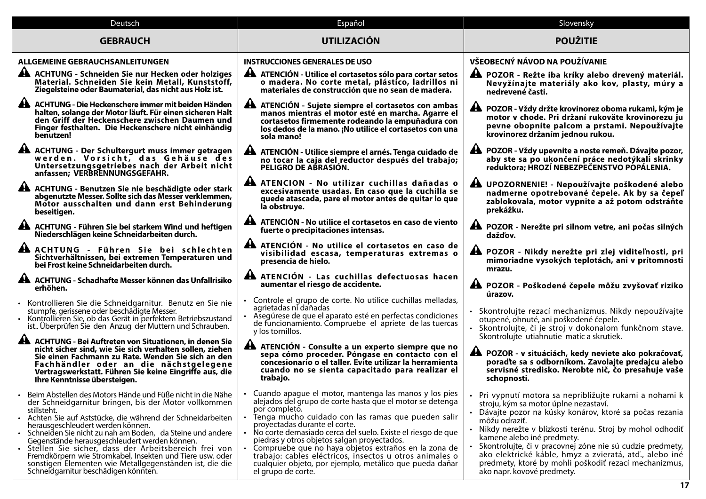| Deutsch                                                                                                                                                                                                                                                                                                                                                                                                                                                                                                                                                                          | Español                                                                                                                                                                                                                                                                                                                                                                                                                                                                                                                                      | Slovensky                                                                                                                                                                                                                                                                                                                                                                                                                                                                             |
|----------------------------------------------------------------------------------------------------------------------------------------------------------------------------------------------------------------------------------------------------------------------------------------------------------------------------------------------------------------------------------------------------------------------------------------------------------------------------------------------------------------------------------------------------------------------------------|----------------------------------------------------------------------------------------------------------------------------------------------------------------------------------------------------------------------------------------------------------------------------------------------------------------------------------------------------------------------------------------------------------------------------------------------------------------------------------------------------------------------------------------------|---------------------------------------------------------------------------------------------------------------------------------------------------------------------------------------------------------------------------------------------------------------------------------------------------------------------------------------------------------------------------------------------------------------------------------------------------------------------------------------|
| <b>GEBRAUCH</b>                                                                                                                                                                                                                                                                                                                                                                                                                                                                                                                                                                  | <b>UTILIZACIÓN</b>                                                                                                                                                                                                                                                                                                                                                                                                                                                                                                                           | <b>POUŽITIE</b>                                                                                                                                                                                                                                                                                                                                                                                                                                                                       |
| <b>ALLGEMEINE GEBRAUCHSANLEITUNGEN</b>                                                                                                                                                                                                                                                                                                                                                                                                                                                                                                                                           | <b>INSTRUCCIONES GENERALES DE USO</b>                                                                                                                                                                                                                                                                                                                                                                                                                                                                                                        | VŠEOBECNÝ NÁVOD NA POUŽÍVANIE                                                                                                                                                                                                                                                                                                                                                                                                                                                         |
| A ACHTUNG - Schneiden Sie nur Hecken oder holziges<br>Material. Schneiden Sie kein Metall, Kunststoff,<br>Ziegelsteine oder Baumaterial, das nicht aus Holz ist.                                                                                                                                                                                                                                                                                                                                                                                                                 | A ATENCIÓN - Utilice el cortasetos sólo para cortar setos<br>o madera. No corte metal, plástico, ladrillos ni<br>materiales de construcción que no sean de madera.                                                                                                                                                                                                                                                                                                                                                                           | A POZOR - Režte iba kríky alebo drevený materiál.<br>Nevyžínajte materiály ako kov, plasty, múry a<br>nedrevené časti.                                                                                                                                                                                                                                                                                                                                                                |
| AL<br>ACHTUNG - Die Heckenschere immer mit beiden Händen<br>halten, solange der Motor läuft. Für einen sicheren Halt<br>den Griff der Heckenschere zwischen Daumen und<br>Finger festhalten. Die Heckenschere nicht einhändig<br>benutzen!                                                                                                                                                                                                                                                                                                                                       | A ATENCIÓN - Sujete siempre el cortasetos con ambas<br>manos mientras el motor esté en marcha. Agarre el<br>cortasetos firmemente rodeando la empuñadura con<br>los dedos de la mano. ¡No utilice el cortasetos con una<br>sola mano!                                                                                                                                                                                                                                                                                                        | ▲ POZOR - Vždy držte krovinorez oboma rukami, kým je<br>motor v chode. Pri držaní rukoväte krovinorezu ju<br>pevne obopnite palcom a prstami. Nepoužívajte<br>krovinorez držaním jednou rukou.                                                                                                                                                                                                                                                                                        |
| ACHTUNG - Der Schultergurt muss immer getragen<br>werden. Vorsicht, das Gehäuse des<br>Untersetzungsgetriebes nach der Arbeit nicht<br>anfassen; VERBRENNUNGSGEFAHR.                                                                                                                                                                                                                                                                                                                                                                                                             | A ATENCIÓN - Utilice siempre el arnés. Tenga cuidado de<br>no tocar la caja del reductor después del trabajo;<br>PELIGRO DE ABRASIÓN.                                                                                                                                                                                                                                                                                                                                                                                                        | A POZOR - Vždy upevnite a noste remeň. Dávajte pozor,<br>aby ste sa po ukončení práce nedotýkali skrinky<br>reduktora; HROZÍ NEBEZPEČENSTVO POPÁLENIA.                                                                                                                                                                                                                                                                                                                                |
| A ACHTUNG - Benutzen Sie nie beschädigte oder stark<br>abgenutzte Messer. Sollte sich das Messer verklemmen,<br>Motor ausschalten und dann erst Behinderung<br>beseitigen.                                                                                                                                                                                                                                                                                                                                                                                                       | A ATENCION - No utilizar cuchillas dañadas o<br>excesivamente usadas. En caso que la cuchilla se<br>quede atascada, pare el motor antes de quitar lo que<br>la obstruye.                                                                                                                                                                                                                                                                                                                                                                     | A UPOZORNENIE! - Nepoužívajte poškodené alebo<br>nadmerne opotrebované čepele. Ak by sa čepeľ<br>zablokovala, motor vypnite a až potom odstráňte<br>prekážku.                                                                                                                                                                                                                                                                                                                         |
| AL ACHTUNG - Führen Sie bei starkem Wind und heftigen<br>Niederschlägen keine Schneidarbeiten durch.                                                                                                                                                                                                                                                                                                                                                                                                                                                                             | A ATENCIÓN - No utilice el cortasetos en caso de viento<br>fuerte o precipitaciones intensas.                                                                                                                                                                                                                                                                                                                                                                                                                                                | A POZOR - Nerežte pri silnom vetre, ani počas silných<br>dažďov.                                                                                                                                                                                                                                                                                                                                                                                                                      |
| A ACHTUNG - Führen Sie bei schlechten<br>Sichtverhältnissen, bei extremen Temperaturen und<br>bei Frost keine Schneidarbeiten durch.                                                                                                                                                                                                                                                                                                                                                                                                                                             | A ATENCIÓN - No utilice el cortasetos en caso de<br>visibilidad escasa, temperaturas extremas o<br>presencia de hielo.                                                                                                                                                                                                                                                                                                                                                                                                                       | A POZOR - Nikdy nerežte pri zlej viditeľnosti, pri<br>mimoriadne vysokých teplotách, ani v prítomnosti<br>mrazu.                                                                                                                                                                                                                                                                                                                                                                      |
| <b>44</b> ACHTUNG - Schadhafte Messer können das Unfallrisiko<br>erhöhen.                                                                                                                                                                                                                                                                                                                                                                                                                                                                                                        | A ATENCIÓN - Las cuchillas defectuosas hacen<br>aumentar el riesgo de accidente.                                                                                                                                                                                                                                                                                                                                                                                                                                                             | A POZOR - Poškodené čepele môžu zvyšovať riziko<br>úrazov.                                                                                                                                                                                                                                                                                                                                                                                                                            |
| Kontrollieren Sie die Schneidgarnitur. Benutz en Sie nie<br>stumpfe, gerissene oder beschädigte Messer.<br>Kontrollieren Sie, ob das Gerät in perfektem Betriebszustand<br>ist Überprüfen Sie den Anzug der Muttern und Schrauben.<br><b>44</b> ACHTUNG - Bei Auftreten von Situationen, in denen Sie                                                                                                                                                                                                                                                                            | • Controle el grupo de corte. No utilice cuchillas melladas,<br>agrietadas ni dañadas<br>Asegúrese de que el aparato esté en perfectas condiciones<br>de funcionamiento. Compruebe el apriete de las tuercas<br>y los tornillos.                                                                                                                                                                                                                                                                                                             | · Skontrolujte rezací mechanizmus. Nikdy nepoužívajte<br>otupené, ohnuté, ani poškodené čepele.<br>· Skontrolujte, či je stroj v dokonalom funkčnom stave.<br>Skontrolujte utiahnutie matíc a skrutiek.                                                                                                                                                                                                                                                                               |
| nicht sicher sind, wie Sie sich verhalten sollen, ziehen<br>Sie einen Fachmann zu Rate. Wenden Sie sich an den<br>Fachhändler oder an die nächstgelegene<br>Vertragswerkstatt. Führen Sie keine Eingriffe aus, die<br>Ihre Kenntnisse übersteigen.                                                                                                                                                                                                                                                                                                                               | A ATENCIÓN - Consulte a un experto siempre que no<br>sepa cómo proceder. Póngase en contacto con el<br>concesionario o el taller. Evite utilizar la herramienta<br>cuando no se sienta capacitado para realizar el<br>trabajo.                                                                                                                                                                                                                                                                                                               | A POZOR - v situáciách, kedy neviete ako pokračovať,<br>poradte sa s odborníkom. Zavolajte predajcu alebo<br>servisné stredisko. Nerobte nič, čo presahuje vaše<br>schopnosti.                                                                                                                                                                                                                                                                                                        |
| Beim Abstellen des Motors Hände und Füße nicht in die Nähe<br>der Schneidgarnitur bringen, bis der Motor vollkommen<br>stillsteht.<br>· Achten Sie auf Aststücke, die während der Schneidarbeiten<br>herausgeschleudert werden können.<br>· Schneiden Sie nicht zu nah am Boden, da Steine und andere<br>Gegenstände herausgeschleudert werden können.<br>· Stellen Sie sicher, dass der Arbeitsbereich frei von<br>Fremdkörpern wie Stromkabel, Insekten und Tiere usw. oder<br>sonstigen Elementen wie Metallgegenständen ist, die die<br>Schneidgarnitur beschädigen könnten. | Cuando apague el motor, mantenga las manos y los pies<br>alejados del grupo de corte hasta que el motor se detenga<br>por completo.<br>Tenga mucho cuidado con las ramas que pueden salir<br>proyectadas durante el corte.<br>No corte demasiado cerca del suelo. Existe el riesgo de que<br>piedras y otros objetos salgan proyectados.<br>Compruebe que no haya objetos extraños en la zona de<br>trabajo: cables eléctricos, insectos u otros animales o<br>cualquier objeto, por ejemplo, metálico que pueda dañar<br>el grupo de corte. | · Pri vypnutí motora sa nepribližujte rukami a nohami k<br>stroju, kým sa motor úplne nezastaví.<br>· Dávajte pozor na kúsky konárov, ktoré sa počas rezania<br>môžu odraziť.<br>Nikdy nerežte v blízkosti terénu. Stroj by mohol odhodiť<br>kamene alebo iné predmety.<br>Skontrolujte, či v pracovnej zóne nie sú cudzie predmety,<br>ako elektrické káble, hmyz a zvieratá, atď., alebo iné<br>predmety, ktoré by mohli poškodiť rezací mechanizmus,<br>ako napr. kovové predmety. |
|                                                                                                                                                                                                                                                                                                                                                                                                                                                                                                                                                                                  |                                                                                                                                                                                                                                                                                                                                                                                                                                                                                                                                              | 17                                                                                                                                                                                                                                                                                                                                                                                                                                                                                    |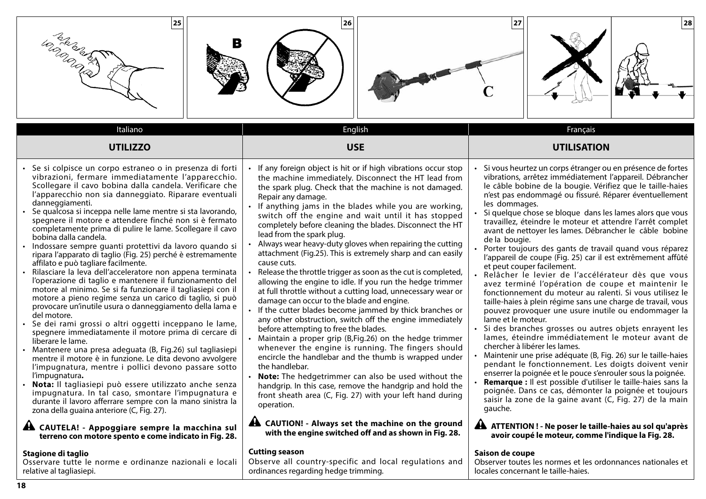| 25 <br>Land and S<br>В                                                                                                                                                                                                                                                                                                                                                                                                                                                                                                                                                                                                                                                                                                                                                                                                                                                                                                                                                                                                                                                                                                                                                                                                                                                                                                                                                                                                                                                                                                                                                                                                                                    | 26                                                                                                                                                                                                                                                                                                                                                                                                                                                                                                                                                                                                                                                                                                                                                                                                                                                                                                                                                                                                                                                                                                                                                                                                                                                                                                                                                                                                                                                                                      | 28 <br>27                                                                                                                                                                                                                                                                                                                                                                                                                                                                                                                                                                                                                                                                                                                                                                                                                                                                                                                                                                                                                                                                                                                                                                                                                                                                                                                                                                                                                                                                                                                                                                                                |
|-----------------------------------------------------------------------------------------------------------------------------------------------------------------------------------------------------------------------------------------------------------------------------------------------------------------------------------------------------------------------------------------------------------------------------------------------------------------------------------------------------------------------------------------------------------------------------------------------------------------------------------------------------------------------------------------------------------------------------------------------------------------------------------------------------------------------------------------------------------------------------------------------------------------------------------------------------------------------------------------------------------------------------------------------------------------------------------------------------------------------------------------------------------------------------------------------------------------------------------------------------------------------------------------------------------------------------------------------------------------------------------------------------------------------------------------------------------------------------------------------------------------------------------------------------------------------------------------------------------------------------------------------------------|-----------------------------------------------------------------------------------------------------------------------------------------------------------------------------------------------------------------------------------------------------------------------------------------------------------------------------------------------------------------------------------------------------------------------------------------------------------------------------------------------------------------------------------------------------------------------------------------------------------------------------------------------------------------------------------------------------------------------------------------------------------------------------------------------------------------------------------------------------------------------------------------------------------------------------------------------------------------------------------------------------------------------------------------------------------------------------------------------------------------------------------------------------------------------------------------------------------------------------------------------------------------------------------------------------------------------------------------------------------------------------------------------------------------------------------------------------------------------------------------|----------------------------------------------------------------------------------------------------------------------------------------------------------------------------------------------------------------------------------------------------------------------------------------------------------------------------------------------------------------------------------------------------------------------------------------------------------------------------------------------------------------------------------------------------------------------------------------------------------------------------------------------------------------------------------------------------------------------------------------------------------------------------------------------------------------------------------------------------------------------------------------------------------------------------------------------------------------------------------------------------------------------------------------------------------------------------------------------------------------------------------------------------------------------------------------------------------------------------------------------------------------------------------------------------------------------------------------------------------------------------------------------------------------------------------------------------------------------------------------------------------------------------------------------------------------------------------------------------------|
| Italiano                                                                                                                                                                                                                                                                                                                                                                                                                                                                                                                                                                                                                                                                                                                                                                                                                                                                                                                                                                                                                                                                                                                                                                                                                                                                                                                                                                                                                                                                                                                                                                                                                                                  | English                                                                                                                                                                                                                                                                                                                                                                                                                                                                                                                                                                                                                                                                                                                                                                                                                                                                                                                                                                                                                                                                                                                                                                                                                                                                                                                                                                                                                                                                                 | Français                                                                                                                                                                                                                                                                                                                                                                                                                                                                                                                                                                                                                                                                                                                                                                                                                                                                                                                                                                                                                                                                                                                                                                                                                                                                                                                                                                                                                                                                                                                                                                                                 |
| <b>UTILIZZO</b>                                                                                                                                                                                                                                                                                                                                                                                                                                                                                                                                                                                                                                                                                                                                                                                                                                                                                                                                                                                                                                                                                                                                                                                                                                                                                                                                                                                                                                                                                                                                                                                                                                           | <b>USE</b>                                                                                                                                                                                                                                                                                                                                                                                                                                                                                                                                                                                                                                                                                                                                                                                                                                                                                                                                                                                                                                                                                                                                                                                                                                                                                                                                                                                                                                                                              | <b>UTILISATION</b>                                                                                                                                                                                                                                                                                                                                                                                                                                                                                                                                                                                                                                                                                                                                                                                                                                                                                                                                                                                                                                                                                                                                                                                                                                                                                                                                                                                                                                                                                                                                                                                       |
| • Se si colpisce un corpo estraneo o in presenza di forti<br>vibrazioni, fermare immediatamente l'apparecchio.<br>Scollegare il cavo bobina dalla candela. Verificare che<br>l'apparecchio non sia danneggiato. Riparare eventuali<br>danneggiamenti.<br>Se qualcosa si inceppa nelle lame mentre si sta lavorando,<br>spegnere il motore e attendere finché non si è fermato<br>completamente prima di pulire le lame. Scollegare il cavo<br>bobina dalla candela.<br>· Indossare sempre guanti protettivi da lavoro quando si<br>ripara l'apparato di taglio (Fig. 25) perché è estremamente<br>affilato e può tagliare facilmente.<br>· Rilasciare la leva dell'acceleratore non appena terminata<br>l'operazione di taglio e mantenere il funzionamento del<br>motore al minimo. Se si fa funzionare il tagliasiepi con il<br>motore a pieno regime senza un carico di taglio, si può<br>provocare un'inutile usura o danneggiamento della lama e<br>del motore.<br>· Se dei rami grossi o altri oggetti inceppano le lame,<br>spegnere immediatamente il motore prima di cercare di<br>liberare le lame.<br>• Mantenere una presa adeguata (B, Fig.26) sul tagliasiepi<br>mentre il motore è in funzione. Le dita devono avvolgere<br>l'impugnatura, mentre i pollici devono passare sotto<br>l'impugnatura.<br>· Nota: Il tagliasiepi può essere utilizzato anche senza<br>impugnatura. In tal caso, smontare l'impugnatura e<br>durante il lavoro afferrare sempre con la mano sinistra la<br>zona della guaina anteriore (C, Fig. 27).<br>A CAUTELA! - Appoggiare sempre la macchina sul<br>terreno con motore spento e come indicato in Fig. 28. | If any foreign object is hit or if high vibrations occur stop<br>the machine immediately. Disconnect the HT lead from<br>the spark plug. Check that the machine is not damaged.<br>Repair any damage.<br>If anything jams in the blades while you are working,<br>switch off the engine and wait until it has stopped<br>completely before cleaning the blades. Disconnect the HT<br>lead from the spark plug.<br>Always wear heavy-duty gloves when repairing the cutting<br>attachment (Fig.25). This is extremely sharp and can easily<br>cause cuts.<br>Release the throttle trigger as soon as the cut is completed,<br>allowing the engine to idle. If you run the hedge trimmer<br>at full throttle without a cutting load, unnecessary wear or<br>damage can occur to the blade and engine.<br>• If the cutter blades become jammed by thick branches or<br>any other obstruction, switch off the engine immediately<br>before attempting to free the blades.<br>• Maintain a proper grip (B, Fig. 26) on the hedge trimmer<br>whenever the engine is running. The fingers should<br>encircle the handlebar and the thumb is wrapped under<br>the handlebar.<br><b>Note:</b> The hedgetrimmer can also be used without the<br>handgrip. In this case, remove the handgrip and hold the<br>front sheath area (C, Fig. 27) with your left hand during<br>operation.<br>A CAUTION! - Always set the machine on the ground<br>with the engine switched off and as shown in Fig. 28. | Si vous heurtez un corps étranger ou en présence de fortes<br>vibrations, arrêtez immédiatement l'appareil. Débrancher<br>le câble bobine de la bougie. Vérifiez que le taille-haies<br>n'est pas endommagé ou fissuré. Réparer éventuellement<br>les dommages.<br>Si quelque chose se bloque dans les lames alors que vous<br>travaillez, éteindre le moteur et attendre l'arrêt complet<br>avant de nettoyer les lames. Débrancher le câble bobine<br>de la bougie.<br>Porter toujours des gants de travail quand vous réparez<br>l'appareil de coupe (Fig. 25) car il est extrêmement affûté<br>et peut couper facilement.<br>Relâcher le levier de l'accélérateur dès que vous<br>avez terminé l'opération de coupe et maintenir le<br>fonctionnement du moteur au ralenti. Si vous utilisez le<br>taille-haies à plein régime sans une charge de travail, vous<br>pouvez provoquer une usure inutile ou endommager la<br>lame et le moteur.<br>Si des branches grosses ou autres objets enrayent les<br>lames, éteindre immédiatement le moteur avant de<br>chercher à libérer les lames.<br>Maintenir une prise adéquate (B, Fig. 26) sur le taille-haies<br>pendant le fonctionnement. Les doigts doivent venir<br>enserrer la poignée et le pouce s'enrouler sous la poignée.<br>Remarque : Il est possible d'utiliser le taille-haies sans la<br>poignée. Dans ce cas, démonter la poignée et toujours<br>saisir la zone de la gaine avant (C, Fig. 27) de la main<br>gauche.<br>A ATTENTION ! - Ne poser le taille-haies au sol qu'après<br>avoir coupé le moteur, comme l'indique la Fig. 28. |
| Stagione di taglio                                                                                                                                                                                                                                                                                                                                                                                                                                                                                                                                                                                                                                                                                                                                                                                                                                                                                                                                                                                                                                                                                                                                                                                                                                                                                                                                                                                                                                                                                                                                                                                                                                        | <b>Cutting season</b>                                                                                                                                                                                                                                                                                                                                                                                                                                                                                                                                                                                                                                                                                                                                                                                                                                                                                                                                                                                                                                                                                                                                                                                                                                                                                                                                                                                                                                                                   | Saison de coupe                                                                                                                                                                                                                                                                                                                                                                                                                                                                                                                                                                                                                                                                                                                                                                                                                                                                                                                                                                                                                                                                                                                                                                                                                                                                                                                                                                                                                                                                                                                                                                                          |
| Osservare tutte le norme e ordinanze nazionali e locali                                                                                                                                                                                                                                                                                                                                                                                                                                                                                                                                                                                                                                                                                                                                                                                                                                                                                                                                                                                                                                                                                                                                                                                                                                                                                                                                                                                                                                                                                                                                                                                                   | Observe all country-specific and local regulations and                                                                                                                                                                                                                                                                                                                                                                                                                                                                                                                                                                                                                                                                                                                                                                                                                                                                                                                                                                                                                                                                                                                                                                                                                                                                                                                                                                                                                                  | Observer toutes les normes et les ordonnances nationales et                                                                                                                                                                                                                                                                                                                                                                                                                                                                                                                                                                                                                                                                                                                                                                                                                                                                                                                                                                                                                                                                                                                                                                                                                                                                                                                                                                                                                                                                                                                                              |
| relative al tagliasiepi.                                                                                                                                                                                                                                                                                                                                                                                                                                                                                                                                                                                                                                                                                                                                                                                                                                                                                                                                                                                                                                                                                                                                                                                                                                                                                                                                                                                                                                                                                                                                                                                                                                  | ordinances regarding hedge trimming.                                                                                                                                                                                                                                                                                                                                                                                                                                                                                                                                                                                                                                                                                                                                                                                                                                                                                                                                                                                                                                                                                                                                                                                                                                                                                                                                                                                                                                                    | locales concernant le taille-haies.                                                                                                                                                                                                                                                                                                                                                                                                                                                                                                                                                                                                                                                                                                                                                                                                                                                                                                                                                                                                                                                                                                                                                                                                                                                                                                                                                                                                                                                                                                                                                                      |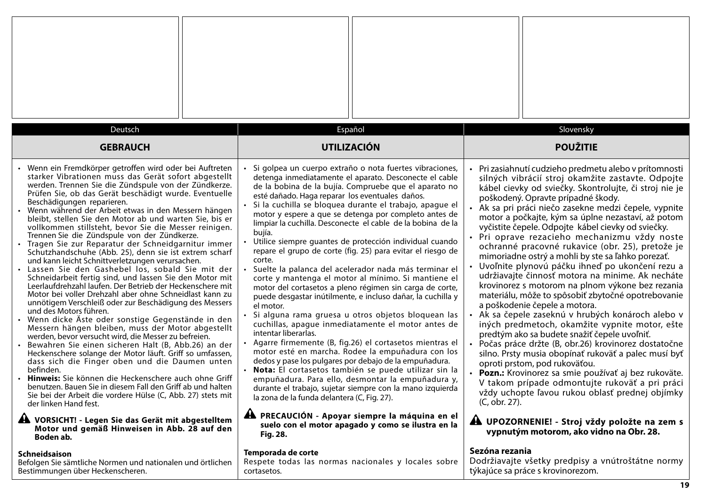| Deutsch                                                                                                                                                                                                                                                                                                                                                                                                                                                                                                                                                                                                                                                                                                                                                                                                                                                                                                                                                                                                                                                                                                                                                                                                                                                                                                                                                                                                                                                                                                                                                                                                                                                                            | Español                                                                                                                                                                                                                                                                                                                                                                                                                                                                                                                                                                                                                                                                                                                                                                                                                                                                                                                                                                                                                                                                                                                                                                                                                                                                                                                                                                                                                                                                                    | Slovensky                                                                                                                                                                                                                                                                                                                                                                                                                                                                                                                                                                                                                                                                                                                                                                                                                                                                                                                                                                                                                                                                                                                                                                                                                                                                                                                                                                 |
|------------------------------------------------------------------------------------------------------------------------------------------------------------------------------------------------------------------------------------------------------------------------------------------------------------------------------------------------------------------------------------------------------------------------------------------------------------------------------------------------------------------------------------------------------------------------------------------------------------------------------------------------------------------------------------------------------------------------------------------------------------------------------------------------------------------------------------------------------------------------------------------------------------------------------------------------------------------------------------------------------------------------------------------------------------------------------------------------------------------------------------------------------------------------------------------------------------------------------------------------------------------------------------------------------------------------------------------------------------------------------------------------------------------------------------------------------------------------------------------------------------------------------------------------------------------------------------------------------------------------------------------------------------------------------------|--------------------------------------------------------------------------------------------------------------------------------------------------------------------------------------------------------------------------------------------------------------------------------------------------------------------------------------------------------------------------------------------------------------------------------------------------------------------------------------------------------------------------------------------------------------------------------------------------------------------------------------------------------------------------------------------------------------------------------------------------------------------------------------------------------------------------------------------------------------------------------------------------------------------------------------------------------------------------------------------------------------------------------------------------------------------------------------------------------------------------------------------------------------------------------------------------------------------------------------------------------------------------------------------------------------------------------------------------------------------------------------------------------------------------------------------------------------------------------------------|---------------------------------------------------------------------------------------------------------------------------------------------------------------------------------------------------------------------------------------------------------------------------------------------------------------------------------------------------------------------------------------------------------------------------------------------------------------------------------------------------------------------------------------------------------------------------------------------------------------------------------------------------------------------------------------------------------------------------------------------------------------------------------------------------------------------------------------------------------------------------------------------------------------------------------------------------------------------------------------------------------------------------------------------------------------------------------------------------------------------------------------------------------------------------------------------------------------------------------------------------------------------------------------------------------------------------------------------------------------------------|
| <b>GEBRAUCH</b>                                                                                                                                                                                                                                                                                                                                                                                                                                                                                                                                                                                                                                                                                                                                                                                                                                                                                                                                                                                                                                                                                                                                                                                                                                                                                                                                                                                                                                                                                                                                                                                                                                                                    | <b>UTILIZACIÓN</b>                                                                                                                                                                                                                                                                                                                                                                                                                                                                                                                                                                                                                                                                                                                                                                                                                                                                                                                                                                                                                                                                                                                                                                                                                                                                                                                                                                                                                                                                         | <b>POUŽITIE</b>                                                                                                                                                                                                                                                                                                                                                                                                                                                                                                                                                                                                                                                                                                                                                                                                                                                                                                                                                                                                                                                                                                                                                                                                                                                                                                                                                           |
| Wenn ein Fremdkörper getroffen wird oder bei Auftreten<br>starker Vibrationen muss das Gerät sofort abgestellt<br>werden. Trennen Sie die Zündspule von der Zündkerze.<br>Prüfen Sie, ob das Gerät beschädigt wurde. Eventuelle<br>Beschädigungen reparieren.<br>• Wenn während der Arbeit etwas in den Messern hängen<br>bleibt, stellen Sie den Motor ab und warten Sie, bis er<br>vollkommen stillsteht, bevor Sie die Messer reinigen.<br>Trennen Sie die Zündspule von der Zündkerze.<br>· Tragen Sie zur Reparatur der Schneidgarnitur immer<br>Schutzhandschuhe (Abb. 25), denn sie ist extrem scharf<br>und kann leicht Schnittverletzungen verursachen.<br>· Lassen Sie den Gashebel los, sobald Sie mit der<br>Schneidarbeit fertig sind, und lassen Sie den Motor mit<br>Leerlaufdrehzahl laufen. Der Betrieb der Heckenschere mit<br>Motor bei voller Drehzahl aber ohne Schneidlast kann zu<br>unnötigem Verschleiß oder zur Beschädigung des Messers<br>und des Motors führen.<br>• Wenn dicke Äste oder sonstige Gegenstände in den<br>Messern hängen bleiben, muss der Motor abgestellt<br>werden, bevor versucht wird, die Messer zu befreien.<br>Bewahren Sie einen sicheren Halt (B, Abb.26) an der<br>Heckenschere solange der Motor läuft. Griff so umfassen,<br>dass sich die Finger oben und die Daumen unten<br>befinden.<br>Hinweis: Sie können die Heckenschere auch ohne Griff<br>benutzen. Bauen Sie in diesem Fall den Griff ab und halten<br>Sie bei der Arbeit die vordere Hülse (C, Abb. 27) stets mit<br>der linken Hand fest.<br>A VORSICHT! - Legen Sie das Gerät mit abgestelltem<br>Motor und gemäß Hinweisen in Abb. 28 auf den<br>Boden ab. | Si golpea un cuerpo extraño o nota fuertes vibraciones,<br>detenga inmediatamente el aparato. Desconecte el cable<br>de la bobina de la bujía. Compruebe que el aparato no<br>esté dañado. Haga reparar los eventuales daños.<br>Si la cuchilla se bloquea durante el trabajo, apague el<br>motor y espere a que se detenga por completo antes de<br>limpiar la cuchilla. Desconecte el cable de la bobina de la<br>bujía.<br>Utilice siempre guantes de protección individual cuando<br>repare el grupo de corte (fig. 25) para evitar el riesgo de<br>corte.<br>Suelte la palanca del acelerador nada más terminar el<br>corte y mantenga el motor al mínimo. Si mantiene el<br>motor del cortasetos a pleno régimen sin carga de corte,<br>puede desgastar inútilmente, e incluso dañar, la cuchilla y<br>el motor.<br>Si alguna rama gruesa u otros objetos bloquean las<br>cuchillas, apague inmediatamente el motor antes de<br>intentar liberarlas.<br>Agarre firmemente (B, fig.26) el cortasetos mientras el<br>motor esté en marcha. Rodee la empuñadura con los<br>dedos y pase los pulgares por debajo de la empuñadura.<br>· Nota: El cortasetos también se puede utilizar sin la<br>empuñadura. Para ello, desmontar la empuñadura y,<br>durante el trabajo, sujetar siempre con la mano izquierda<br>la zona de la funda delantera (C, Fig. 27).<br>A PRECAUCIÓN - Apoyar siempre la máquina en el<br>suelo con el motor apagado y como se ilustra en la<br><b>Fig. 28.</b> | Pri zasiahnutí cudzieho predmetu alebo v prítomnosti<br>silných vibrácií stroj okamžite zastavte. Odpojte<br>kábel cievky od sviečky. Skontrolujte, či stroj nie je<br>poškodený. Opravte prípadné škody.<br>Ak sa pri práci niečo zasekne medzi čepele, vypnite<br>motor a počkajte, kým sa úplne nezastaví, až potom<br>vyčistite čepele. Odpojte kábel cievky od sviečky.<br>Pri oprave rezacieho mechanizmu vždy noste<br>ochranné pracovné rukavice (obr. 25), pretože je<br>mimoriadne ostrý a mohli by ste sa ľahko porezať.<br>Uvoľnite plynovú páčku ihneď po ukončení rezu a<br>udržiavajte činnosť motora na minime. Ak necháte<br>krovinorez s motorom na plnom výkone bez rezania<br>materiálu, môže to spôsobiť zbytočné opotrebovanie<br>a poškodenie čepele a motora.<br>Ak sa čepele zaseknú v hrubých konároch alebo v<br>iných predmetoch, okamžite vypnite motor, ešte<br>predtým ako sa budete snažiť čepele uvoľniť.<br>Počas práce držte (B, obr.26) krovinorez dostatočne<br>silno. Prsty musia obopínať rukoväť a palec musí byť<br>oproti prstom, pod rukoväťou.<br><b>Pozn.:</b> Krovinorez sa smie používať aj bez rukoväte.<br>V takom prípade odmontujte rukoväť a pri práci<br>vždy uchopte ľavou rukou oblasť prednej objímky<br>(C, obr. 27).<br>A UPOZORNENIE! - Stroj vždy položte na zem s<br>vypnutým motorom, ako vidno na Obr. 28. |
| <b>Schneidsaison</b><br>Befolgen Sie sämtliche Normen und nationalen und örtlichen<br>Bestimmungen über Heckenscheren.                                                                                                                                                                                                                                                                                                                                                                                                                                                                                                                                                                                                                                                                                                                                                                                                                                                                                                                                                                                                                                                                                                                                                                                                                                                                                                                                                                                                                                                                                                                                                             | Temporada de corte<br>Respete todas las normas nacionales y locales sobre<br>cortasetos.                                                                                                                                                                                                                                                                                                                                                                                                                                                                                                                                                                                                                                                                                                                                                                                                                                                                                                                                                                                                                                                                                                                                                                                                                                                                                                                                                                                                   | Sezóna rezania<br>Dodržiavajte všetky predpisy a vnútroštátne normy<br>týkajúce sa práce s krovinorezom.                                                                                                                                                                                                                                                                                                                                                                                                                                                                                                                                                                                                                                                                                                                                                                                                                                                                                                                                                                                                                                                                                                                                                                                                                                                                  |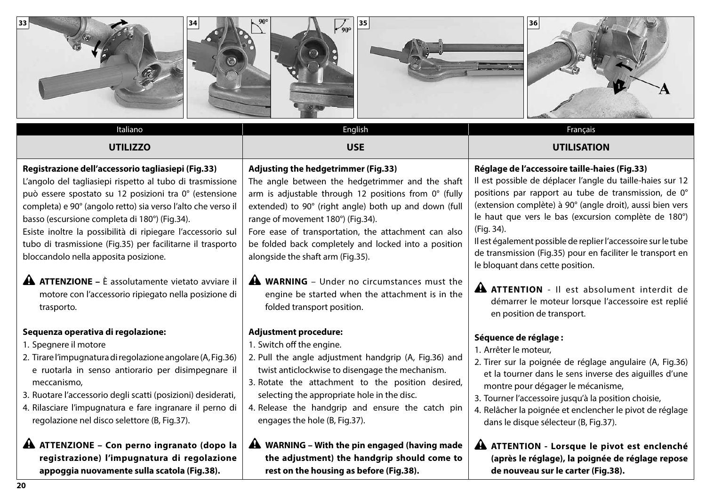| 33                                                                                                                                                                                                                                                                                                                                                                                                                                                                                                                                                                                   | 35<br>$\frac{1}{90^{\circ}}$                                                                                                                                                                                                                                                                                                                                                                                                                                                                                        | 36                                                                                                                                                                                                                                                                                                                                                                                                                                                                                                                              |
|--------------------------------------------------------------------------------------------------------------------------------------------------------------------------------------------------------------------------------------------------------------------------------------------------------------------------------------------------------------------------------------------------------------------------------------------------------------------------------------------------------------------------------------------------------------------------------------|---------------------------------------------------------------------------------------------------------------------------------------------------------------------------------------------------------------------------------------------------------------------------------------------------------------------------------------------------------------------------------------------------------------------------------------------------------------------------------------------------------------------|---------------------------------------------------------------------------------------------------------------------------------------------------------------------------------------------------------------------------------------------------------------------------------------------------------------------------------------------------------------------------------------------------------------------------------------------------------------------------------------------------------------------------------|
| Italiano                                                                                                                                                                                                                                                                                                                                                                                                                                                                                                                                                                             | English                                                                                                                                                                                                                                                                                                                                                                                                                                                                                                             | Français                                                                                                                                                                                                                                                                                                                                                                                                                                                                                                                        |
| <b>UTILIZZO</b>                                                                                                                                                                                                                                                                                                                                                                                                                                                                                                                                                                      | <b>USE</b>                                                                                                                                                                                                                                                                                                                                                                                                                                                                                                          | <b>UTILISATION</b>                                                                                                                                                                                                                                                                                                                                                                                                                                                                                                              |
| Registrazione dell'accessorio tagliasiepi (Fig.33)<br>L'angolo del tagliasiepi rispetto al tubo di trasmissione<br>può essere spostato su 12 posizioni tra 0° (estensione<br>completa) e 90° (angolo retto) sia verso l'alto che verso il<br>basso (escursione completa di 180°) (Fig.34).<br>Esiste inoltre la possibilità di ripiegare l'accessorio sul<br>tubo di trasmissione (Fig.35) per facilitarne il trasporto<br>bloccandolo nella apposita posizione.<br><b>A ATTENZIONE</b> - È assolutamente vietato avviare il<br>motore con l'accessorio ripiegato nella posizione di | <b>Adjusting the hedgetrimmer (Fig.33)</b><br>The angle between the hedgetrimmer and the shaft<br>arm is adjustable through 12 positions from 0° (fully<br>extended) to 90° (right angle) both up and down (full<br>range of movement 180°) (Fig.34).<br>Fore ease of transportation, the attachment can also<br>be folded back completely and locked into a position<br>alongside the shaft arm (Fig.35).<br><b>A WARNING</b> - Under no circumstances must the<br>engine be started when the attachment is in the | Réglage de l'accessoire taille-haies (Fig.33)<br>Il est possible de déplacer l'angle du taille-haies sur 12<br>positions par rapport au tube de transmission, de 0°<br>(extension complète) à 90° (angle droit), aussi bien vers<br>le haut que vers le bas (excursion complète de 180°)<br>(Fig. 34).<br>Il est également possible de replier l'accessoire sur le tube<br>de transmission (Fig.35) pour en faciliter le transport en<br>le bloquant dans cette position.<br><b>A ATTENTION</b> - Il est absolument interdit de |
| trasporto.<br>Sequenza operativa di regolazione:                                                                                                                                                                                                                                                                                                                                                                                                                                                                                                                                     | folded transport position.<br><b>Adjustment procedure:</b>                                                                                                                                                                                                                                                                                                                                                                                                                                                          | démarrer le moteur lorsque l'accessoire est replié<br>en position de transport.<br>Séquence de réglage :                                                                                                                                                                                                                                                                                                                                                                                                                        |
| 1. Spegnere il motore<br>2. Tirare l'impugnatura di regolazione angolare (A, Fig.36)<br>e ruotarla in senso antiorario per disimpegnare il<br>meccanismo,<br>3. Ruotare l'accessorio degli scatti (posizioni) desiderati,<br>4. Rilasciare l'impugnatura e fare ingranare il perno di<br>regolazione nel disco selettore (B, Fig.37).                                                                                                                                                                                                                                                | 1. Switch off the engine.<br>2. Pull the angle adjustment handgrip (A, Fig.36) and<br>twist anticlockwise to disengage the mechanism.<br>3. Rotate the attachment to the position desired,<br>selecting the appropriate hole in the disc.<br>4. Release the handgrip and ensure the catch pin<br>engages the hole (B, Fig.37).                                                                                                                                                                                      | 1. Arrêter le moteur,<br>2. Tirer sur la poignée de réglage angulaire (A, Fig.36)<br>et la tourner dans le sens inverse des aiguilles d'une<br>montre pour dégager le mécanisme,<br>3. Tourner l'accessoire jusqu'à la position choisie,<br>4. Relâcher la poignée et enclencher le pivot de réglage<br>dans le disque sélecteur (B, Fig.37).                                                                                                                                                                                   |
| A ATTENZIONE - Con perno ingranato (dopo la<br>registrazione) l'impugnatura di regolazione<br>appoggia nuovamente sulla scatola (Fig.38).                                                                                                                                                                                                                                                                                                                                                                                                                                            | $\triangle$ WARNING - With the pin engaged (having made<br>the adjustment) the handgrip should come to<br>rest on the housing as before (Fig.38).                                                                                                                                                                                                                                                                                                                                                                   | A ATTENTION - Lorsque le pivot est enclenché<br>(après le réglage), la poignée de réglage repose<br>de nouveau sur le carter (Fig.38).                                                                                                                                                                                                                                                                                                                                                                                          |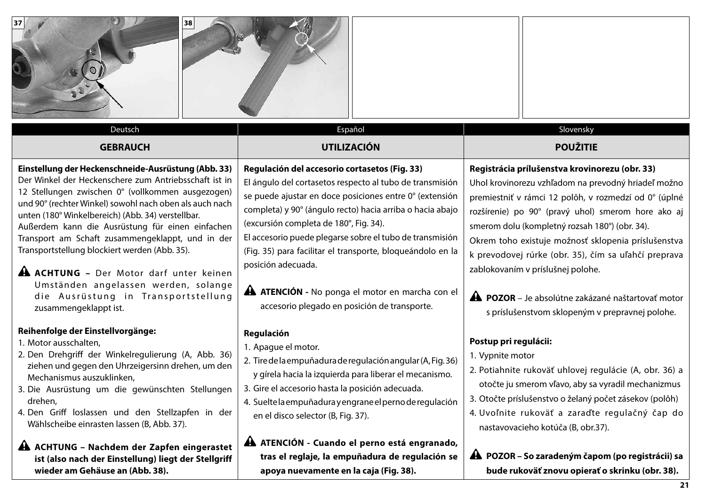| 38<br>Deutsch                                                                                                                                                                                                                                                                                                                                                                                                                                                                                                                                                                                        | Español                                                                                                                                                                                                                                                                                                                                                                                                                                                                                                                               | Slovensky                                                                                                                                                                                                                                                                                                                                                                                                                                                                                                                                 |
|------------------------------------------------------------------------------------------------------------------------------------------------------------------------------------------------------------------------------------------------------------------------------------------------------------------------------------------------------------------------------------------------------------------------------------------------------------------------------------------------------------------------------------------------------------------------------------------------------|---------------------------------------------------------------------------------------------------------------------------------------------------------------------------------------------------------------------------------------------------------------------------------------------------------------------------------------------------------------------------------------------------------------------------------------------------------------------------------------------------------------------------------------|-------------------------------------------------------------------------------------------------------------------------------------------------------------------------------------------------------------------------------------------------------------------------------------------------------------------------------------------------------------------------------------------------------------------------------------------------------------------------------------------------------------------------------------------|
| <b>GEBRAUCH</b>                                                                                                                                                                                                                                                                                                                                                                                                                                                                                                                                                                                      | <b>UTILIZACIÓN</b>                                                                                                                                                                                                                                                                                                                                                                                                                                                                                                                    | <b>POUŽITIE</b>                                                                                                                                                                                                                                                                                                                                                                                                                                                                                                                           |
| Einstellung der Heckenschneide-Ausrüstung (Abb. 33)<br>Der Winkel der Heckenschere zum Antriebsschaft ist in<br>12 Stellungen zwischen 0° (vollkommen ausgezogen)<br>und 90° (rechter Winkel) sowohl nach oben als auch nach<br>unten (180° Winkelbereich) (Abb. 34) verstellbar.<br>Außerdem kann die Ausrüstung für einen einfachen<br>Transport am Schaft zusammengeklappt, und in der<br>Transportstellung blockiert werden (Abb. 35).<br><b>A ACHTUNG</b> - Der Motor darf unter keinen<br>Umständen angelassen werden, solange<br>die Ausrüstung in Transportstellung<br>zusammengeklappt ist. | Regulación del accesorio cortasetos (Fig. 33)<br>El ángulo del cortasetos respecto al tubo de transmisión<br>se puede ajustar en doce posiciones entre 0° (extensión<br>completa) y 90° (ángulo recto) hacia arriba o hacia abajo<br>(excursión completa de 180°, Fig. 34).<br>El accesorio puede plegarse sobre el tubo de transmisión<br>(Fig. 35) para facilitar el transporte, bloqueándolo en la<br>posición adecuada.<br><b>A ATENCIÓN</b> - No ponga el motor en marcha con el<br>accesorio plegado en posición de transporte. | Registrácia prílušenstva krovinorezu (obr. 33)<br>Uhol krovinorezu vzhľadom na prevodný hriadeľ možno<br>premiestniť v rámci 12 polôh, v rozmedzí od 0° (úplné<br>rozšírenie) po 90° (pravý uhol) smerom hore ako aj<br>smerom dolu (kompletný rozsah 180°) (obr. 34).<br>Okrem toho existuje možnosť sklopenia príslušenstva<br>k prevodovej rúrke (obr. 35), čím sa uľahčí preprava<br>zablokovaním v príslušnej polohe.<br><b>A POZOR</b> – Je absolútne zakázané naštartovať motor<br>s príslušenstvom sklopeným v prepravnej polohe. |
| Reihenfolge der Einstellvorgänge:<br>1. Motor ausschalten,<br>2. Den Drehgriff der Winkelregulierung (A, Abb. 36)<br>ziehen und gegen den Uhrzeigersinn drehen, um den<br>Mechanismus auszuklinken,<br>3. Die Ausrüstung um die gewünschten Stellungen   3. Gire el accesorio hasta la posición adecuada.<br>drehen,<br>4. Den Griff loslassen und den Stellzapfen in der<br>Wählscheibe einrasten lassen (B, Abb. 37).                                                                                                                                                                              | Regulación<br>1. Apague el motor.<br>2. Tire de la empuñadura de regulación angular (A, Fig. 36)<br>y gírela hacia la izquierda para liberar el mecanismo.<br>4. Suelte la empuñadura y engrane el perno de regulación<br>en el disco selector (B, Fig. 37).                                                                                                                                                                                                                                                                          | Postup pri regulácii:<br>1. Vypnite motor<br>2. Potiahnite rukoväť uhlovej regulácie (A, obr. 36) a<br>otočte ju smerom vľavo, aby sa vyradil mechanizmus<br>3. Otočte príslušenstvo o želaný počet zásekov (polôh)<br>4. Uvoľnite rukoväť a zaraďte regulačný čap do<br>nastavovacieho kotúča (B, obr.37).                                                                                                                                                                                                                               |
| <b>A ACHTUNG - Nachdem der Zapfen eingerastet</b><br>ist (also nach der Einstellung) liegt der Stellgriff<br>wieder am Gehäuse an (Abb. 38).                                                                                                                                                                                                                                                                                                                                                                                                                                                         | A ATENCIÓN - Cuando el perno está engranado,<br>tras el reglaje, la empuñadura de regulación se<br>apoya nuevamente en la caja (Fig. 38).                                                                                                                                                                                                                                                                                                                                                                                             | A POZOR - So zaradeným čapom (po registrácii) sa<br>bude rukoväť znovu opierať o skrinku (obr. 38).                                                                                                                                                                                                                                                                                                                                                                                                                                       |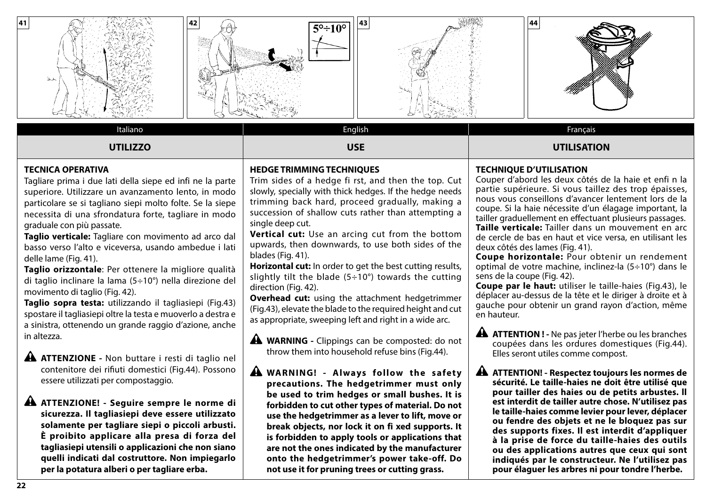

## **TECNICA OPERATIVA**

Tagliare prima i due lati della siepe ed infi ne la parte superiore. Utilizzare un avanzamento lento, in modo particolare se si tagliano siepi molto folte. Se la siepe necessita di una sfrondatura forte, tagliare in modo graduale con più passate.

**Taglio verticale:** Tagliare con movimento ad arco dal basso verso l'alto e viceversa, usando ambedue i lati delle lame (Fig. 41).

**Taglio orizzontale**: Per ottenere la migliore qualità di taglio inclinare la lama (5÷10°) nella direzione del movimento di taglio (Fig. 42).

**Taglio sopra testa:** utilizzando il tagliasiepi (Fig.43) spostare il tagliasiepi oltre la testa e muoverlo a destra e a sinistra, ottenendo un grande raggio d'azione, anche in altezza.

**ATTENZIONE -** Non buttare i resti di taglio nel contenitore dei rifiuti domestici (Fig.44). Possono essere utilizzati per compostaggio.

## **ATTENZIONE! - Seguire sempre le norme di sicurezza. Il tagliasiepi deve essere utilizzato solamente per tagliare siepi o piccoli arbusti. È proibito applicare alla presa di forza del tagliasiepi utensili o applicazioni che non siano quelli indicati dal costruttore. Non impiegarlo per la potatura alberi o per tagliare erba.**

### **HEDGE TRIMMING TECHNIQUES**

Trim sides of a hedge fi rst, and then the top. Cut slowly, specially with thick hedges. If the hedge needs trimming back hard, proceed gradually, making a succession of shallow cuts rather than attempting a single deep cut.

**Vertical cut:** Use an arcing cut from the bottom upwards, then downwards, to use both sides of the blades (Fig. 41).

**Horizontal cut:** In order to get the best cutting results, slightly tilt the blade  $(5 \div 10^{\circ})$  towards the cutting direction (Fig. 42).

**Overhead cut:** using the attachment hedgetrimmer (Fig.43), elevate the blade to the required height and cut as appropriate, sweeping left and right in a wide arc.

**A WARNING** - Clippings can be composted: do not throw them into household refuse bins (Fig.44).

**A** WARNING! - Always follow the safety **precautions. The hedgetrimmer must only be used to trim hedges or small bushes. It is forbidden to cut other types of material. Do not use the hedgetrimmer as a lever to lift, move or break objects, nor lock it on fi xed supports. It is forbidden to apply tools or applications that are not the ones indicated by the manufacturer onto the hedgetrimmer's power take-off. Do not use it for pruning trees or cutting grass.**

### **TECHNIQUE D'UTILISATION**

Couper d'abord les deux côtés de la haie et enfi n la partie supérieure. Si vous taillez des trop épaisses, nous vous conseillons d'avancer lentement lors de la coupe. Si la haie nécessite d'un élagage important, la tailler graduellement en effectuant plusieurs passages. **Taille verticale:** Tailler dans un mouvement en arc de cercle de bas en haut et vice versa, en utilisant les deux côtés des lames (Fig. 41).

**Coupe horizontale:** Pour obtenir un rendement optimal de votre machine, inclinez-la (5÷10°) dans le sens de la coupe (Fig. 42).

**Coupe par le haut:** utiliser le taille-haies (Fig.43), le déplacer au-dessus de la tête et le diriger à droite et à gauche pour obtenir un grand rayon d'action, même en hauteur.

**A ATTENTION ! -** Ne pas jeter l'herbe ou les branches coupées dans les ordures domestiques (Fig.44). Elles seront utiles comme compost.

**ATTENTION! - Respectez toujours les normes de sécurité. Le taille-haies ne doit être utilisé que pour tailler des haies ou de petits arbustes. ll est interdit de tailler autre chose. N'utilisez pas le taille-haies comme levier pour lever, déplacer ou fendre des objets et ne le bloquez pas sur des supports fixes. Il est interdit d'appliquer à la prise de force du taille-haies des outils ou des applications autres que ceux qui sont indiqués par le constructeur. Ne l'utilisez pas pour élaguer les arbres ni pour tondre l'herbe.**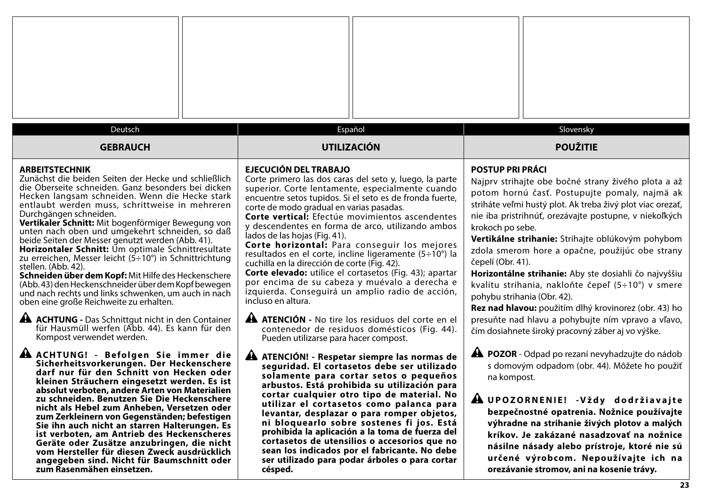| Deutsch<br><b>GEBRAUCH</b>                                                                                                                                                                                                                                                                                                                                                                                                                                                                                                                                                                                                                                                                                                                                                                                                                                                                                                                       | Español<br><b>UTILIZACIÓN</b>                                                                                                                                                                                                                                                                                                                                                                                                                                                                                                                                                                                                                                                                                                                                                                                                                                                                     | Slovensky<br><b>POUŽITIE</b>                                                                                                                                                                                                                                                                                                                                                                                                                                                                                                                                                                                                                                                                                              |
|--------------------------------------------------------------------------------------------------------------------------------------------------------------------------------------------------------------------------------------------------------------------------------------------------------------------------------------------------------------------------------------------------------------------------------------------------------------------------------------------------------------------------------------------------------------------------------------------------------------------------------------------------------------------------------------------------------------------------------------------------------------------------------------------------------------------------------------------------------------------------------------------------------------------------------------------------|---------------------------------------------------------------------------------------------------------------------------------------------------------------------------------------------------------------------------------------------------------------------------------------------------------------------------------------------------------------------------------------------------------------------------------------------------------------------------------------------------------------------------------------------------------------------------------------------------------------------------------------------------------------------------------------------------------------------------------------------------------------------------------------------------------------------------------------------------------------------------------------------------|---------------------------------------------------------------------------------------------------------------------------------------------------------------------------------------------------------------------------------------------------------------------------------------------------------------------------------------------------------------------------------------------------------------------------------------------------------------------------------------------------------------------------------------------------------------------------------------------------------------------------------------------------------------------------------------------------------------------------|
| <b>ARBEITSTECHNIK</b><br>Zunächst die beiden Seiten der Hecke und schließlich<br>die Oberseite schneiden. Ganz besonders bei dicken<br>Hecken langsam schneiden. Wenn die Hecke stark<br>entlaubt werden muss, schrittweise in mehreren<br>Durchgängen schneiden.<br>Vertikaler Schnitt: Mit bogenförmiger Bewegung von<br>unten nach oben und umgekehrt schneiden, so daß<br>beide Seiten der Messer genutzt werden (Abb. 41).<br>Horizontaler Schnitt: Um optimale Schnittresultate<br>zu erreichen, Messer leicht $(5 \div 10^{\circ})$ in Schnittrichtung<br>stellen. (Abb. 42).<br>Schneiden über dem Kopf: Mit Hilfe des Heckenschere<br>(Abb. 43) den Heckenschneider über dem Kopf bewegen<br>und nach rechts und links schwenken, um auch in nach<br>oben eine große Reichweite zu erhalten.<br><b>A ACHTUNG</b> - Das Schnittgut nicht in den Container<br>für Hausmüll werfen (Abb. 44). Es kann für den<br>Kompost verwendet werden. | <b>EJECUCIÓN DEL TRABAJO</b><br>Corte primero las dos caras del seto y, luego, la parte<br>superior. Corte lentamente, especialmente cuando<br>encuentre setos tupidos. Si el seto es de fronda fuerte,<br>corte de modo gradual en varias pasadas.<br>Corte vertical: Efectúe movimientos ascendentes<br>y descendentes en forma de arco, utilizando ambos<br>lados de las hojas (Fig. 41).<br>Corte horizontal: Para conseguir los mejores<br>resultados en el corte, incline ligeramente (5÷10°) la<br>cuchilla en la dirección de corte (Fig. 42).<br>Corte elevado: utilice el cortasetos (Fig. 43); apartar<br>por encima de su cabeza y muévalo a derecha e<br>izquierda. Conseguirá un amplio radio de acción,<br>incluso en altura.<br><b>A ATENCIÓN</b> - No tire los residuos del corte en el<br>contenedor de residuos domésticos (Fig. 44).<br>Pueden utilizarse para hacer compost. | <b>POSTUP PRI PRÁCI</b><br>Najprv strihajte obe bočné strany živého plota a až<br>potom hornú časť. Postupujte pomaly, najmä ak<br>striháte veľmi hustý plot. Ak treba živý plot viac orezať,<br>nie iba pristrihnúť, orezávajte postupne, v niekoľkých<br>krokoch po sebe.<br>Vertikálne strihanie: Strihajte oblúkovým pohybom<br>zdola smerom hore a opačne, použijúc obe strany<br>čepelí (Obr. 41).<br>Horizontálne strihanie: Aby ste dosiahli čo najvyššiu<br>kvalitu strihania, nakloňte čepeľ (5÷10°) v smere<br>pohybu strihania (Obr. 42).<br>Rez nad hlavou: použitím dlhý krovinorez (obr. 43) ho<br>presuňte nad hlavu a pohybujte ním vpravo a vľavo,<br>čím dosiahnete široký pracovný záber aj vo výške. |
| A ACHTUNG! - Befolgen Sie immer die<br>Sicherheitsvorkerungen. Der Heckenschere<br>darf nur für den Schnitt von Hecken oder<br>kleinen Sträuchern eingesetzt werden. Es ist<br>absolut verboten, andere Arten von Materialien<br>zu schneiden. Benutzen Sie Die Heckenschere<br>nicht als Hebel zum Anheben, Versetzen oder<br>zum Zerkleinern von Gegenständen; befestigen<br>Sie ihn auch nicht an starren Halterungen. Es<br>ist verboten, am Antrieb des Heckenscheres<br>Geräte oder Zusätze anzubringen, die nicht<br>vom Hersteller für diesen Zweck ausdrücklich<br>angegeben sind. Nicht für Baumschnitt oder<br>zum Rasenmähen einsetzen.                                                                                                                                                                                                                                                                                              | ATENCIÓN! - Respetar siempre las normas de<br>seguridad. El cortasetos debe ser utilizado<br>solamente para cortar setos o pequeños<br>arbustos. Está prohibida su utilización para<br>cortar cualquier otro tipo de material. No<br>utilizar el cortasetos como palanca para<br>levantar, desplazar o para romper objetos,<br>ni bloquearlo sobre sostenes fi jos. Está<br>prohibida la aplicación a la toma de fuerza del<br>cortasetos de utensilios o accesorios que no<br>sean los indicados por el fabricante. No debe<br>ser utilizado para podar árboles o para cortar<br>césped.                                                                                                                                                                                                                                                                                                         | <b>A POZOR</b> - Odpad po rezaní nevyhadzujte do nádob<br>s domovým odpadom (obr. 44). Môžete ho použiť<br>na kompost.<br>A UPOZORNENIE! - Vždy dodržiavajte<br>bezpečnostné opatrenia. Nožnice používajte<br>výhradne na strihanie živých plotov a malých<br>kríkov. Je zakázané nasadzovať na nožnice<br>násilne násady alebo prístroje, ktoré nie sú<br>určené výrobcom. Nepoužívajte ich na<br>orezávanie stromov, ani na kosenie trávy.                                                                                                                                                                                                                                                                              |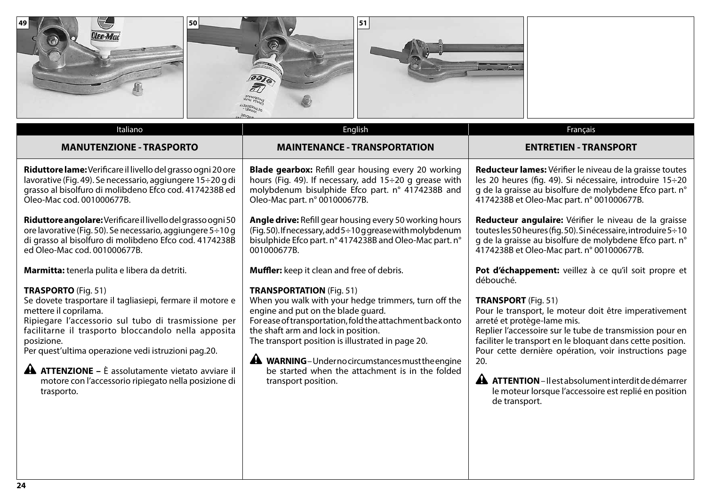

**Riduttore angolare:** Verificare il livello del grasso ogni 50 ore lavorative (Fig. 50). Se necessario, aggiungere 5÷10 g di grasso al bisolfuro di molibdeno Efco cod. 4174238B ed Oleo-Mac cod. 001000677B.

**Marmitta:** tenerla pulita e libera da detriti.

## **TRASPORTO** (Fig. 51)

Se dovete trasportare il tagliasiepi, fermare il motore e mettere il coprilama.

Ripiegare l'accessorio sul tubo di trasmissione per facilitarne il trasporto bloccandolo nella apposita posizione.

Per quest'ultima operazione vedi istruzioni pag.20.

**ATTENZIONE –** È assolutamente vietato avviare il motore con l'accessorio ripiegato nella posizione di trasporto.

## **TRANSPORTATION** (Fig. 51)

001000677B.

When you walk with your hedge trimmers, turn off the engine and put on the blade guard.

**Angle drive:** Refill gear housing every 50 working hours  $(Fia. 50)$ . If necessary, add  $5 \div 10$  g grease with molybdenum bisulphide Efco part. n° 4174238B and Oleo-Mac part. n°

For ease of transportation, fold the attachment back onto the shaft arm and lock in position.

The transport position is illustrated in page 20.

**Muffler:** keep it clean and free of debris.

**A WARNING**-Under no circumstances must the engine be started when the attachment is in the folded transport position.

# Pot d'échappement: veillez à ce qu'il soit propre et débouché.

4174238B et Oleo-Mac part. n° 001000677B.

**Reducteur angulaire:** Vérifier le niveau de la graisse toutes les 50 heures (fig. 50). Si nécessaire, introduire 5÷10 g de la graisse au bisolfure de molybdene Efco part. n°

## **TRANSPORT** (Fig. 51)

Pour le transport, le moteur doit être imperativement arreté et protège-lame mis.

Replier l'accessoire sur le tube de transmission pour en faciliter le transport en le bloquant dans cette position. Pour cette dernière opération, voir instructions page 20.

**ATTENTION** – Il est absolument interdit de démarrer le moteur lorsque l'accessoire est replié en position de transport.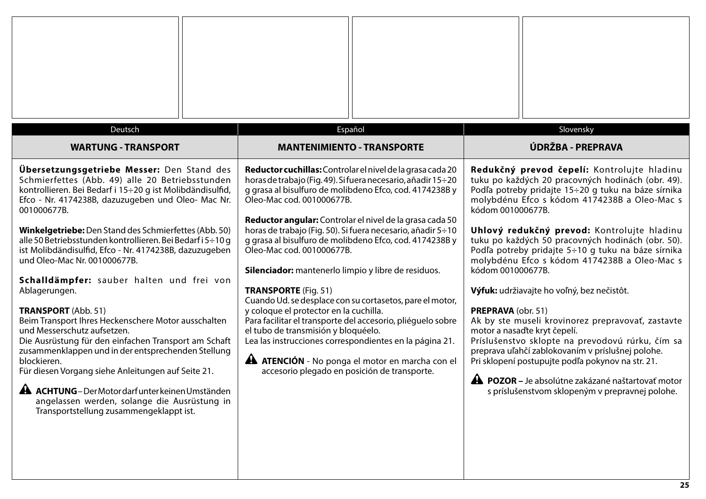| Deutsch<br><b>WARTUNG - TRANSPORT</b>                                                                                                                                                                                                                                                                                                                                                                                                                                                                                                                                                                                                                                                                                                                                                                                                                                                                                                                                               | Español<br><b>MANTENIMIENTO - TRANSPORTE</b>                                                                                                                                                                                                                                                                                                                                                                                                                                                                                                                                                                                                                                                                                                                                                                                                                                                                 | Slovensky<br>ÚDRŽBA - PREPRAVA                                                                                                                                                                                                                                                                                                                                                                                                                                                                                                                                                                                                                                                                                                                                                                                                                                                                     |
|-------------------------------------------------------------------------------------------------------------------------------------------------------------------------------------------------------------------------------------------------------------------------------------------------------------------------------------------------------------------------------------------------------------------------------------------------------------------------------------------------------------------------------------------------------------------------------------------------------------------------------------------------------------------------------------------------------------------------------------------------------------------------------------------------------------------------------------------------------------------------------------------------------------------------------------------------------------------------------------|--------------------------------------------------------------------------------------------------------------------------------------------------------------------------------------------------------------------------------------------------------------------------------------------------------------------------------------------------------------------------------------------------------------------------------------------------------------------------------------------------------------------------------------------------------------------------------------------------------------------------------------------------------------------------------------------------------------------------------------------------------------------------------------------------------------------------------------------------------------------------------------------------------------|----------------------------------------------------------------------------------------------------------------------------------------------------------------------------------------------------------------------------------------------------------------------------------------------------------------------------------------------------------------------------------------------------------------------------------------------------------------------------------------------------------------------------------------------------------------------------------------------------------------------------------------------------------------------------------------------------------------------------------------------------------------------------------------------------------------------------------------------------------------------------------------------------|
| <b>Übersetzungsgetriebe Messer:</b> Den Stand des<br>Schmierfettes (Abb. 49) alle 20 Betriebsstunden<br>kontrollieren. Bei Bedarf i 15÷20 g ist Molibdändisulfid,<br>Efco - Nr. 4174238B, dazuzugeben und Oleo- Mac Nr.<br>001000677B.<br>Winkelgetriebe: Den Stand des Schmierfettes (Abb. 50)<br>alle 50 Betriebsstunden kontrollieren. Bei Bedarf i 5÷10 g<br>ist Molibdändisulfid, Efco - Nr. 4174238B, dazuzugeben<br>und Oleo-Mac Nr. 001000677B.<br>Schalldämpfer: sauber halten und frei von<br>Ablagerungen.<br><b>TRANSPORT</b> (Abb. 51)<br>Beim Transport Ihres Heckenschere Motor ausschalten<br>und Messerschutz aufsetzen.<br>Die Ausrüstung für den einfachen Transport am Schaft<br>zusammenklappen und in der entsprechenden Stellung<br>blockieren.<br>Für diesen Vorgang siehe Anleitungen auf Seite 21.<br><b>A ACHTUNG</b> – Der Motor darf unter keinen Umständen<br>angelassen werden, solange die Ausrüstung in<br>Transportstellung zusammengeklappt ist. | Reductor cuchillas: Controlar el nivel de la grasa cada 20<br>horas de trabajo (Fig. 49). Si fuera necesario, añadir 15÷20<br>g grasa al bisulfuro de molibdeno Efco, cod. 4174238B y<br>Oleo-Mac cod. 001000677B.<br>Reductor angular: Controlar el nivel de la grasa cada 50<br>horas de trabajo (Fig. 50). Si fuera necesario, añadir 5÷10<br>g grasa al bisulfuro de molibdeno Efco, cod. 4174238B y<br>Oleo-Mac cod. 001000677B.<br>Silenciador: mantenerlo limpio y libre de residuos.<br><b>TRANSPORTE (Fig. 51)</b><br>Cuando Ud. se desplace con su cortasetos, pare el motor,<br>y coloque el protector en la cuchilla.<br>Para facilitar el transporte del accesorio, pliéguelo sobre<br>el tubo de transmisión y bloquéelo.<br>Lea las instrucciones correspondientes en la página 21.<br><b>A ATENCIÓN</b> - No ponga el motor en marcha con el<br>accesorio plegado en posición de transporte. | Redukčný prevod čepelí: Kontrolujte hladinu<br>tuku po každých 20 pracovných hodinách (obr. 49).<br>Podľa potreby pridajte 15÷20 g tuku na báze sírnika<br>molybdénu Efco s kódom 4174238B a Oleo-Mac s<br>kódom 001000677B.<br>Uhlový redukčný prevod: Kontrolujte hladinu<br>tuku po každých 50 pracovných hodinách (obr. 50).<br>Podľa potreby pridajte 5÷10 g tuku na báze sírnika<br>molybdénu Efco s kódom 4174238B a Oleo-Mac s<br>kódom 001000677B.<br>Výfuk: udržiavajte ho voľný, bez nečistôt.<br>PREPRAVA (obr. 51)<br>Ak by ste museli krovinorez prepravovať, zastavte<br>motor a nasad'te kryt čepelí.<br>Príslušenstvo sklopte na prevodovú rúrku, čím sa<br>preprava uľahčí zablokovaním v príslušnej polohe.<br>Pri sklopení postupujte podľa pokynov na str. 21.<br><b>A POZOR</b> – Je absolútne zakázané naštartovať motor<br>s príslušenstvom sklopeným v prepravnej polohe. |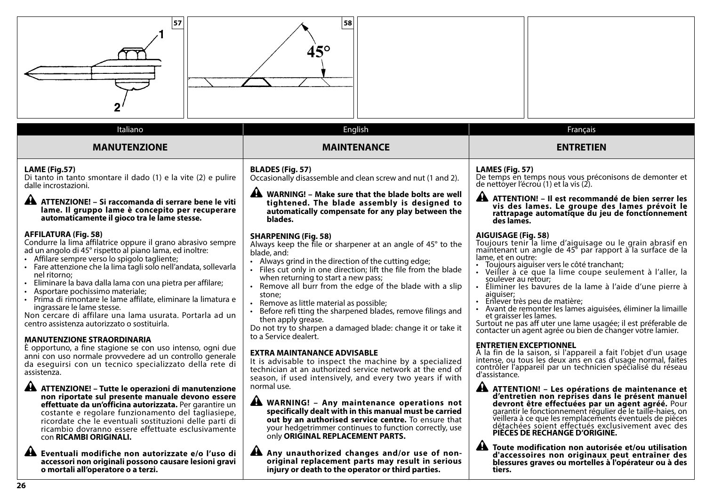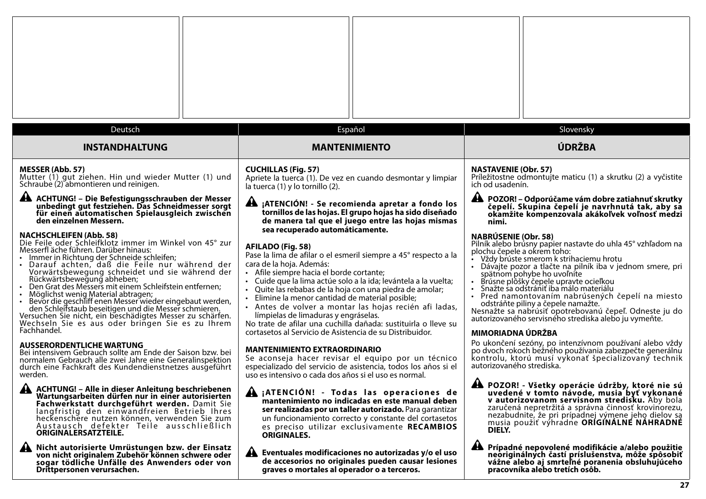| Deutsch                                                                                                                                                                                                                                                                                                                                                                                                                                                                                                                                                                                                                                                                                                                                                                                                                                                             | Español                                                                                                                                                                                                                                                                                                                                                                                                                                                                                                                                                                                                                                                                                                                                                                            | Slovensky                                                                                                                                                                                                                                                                                                                                                                                                                                                                                                                                                                                                                                                                                                                                                  |
|---------------------------------------------------------------------------------------------------------------------------------------------------------------------------------------------------------------------------------------------------------------------------------------------------------------------------------------------------------------------------------------------------------------------------------------------------------------------------------------------------------------------------------------------------------------------------------------------------------------------------------------------------------------------------------------------------------------------------------------------------------------------------------------------------------------------------------------------------------------------|------------------------------------------------------------------------------------------------------------------------------------------------------------------------------------------------------------------------------------------------------------------------------------------------------------------------------------------------------------------------------------------------------------------------------------------------------------------------------------------------------------------------------------------------------------------------------------------------------------------------------------------------------------------------------------------------------------------------------------------------------------------------------------|------------------------------------------------------------------------------------------------------------------------------------------------------------------------------------------------------------------------------------------------------------------------------------------------------------------------------------------------------------------------------------------------------------------------------------------------------------------------------------------------------------------------------------------------------------------------------------------------------------------------------------------------------------------------------------------------------------------------------------------------------------|
| <b>INSTANDHALTUNG</b>                                                                                                                                                                                                                                                                                                                                                                                                                                                                                                                                                                                                                                                                                                                                                                                                                                               | <b>MANTENIMIENTO</b>                                                                                                                                                                                                                                                                                                                                                                                                                                                                                                                                                                                                                                                                                                                                                               | ÚDRŽBA                                                                                                                                                                                                                                                                                                                                                                                                                                                                                                                                                                                                                                                                                                                                                     |
| <b>MESSER (Abb. 57)</b>                                                                                                                                                                                                                                                                                                                                                                                                                                                                                                                                                                                                                                                                                                                                                                                                                                             | <b>CUCHILLAS (Fig. 57)</b>                                                                                                                                                                                                                                                                                                                                                                                                                                                                                                                                                                                                                                                                                                                                                         | <b>NASTAVENIE (Obr. 57)</b>                                                                                                                                                                                                                                                                                                                                                                                                                                                                                                                                                                                                                                                                                                                                |
| Mutter (1) gut ziehen. Hin und wieder Mutter (1) und                                                                                                                                                                                                                                                                                                                                                                                                                                                                                                                                                                                                                                                                                                                                                                                                                | Apriete la tuerca (1). De vez en cuando desmontar y limpiar                                                                                                                                                                                                                                                                                                                                                                                                                                                                                                                                                                                                                                                                                                                        | Príležitostne odmontujte maticu (1) a skrutku (2) a vyčistite                                                                                                                                                                                                                                                                                                                                                                                                                                                                                                                                                                                                                                                                                              |
| Schraube (2) abmontieren und reinigen.                                                                                                                                                                                                                                                                                                                                                                                                                                                                                                                                                                                                                                                                                                                                                                                                                              | la tuerca (1) y lo tornillo (2).                                                                                                                                                                                                                                                                                                                                                                                                                                                                                                                                                                                                                                                                                                                                                   | ich od usadenín.                                                                                                                                                                                                                                                                                                                                                                                                                                                                                                                                                                                                                                                                                                                                           |
| A ACHTUNG! - Die Befestigungsschrauben der Messer<br>unbedingt gut festziehen. Das Schneidmesser sorgt<br>für einen automatischen Spielausgleich zwischen<br>den einzelnen Messern.<br><b>NACHSCHLEIFEN (Abb. 58)</b><br>Die Feile oder Schleifklotz immer im Winkel von 45° zur<br>Messerfl äche führen. Darüber hinaus:<br>· Immer in Richtung der Schneide schleifen;<br>- Darauf achten, daß die Feile nur während der<br>Vorwärtsbewegung schneidet und sie während der<br>Rückwärtsbewegung abheben;<br>• Den Grat des Messers mit einem Schleifstein entfernen;<br>Möglichst wenig Material abtragen;<br>• Bevor die geschliff enen Messer wieder eingebaut werden,<br>den Schleifstaub beseitigen und die Messer schmieren.<br>Versuchen Sie nicht, ein beschädigtes Messer zu schärfen.<br>Wechseln Sie es aus oder bringen Sie es zu Ihrem<br>Fachhandel. | A ¡ATENCIÓN! - Se recomienda apretar a fondo los<br>tornillos de las hojas. El grupo hojas ha sido diseñado<br>de manera tal que el juego entre las hojas mismas<br>sea recuperado automáticamente.<br>AFILADO (Fig. 58)<br>Pase la lima de afilar o el esmeril siempre a 45° respecto a la<br>cara de la hoja. Además:<br>· Afile siempre hacia el borde cortante;<br>· Cuide que la lima actúe solo a la ida; levántela a la vuelta;<br>Quite las rebabas de la hoja con una piedra de amolar;<br>Elimine la menor cantidad de material posible;<br>· Antes de volver a montar las hojas recién afi ladas,<br>límpielas de limaduras y engráselas.<br>No trate de afilar una cuchilla dañada: sustituirla o lleve su<br>cortasetos al Servicio de Asistencia de su Distribuidor. | A POZOR! - Odporúčame vám dobre zatiahnuť skrutky<br>čepelí. Skupina čepelí je navrhnutá tak, aby sa<br>okamžite kompenzovala akákoľvek voľnosť medzi<br>nimi.<br><b>NABRÚSENIE (Obr. 58)</b><br>Pilník alebo brúsny papier nastavte do uhla 45° vzhľadom na<br>plochu čepele a okrem toho:<br>• Vždy brúste smerom k strihaciemu hrotu<br>· Dávajte pozor a tlačte na pilník iba v jednom smere, pri<br>spätnom pohybe ho uvoľnite<br>Brúsne plôšký čepele upravte ocieľkou<br>· Snažte sa odstrániť iba málo materiálu<br>· Pred namontovaním nabrúsených čepelí na miesto<br>odstráňte piliny a čepele namažte.<br>Nesnažte sa nabrúsiť opotrebovanú čepeľ. Odneste ju do<br>autorizovaného servisného strediska alebo ju vymeňte.<br>MIMORIADNA ÚDRŽBA |
| <b>AUSSERORDENTLICHE WARTUNG</b><br>Bei intensivem Gebrauch sollte am Ende der Saison bzw. bei<br>normalem Gebrauch alle zwei Jahre eine Generalinspektion<br>durch eine Fachkraft des Kundendienstnetzes ausgeführt<br>werden.                                                                                                                                                                                                                                                                                                                                                                                                                                                                                                                                                                                                                                     | <b>MANTENIMIENTO EXTRAORDINARIO</b><br>Se aconseja hacer revisar el equipo por un técnico<br>especializado del servicio de asistencia, todos los años si el<br>uso es intensivo o cada dos años si el uso es normal.                                                                                                                                                                                                                                                                                                                                                                                                                                                                                                                                                               | Po ukončení sezóny, po intenzívnom používaní alebo vždy<br>po dvoch rokoch bežného používania zabezpečte generálnu<br>kontrolu, ktorú musí vykonať špecializovaný technik<br>autorizovaného strediska.                                                                                                                                                                                                                                                                                                                                                                                                                                                                                                                                                     |
| A ACHTUNG! - Alle in dieser Anleitung beschriebenen                                                                                                                                                                                                                                                                                                                                                                                                                                                                                                                                                                                                                                                                                                                                                                                                                 | $\ddot{\phantom{1}}$                                                                                                                                                                                                                                                                                                                                                                                                                                                                                                                                                                                                                                                                                                                                                               | A POZOR! - Všetky operácie údržby, ktoré nie sú                                                                                                                                                                                                                                                                                                                                                                                                                                                                                                                                                                                                                                                                                                            |
| Wartungsarbeiten dürfen nur in einer autorisierten                                                                                                                                                                                                                                                                                                                                                                                                                                                                                                                                                                                                                                                                                                                                                                                                                  | A ¡ATENCIÓN! - Todas las operaciones de                                                                                                                                                                                                                                                                                                                                                                                                                                                                                                                                                                                                                                                                                                                                            | uvedené v tomto návode, musia byť vykonané                                                                                                                                                                                                                                                                                                                                                                                                                                                                                                                                                                                                                                                                                                                 |
| Fachwerkstatt durchgeführt werden. Damit Sie                                                                                                                                                                                                                                                                                                                                                                                                                                                                                                                                                                                                                                                                                                                                                                                                                        | mantenimiento no indicadas en este manual deben                                                                                                                                                                                                                                                                                                                                                                                                                                                                                                                                                                                                                                                                                                                                    | v autorizovanom servisnom stredisku. Aby bola                                                                                                                                                                                                                                                                                                                                                                                                                                                                                                                                                                                                                                                                                                              |
| langfristig den einwandfreien Betrieb Ihres                                                                                                                                                                                                                                                                                                                                                                                                                                                                                                                                                                                                                                                                                                                                                                                                                         | ser realizadas por un taller autorizado. Para garantizar                                                                                                                                                                                                                                                                                                                                                                                                                                                                                                                                                                                                                                                                                                                           | zaručená nepretržitá a správna činnosť krovinorezu,                                                                                                                                                                                                                                                                                                                                                                                                                                                                                                                                                                                                                                                                                                        |
| heckenschere nutzen können, verwenden Sie zum                                                                                                                                                                                                                                                                                                                                                                                                                                                                                                                                                                                                                                                                                                                                                                                                                       | un funcionamiento correcto y constante del cortasetos                                                                                                                                                                                                                                                                                                                                                                                                                                                                                                                                                                                                                                                                                                                              | nezabudnite, že pri prípadnej výmene jeho dielov sa                                                                                                                                                                                                                                                                                                                                                                                                                                                                                                                                                                                                                                                                                                        |
| Austausch defekter Teile ausschließlich                                                                                                                                                                                                                                                                                                                                                                                                                                                                                                                                                                                                                                                                                                                                                                                                                             | es preciso utilizar exclusivamente RECAMBIOS                                                                                                                                                                                                                                                                                                                                                                                                                                                                                                                                                                                                                                                                                                                                       | musia použiť výhradne ORÍGÍNÁLNÉ NÁHRADNÉ                                                                                                                                                                                                                                                                                                                                                                                                                                                                                                                                                                                                                                                                                                                  |
| <b>ORIGINALERSATZTEILE.</b>                                                                                                                                                                                                                                                                                                                                                                                                                                                                                                                                                                                                                                                                                                                                                                                                                                         | <b>ORIGINALES.</b>                                                                                                                                                                                                                                                                                                                                                                                                                                                                                                                                                                                                                                                                                                                                                                 | DIELY.                                                                                                                                                                                                                                                                                                                                                                                                                                                                                                                                                                                                                                                                                                                                                     |
| Nicht autorisierte Umrüstungen bzw. der Einsatz<br>von nicht originalem Zubehör können schwere oder<br>sogar tödliche Unfälle des Anwenders oder von<br>Drittpersonen verursachen.                                                                                                                                                                                                                                                                                                                                                                                                                                                                                                                                                                                                                                                                                  | Eventuales modificaciones no autorizadas y/o el uso<br>AL<br>de accesorios no originales pueden causar lesiones<br>graves o mortales al operador o a terceros.                                                                                                                                                                                                                                                                                                                                                                                                                                                                                                                                                                                                                     | A<br>Prípadné nepovolené modifikácie a/alebo použitie<br>neoriginálnych častí príslušenstva, môže spôsobiť<br>vážne alebo aj smrteľné poranenia obsluhujúceho<br>pracovníka alebo tretích osôb.                                                                                                                                                                                                                                                                                                                                                                                                                                                                                                                                                            |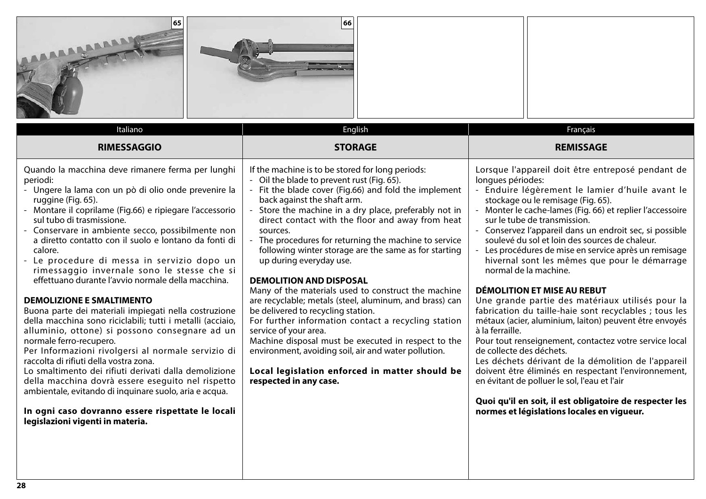| 65<br>LABARAA                                                                                                                                                                                                                                                                                                                                                                                                                                                                                                                                                                                                                                                                                                                                                                                                                                                                                                                                                                                                                     | 66                                                                                                                                                                                                                                                                                                                                                                                                                                                                                                                                                                                                                                                                                                                                                                                                                                                                                                                              |                                                                                                                                                                                                                                                                                                                                                                                                                                                                                                                                                                                                                                                                                                                                                                                                                                                                                                                                                                                                                                                           |
|-----------------------------------------------------------------------------------------------------------------------------------------------------------------------------------------------------------------------------------------------------------------------------------------------------------------------------------------------------------------------------------------------------------------------------------------------------------------------------------------------------------------------------------------------------------------------------------------------------------------------------------------------------------------------------------------------------------------------------------------------------------------------------------------------------------------------------------------------------------------------------------------------------------------------------------------------------------------------------------------------------------------------------------|---------------------------------------------------------------------------------------------------------------------------------------------------------------------------------------------------------------------------------------------------------------------------------------------------------------------------------------------------------------------------------------------------------------------------------------------------------------------------------------------------------------------------------------------------------------------------------------------------------------------------------------------------------------------------------------------------------------------------------------------------------------------------------------------------------------------------------------------------------------------------------------------------------------------------------|-----------------------------------------------------------------------------------------------------------------------------------------------------------------------------------------------------------------------------------------------------------------------------------------------------------------------------------------------------------------------------------------------------------------------------------------------------------------------------------------------------------------------------------------------------------------------------------------------------------------------------------------------------------------------------------------------------------------------------------------------------------------------------------------------------------------------------------------------------------------------------------------------------------------------------------------------------------------------------------------------------------------------------------------------------------|
| Italiano<br><b>RIMESSAGGIO</b>                                                                                                                                                                                                                                                                                                                                                                                                                                                                                                                                                                                                                                                                                                                                                                                                                                                                                                                                                                                                    | English<br><b>STORAGE</b>                                                                                                                                                                                                                                                                                                                                                                                                                                                                                                                                                                                                                                                                                                                                                                                                                                                                                                       | Français<br><b>REMISSAGE</b>                                                                                                                                                                                                                                                                                                                                                                                                                                                                                                                                                                                                                                                                                                                                                                                                                                                                                                                                                                                                                              |
| Quando la macchina deve rimanere ferma per lunghi<br>periodi:<br>- Ungere la lama con un pò di olio onde prevenire la<br>ruggine (Fig. 65).<br>- Montare il coprilame (Fig.66) e ripiegare l'accessorio<br>sul tubo di trasmissione.<br>- Conservare in ambiente secco, possibilmente non<br>a diretto contatto con il suolo e lontano da fonti di<br>calore.<br>- Le procedure di messa in servizio dopo un<br>rimessaggio invernale sono le stesse che si<br>effettuano durante l'avvio normale della macchina.<br><b>DEMOLIZIONE E SMALTIMENTO</b><br>Buona parte dei materiali impiegati nella costruzione<br>della macchina sono riciclabili; tutti i metalli (acciaio,<br>alluminio, ottone) si possono consegnare ad un<br>normale ferro-recupero.<br>Per Informazioni rivolgersi al normale servizio di<br>raccolta di rifiuti della vostra zona.<br>Lo smaltimento dei rifiuti derivati dalla demolizione<br>della macchina dovrà essere eseguito nel rispetto<br>ambientale, evitando di inquinare suolo, aria e acqua. | If the machine is to be stored for long periods:<br>- Oil the blade to prevent rust (Fig. 65).<br>- Fit the blade cover (Fig.66) and fold the implement<br>back against the shaft arm.<br>Store the machine in a dry place, preferably not in<br>direct contact with the floor and away from heat<br>sources.<br>- The procedures for returning the machine to service<br>following winter storage are the same as for starting<br>up during everyday use.<br><b>DEMOLITION AND DISPOSAL</b><br>Many of the materials used to construct the machine<br>are recyclable; metals (steel, aluminum, and brass) can<br>be delivered to recycling station.<br>For further information contact a recycling station<br>service of your area.<br>Machine disposal must be executed in respect to the<br>environment, avoiding soil, air and water pollution.<br>Local legislation enforced in matter should be<br>respected in any case. | Lorsque l'appareil doit être entreposé pendant de<br>longues périodes:<br>- Enduire légèrement le lamier d'huile avant le<br>stockage ou le remisage (Fig. 65).<br>Monter le cache-lames (Fig. 66) et replier l'accessoire<br>sur le tube de transmission.<br>- Conservez l'appareil dans un endroit sec, si possible<br>soulevé du sol et loin des sources de chaleur.<br>Les procédures de mise en service après un remisage<br>hivernal sont les mêmes que pour le démarrage<br>normal de la machine.<br><b>DÉMOLITION ET MISE AU REBUT</b><br>Une grande partie des matériaux utilisés pour la<br>fabrication du taille-haie sont recyclables ; tous les<br>métaux (acier, aluminium, laiton) peuvent être envoyés<br>à la ferraille.<br>Pour tout renseignement, contactez votre service local<br>de collecte des déchets.<br>Les déchets dérivant de la démolition de l'appareil<br>doivent être éliminés en respectant l'environnement,<br>en évitant de polluer le sol, l'eau et l'air<br>Quoi qu'il en soit, il est obligatoire de respecter les |

**In ogni caso dovranno essere rispettate le locali legislazioni vigenti in materia.**

**normes et législations locales en vigueur.**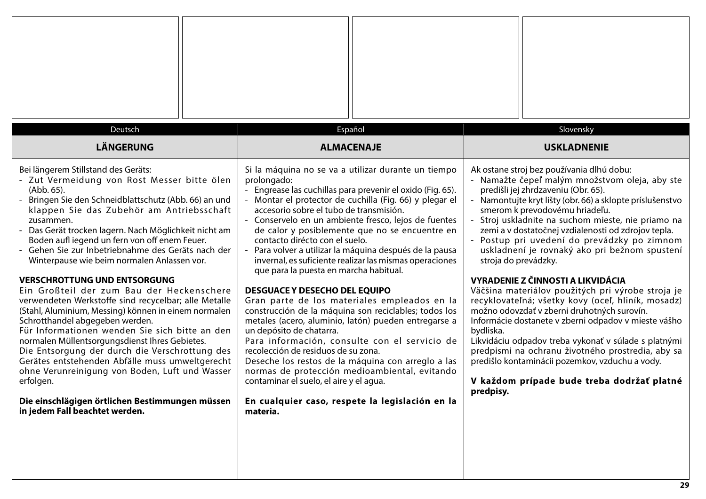| Deutsch                                                                                                                                                                                                                                                                                                                                                                                                                                                                                                                                                                                                                                                                                                                                                                                                                                                                                                                                                                                                                            | Español                                                                                                                                                                                                                                                                                                                                                                                                                                                                                                                                                                                                                                                                                                                                                                                                                                                                                                                                                                                                                                                                                    | Slovensky                                                                                                                                                                                                                                                                                                                                                                                                                                                                                                                                                                                                                                                                                                                                                                                                                                                                                                                                                                    |
|------------------------------------------------------------------------------------------------------------------------------------------------------------------------------------------------------------------------------------------------------------------------------------------------------------------------------------------------------------------------------------------------------------------------------------------------------------------------------------------------------------------------------------------------------------------------------------------------------------------------------------------------------------------------------------------------------------------------------------------------------------------------------------------------------------------------------------------------------------------------------------------------------------------------------------------------------------------------------------------------------------------------------------|--------------------------------------------------------------------------------------------------------------------------------------------------------------------------------------------------------------------------------------------------------------------------------------------------------------------------------------------------------------------------------------------------------------------------------------------------------------------------------------------------------------------------------------------------------------------------------------------------------------------------------------------------------------------------------------------------------------------------------------------------------------------------------------------------------------------------------------------------------------------------------------------------------------------------------------------------------------------------------------------------------------------------------------------------------------------------------------------|------------------------------------------------------------------------------------------------------------------------------------------------------------------------------------------------------------------------------------------------------------------------------------------------------------------------------------------------------------------------------------------------------------------------------------------------------------------------------------------------------------------------------------------------------------------------------------------------------------------------------------------------------------------------------------------------------------------------------------------------------------------------------------------------------------------------------------------------------------------------------------------------------------------------------------------------------------------------------|
| <b>LÄNGERUNG</b>                                                                                                                                                                                                                                                                                                                                                                                                                                                                                                                                                                                                                                                                                                                                                                                                                                                                                                                                                                                                                   | <b>ALMACENAJE</b>                                                                                                                                                                                                                                                                                                                                                                                                                                                                                                                                                                                                                                                                                                                                                                                                                                                                                                                                                                                                                                                                          | <b>USKLADNENIE</b>                                                                                                                                                                                                                                                                                                                                                                                                                                                                                                                                                                                                                                                                                                                                                                                                                                                                                                                                                           |
| Bei längerem Stillstand des Geräts:<br>- Zut Vermeidung von Rost Messer bitte ölen<br>(Abb. 65).<br>Bringen Sie den Schneidblattschutz (Abb. 66) an und<br>klappen Sie das Zubehör am Antriebsschaft<br>zusammen.<br>- Das Gerät trocken lagern. Nach Möglichkeit nicht am<br>Boden aufl iegend un fern von off enem Feuer.<br>Gehen Sie zur Inbetriebnahme des Geräts nach der<br>Winterpause wie beim normalen Anlassen vor.<br><b>VERSCHROTTUNG UND ENTSORGUNG</b><br>Ein Großteil der zum Bau der Heckenschere<br>verwendeten Werkstoffe sind recycelbar; alle Metalle<br>(Stahl, Aluminium, Messing) können in einem normalen<br>Schrotthandel abgegeben werden.<br>Für Informationen wenden Sie sich bitte an den<br>normalen Müllentsorgungsdienst Ihres Gebietes.<br>Die Entsorgung der durch die Verschrottung des<br>Gerätes entstehenden Abfälle muss umweltgerecht<br>ohne Verunreinigung von Boden, Luft und Wasser<br>erfolgen.<br>Die einschlägigen örtlichen Bestimmungen müssen<br>in jedem Fall beachtet werden. | Si la máquina no se va a utilizar durante un tiempo<br>prolongado:<br>Engrease las cuchillas para prevenir el oxido (Fig. 65).<br>Montar el protector de cuchilla (Fig. 66) y plegar el<br>accesorio sobre el tubo de transmisión.<br>- Conservelo en un ambiente fresco, lejos de fuentes<br>de calor y posiblemente que no se encuentre en<br>contacto dirécto con el suelo.<br>Para volver a utilizar la máquina después de la pausa<br>invernal, es suficiente realizar las mismas operaciones<br>que para la puesta en marcha habitual.<br><b>DESGUACE Y DESECHO DEL EQUIPO</b><br>Gran parte de los materiales empleados en la<br>construcción de la máquina son reciclables; todos los<br>metales (acero, aluminio, latón) pueden entregarse a<br>un depósito de chatarra.<br>Para información, consulte con el servicio de<br>recolección de residuos de su zona.<br>Deseche los restos de la máquina con arreglo a las<br>normas de protección medioambiental, evitando<br>contaminar el suelo, el aire y el agua.<br>En cualquier caso, respete la legislación en la<br>materia. | Ak ostane stroj bez používania dlhú dobu:<br>- Namažte čepeľ malým množstvom oleja, aby ste<br>predišli jej zhrdzaveniu (Obr. 65).<br>- Namontujte kryt lišty (obr. 66) a sklopte príslušenstvo<br>smerom k prevodovému hriadeľu.<br>- Stroj uskladnite na suchom mieste, nie priamo na<br>zemi a v dostatočnej vzdialenosti od zdrojov tepla.<br>- Postup pri uvedení do prevádzky po zimnom<br>uskladnení je rovnaký ako pri bežnom spustení<br>stroja do prevádzky.<br><b>VYRADENIE Z ČINNOSTI A LIKVIDÁCIA</b><br>Väčšina materiálov použitých pri výrobe stroja je<br>recyklovateľná; všetky kovy (oceľ, hliník, mosadz)<br>možno odovzdať v zberni druhotných surovín.<br>Informácie dostanete v zberni odpadov v mieste vášho<br>bydliska.<br>Likvidáciu odpadov treba vykonať v súlade s platnými<br>predpismi na ochranu životného prostredia, aby sa<br>predišlo kontaminácii pozemkov, vzduchu a vody.<br>V každom prípade bude treba dodržať platné<br>predpisy. |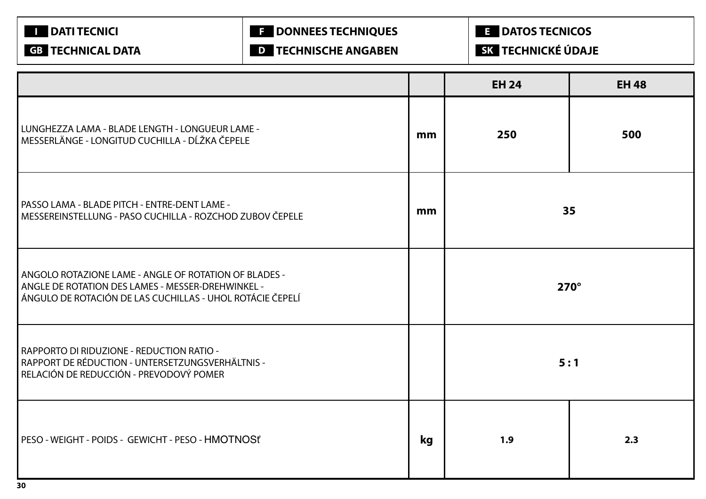| <b>DATI TECNICI</b><br><b>GB TECHNICAL DATA</b>                                                                                                                         | <b>E</b> DONNEES TECHNIQUES<br><b>D</b> TECHNISCHE ANGABEN |    | <b>E</b> DATOS TECNICOS<br>SK TECHNICKÉ ÚDAJE |              |  |
|-------------------------------------------------------------------------------------------------------------------------------------------------------------------------|------------------------------------------------------------|----|-----------------------------------------------|--------------|--|
|                                                                                                                                                                         |                                                            |    | <b>EH 24</b>                                  | <b>EH 48</b> |  |
| LUNGHEZZA LAMA - BLADE LENGTH - LONGUEUR LAME -<br>MESSERLÄNGE - LONGITUD CUCHILLA - DĹŽKA ČEPELE                                                                       |                                                            | mm | 250                                           | 500          |  |
| PASSO LAMA - BLADE PITCH - ENTRE-DENT LAME -<br>MESSEREINSTELLUNG - PASO CUCHILLA - ROZCHOD ZUBOV ČEPELE                                                                |                                                            |    | 35<br>mm                                      |              |  |
| ANGOLO ROTAZIONE LAME - ANGLE OF ROTATION OF BLADES -<br>ANGLE DE ROTATION DES LAMES - MESSER-DREHWINKEL -<br>ÁNGULO DE ROTACIÓN DE LAS CUCHILLAS - UHOL ROTÁCIE ČEPELÍ |                                                            |    | $270^\circ$                                   |              |  |
| RAPPORTO DI RIDUZIONE - REDUCTION RATIO -<br>RAPPORT DE RÉDUCTION - UNTERSETZUNGSVERHÄLTNIS -<br>RELACIÓN DE REDUCCIÓN - PREVODOVÝ POMER                                |                                                            |    |                                               | 5:1          |  |
| PESO - WEIGHT - POIDS - GEWICHT - PESO - HMOTNOSť                                                                                                                       |                                                            | kg | 1.9                                           | 2.3          |  |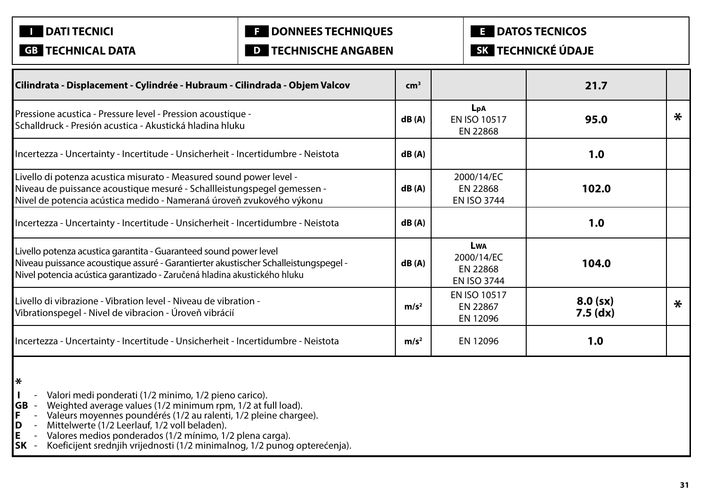**I DATI TECNICI** 

# **F DONNEES TECHNIQUES**

**E DATOS TECNICOS**

**GB TECHNICAL DATA**

**D TECHNISCHE ANGABEN**

**SK TECHNICKÉ ÚDAJE**

| Cilindrata - Displacement - Cylindrée - Hubraum - Cilindrada - Objem Valcov                                                                                                                                                          | cm <sup>3</sup>  |                                                            | 21.7                     |        |
|--------------------------------------------------------------------------------------------------------------------------------------------------------------------------------------------------------------------------------------|------------------|------------------------------------------------------------|--------------------------|--------|
| Pressione acustica - Pressure level - Pression acoustique -<br>Schalldruck - Presión acustica - Akustická hladina hluku                                                                                                              | dB(A)            | LpA<br><b>EN ISO 10517</b><br>EN 22868                     | 95.0                     | $\ast$ |
| Incertezza - Uncertainty - Incertitude - Unsicherheit - Incertidumbre - Neistota                                                                                                                                                     | dB(A)            |                                                            | 1.0                      |        |
| Livello di potenza acustica misurato - Measured sound power level -<br>Niveau de puissance acoustique mesuré - Schallleistungspegel gemessen -<br>Nivel de potencia acústica medido - Nameraná úroveň zvukového výkonu               | dB(A)            | 2000/14/EC<br>EN 22868<br><b>EN ISO 3744</b>               | 102.0                    |        |
| Incertezza - Uncertainty - Incertitude - Unsicherheit - Incertidumbre - Neistota                                                                                                                                                     | dB(A)            |                                                            | 1.0                      |        |
| Livello potenza acustica garantita - Guaranteed sound power level<br>Niveau puissance acoustique assuré - Garantierter akustischer Schalleistungspegel -<br>Nivel potencia acústica garantizado - Zaručená hladina akustického hluku | dB(A)            | <b>LWA</b><br>2000/14/EC<br>EN 22868<br><b>EN ISO 3744</b> | 104.0                    |        |
| Livello di vibrazione - Vibration level - Niveau de vibration -<br>Vibrationspegel - Nivel de vibracion - Úroveň vibrácií                                                                                                            | m/s <sup>2</sup> | EN ISO 10517<br>EN 22867<br>EN 12096                       | $8.0$ (sx)<br>$7.5$ (dx) | $\ast$ |
| Incertezza - Uncertainty - Incertitude - Unsicherheit - Incertidumbre - Neistota                                                                                                                                                     | m/s <sup>2</sup> | EN 12096                                                   | 1.0                      |        |

**\***

- **I** Valori medi ponderati (1/2 minimo, 1/2 pieno carico).<br>**GB** Weighted average values (1/2 minimum rpm, 1/2 at fu
- **GB** Weighted average values (1/2 minimum rpm, 1/2 at full load).
- **F** Valeurs moyennes poundérés (1/2 au ralenti, 1/2 pleine chargee).
- **D** Mittelwerte (1/2 Leerlauf, 1/2 voll beladen).
- **E** Valores medios ponderados (1/2 mínimo, 1/2 plena carga).
- **SK** Koeficijent srednjih vrijednosti (1/2 minimalnog, 1/2 punog opterećenja).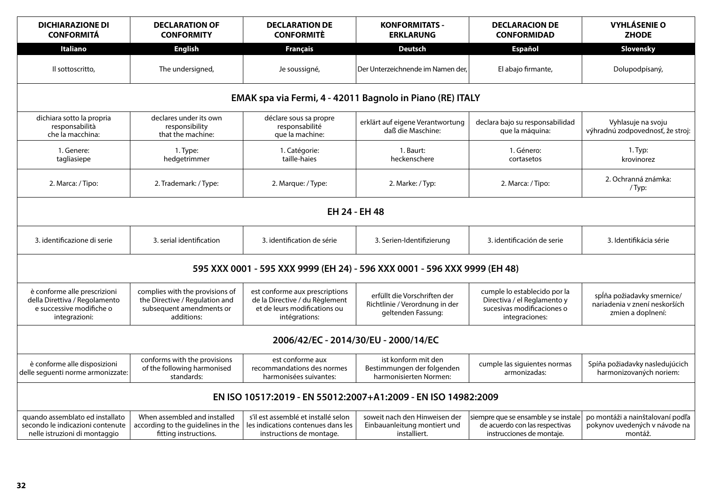| <b>DICHIARAZIONE DI</b><br><b>CONFORMITÁ</b>                                                               | <b>DECLARATION OF</b><br><b>CONFORMITY</b>                                                                  | <b>DECLARATION DE</b><br><b>CONFORMITE</b>                                                                        | <b>KONFORMITATS -</b><br><b>ERKLARUNG</b>                                            | <b>DECLARACION DE</b><br><b>CONFORMIDAD</b>                                                                 | <b>VYHLÁSENIE O</b><br><b>ZHODE</b>                                              |  |  |
|------------------------------------------------------------------------------------------------------------|-------------------------------------------------------------------------------------------------------------|-------------------------------------------------------------------------------------------------------------------|--------------------------------------------------------------------------------------|-------------------------------------------------------------------------------------------------------------|----------------------------------------------------------------------------------|--|--|
| Italiano                                                                                                   | <b>English</b>                                                                                              | <b>Français</b>                                                                                                   | <b>Deutsch</b>                                                                       | <b>Español</b>                                                                                              | Slovensky                                                                        |  |  |
| Il sottoscritto,                                                                                           | The undersigned,                                                                                            | Je soussigné,                                                                                                     | Der Unterzeichnende im Namen der,                                                    | El abajo firmante,                                                                                          | Dolupodpísaný,                                                                   |  |  |
|                                                                                                            |                                                                                                             | EMAK spa via Fermi, 4 - 42011 Bagnolo in Piano (RE) ITALY                                                         |                                                                                      |                                                                                                             |                                                                                  |  |  |
| dichiara sotto la propria<br>responsabilità<br>che la macchina:                                            | declares under its own<br>responsibility<br>that the machine:                                               | déclare sous sa propre<br>responsabilité<br>que la machine:                                                       | erklärt auf eigene Verantwortung<br>daß die Maschine:                                | declara bajo su responsabilidad<br>que la máquina:                                                          | Vyhlasuje na svoju<br>výhradnú zodpovednosť, že stroj:                           |  |  |
| 1. Genere:<br>tagliasiepe                                                                                  | 1. Type:<br>hedgetrimmer                                                                                    | 1. Catégorie:<br>taille-haies                                                                                     | 1. Baurt:<br>heckenschere                                                            | 1. Género:<br>cortasetos                                                                                    | 1. Typ:<br>krovinorez                                                            |  |  |
| 2. Marca: / Tipo:                                                                                          | 2. Trademark: / Type:                                                                                       | 2. Marque: / Type:                                                                                                | 2. Marke: / Typ:                                                                     | 2. Marca: / Tipo:                                                                                           | 2. Ochranná známka:<br>$/$ Typ:                                                  |  |  |
| EH 24 - EH 48                                                                                              |                                                                                                             |                                                                                                                   |                                                                                      |                                                                                                             |                                                                                  |  |  |
| 3. identificazione di serie                                                                                | 3. serial identification                                                                                    | 3. identification de série                                                                                        | 3. Serien-Identifizierung                                                            | 3. identificación de serie                                                                                  | 3. Identifikácia série                                                           |  |  |
|                                                                                                            |                                                                                                             | 595 XXX 0001 - 595 XXX 9999 (EH 24) - 596 XXX 0001 - 596 XXX 9999 (EH 48)                                         |                                                                                      |                                                                                                             |                                                                                  |  |  |
| è conforme alle prescrizioni<br>della Direttiva / Regolamento<br>e successive modifiche o<br>integrazioni: | complies with the provisions of<br>the Directive / Regulation and<br>subsequent amendments or<br>additions: | est conforme aux prescriptions<br>de la Directive / du Règlement<br>et de leurs modifications ou<br>intégrations: | erfüllt die Vorschriften der<br>Richtlinie / Verordnung in der<br>geltenden Fassung: | cumple lo establecido por la<br>Directiva / el Reglamento y<br>sucesivas modificaciones o<br>integraciones: | spĺňa požiadavky smernice/<br>nariadenia v znení neskorších<br>zmien a doplnení: |  |  |
|                                                                                                            |                                                                                                             | 2006/42/EC - 2014/30/EU - 2000/14/EC                                                                              |                                                                                      |                                                                                                             |                                                                                  |  |  |
| è conforme alle disposizioni<br>delle seguenti norme armonizzate:                                          | conforms with the provisions<br>of the following harmonised<br>standards:                                   | est conforme aux<br>recommandations des normes<br>harmonisées suivantes:                                          | ist konform mit den<br>Bestimmungen der folgenden<br>harmonisierten Normen:          | cumple las siguientes normas<br>armonizadas:                                                                | Spíňa požiadavky nasledujúcich<br>harmonizovaných noriem:                        |  |  |
|                                                                                                            |                                                                                                             | EN ISO 10517:2019 - EN 55012:2007+A1:2009 - EN ISO 14982:2009                                                     |                                                                                      |                                                                                                             |                                                                                  |  |  |
| quando assemblato ed installato<br>secondo le indicazioni contenute<br>nelle istruzioni di montaggio       | When assembled and installed<br>according to the guidelines in the<br>fitting instructions.                 | s'il est assemblé et installé selon<br>les indications contenues dans les<br>instructions de montage.             | soweit nach den Hinweisen der<br>Einbauanleitung montiert und<br>installiert.        | siempre que se ensamble y se instale<br>de acuerdo con las respectivas<br>instrucciones de montaje.         | po montáži a nainštalovaní podľa<br>pokynov uvedených v návode na<br>montáž.     |  |  |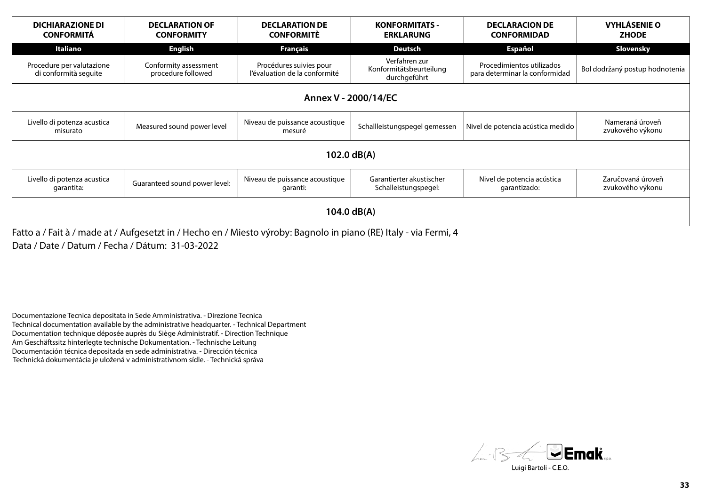| <b>DICHIARAZIONE DI</b><br><b>CONFORMITÁ</b>       | <b>DECLARATION OF</b><br><b>CONFORMITY</b>  | <b>DECLARATION DE</b><br><b>CONFORMITE</b>               | <b>KONFORMITATS -</b><br><b>ERKLARUNG</b>                | <b>DECLARACION DE</b><br><b>CONFORMIDAD</b>                 | <b>VYHLÁSENIE O</b><br><b>ZHODE</b>   |  |
|----------------------------------------------------|---------------------------------------------|----------------------------------------------------------|----------------------------------------------------------|-------------------------------------------------------------|---------------------------------------|--|
| Italiano                                           | <b>English</b>                              | <b>Français</b>                                          | Deutsch                                                  | <b>Español</b>                                              | Slovensky                             |  |
| Procedure per valutazione<br>di conformità seguite | Conformity assessment<br>procedure followed | Procédures suivies pour<br>l'évaluation de la conformité | Verfahren zur<br>Konformitätsbeurteilung<br>durchgeführt | Procedimientos utilizados<br>para determinar la conformidad | Bol dodržaný postup hodnotenia        |  |
| Annex V - 2000/14/EC                               |                                             |                                                          |                                                          |                                                             |                                       |  |
| Livello di potenza acustica<br>misurato            | Measured sound power level                  | Niveau de puissance acoustique<br>mesuré                 | Schallleistungspegel gemessen                            | Nivel de potencia acústica medido                           | Nameraná úroveň<br>zvukového výkonu   |  |
|                                                    |                                             |                                                          | 102.0 $dB(A)$                                            |                                                             |                                       |  |
| Livello di potenza acustica<br>garantita:          | Guaranteed sound power level:               | Niveau de puissance acoustique<br>garanti:               | Garantierter akustischer<br>Schalleistungspegel:         | Nivel de potencia acústica<br>garantizado:                  | Zaručovaná úroveň<br>zvukového výkonu |  |
| 104.0 $dB(A)$                                      |                                             |                                                          |                                                          |                                                             |                                       |  |

Fatto a / Fait à / made at / Aufgesetzt in / Hecho en / Miesto výroby: Bagnolo in piano (RE) Italy - via Fermi, 4 Data / Date / Datum / Fecha / Dátum: 31-03-2022

Documentazione Tecnica depositata in Sede Amministrativa. - Direzione Tecnica Technical documentation available by the administrative headquarter. - Technical Department Documentation technique déposée auprès du Siège Administratif. - Direction Technique Am Geschäftssitz hinterlegte technische Dokumentation. - Technische Leitung Documentación técnica depositada en sede administrativa. - Dirección técnica Technická dokumentácia je uložená v administratívnom sídle. - Technická správa

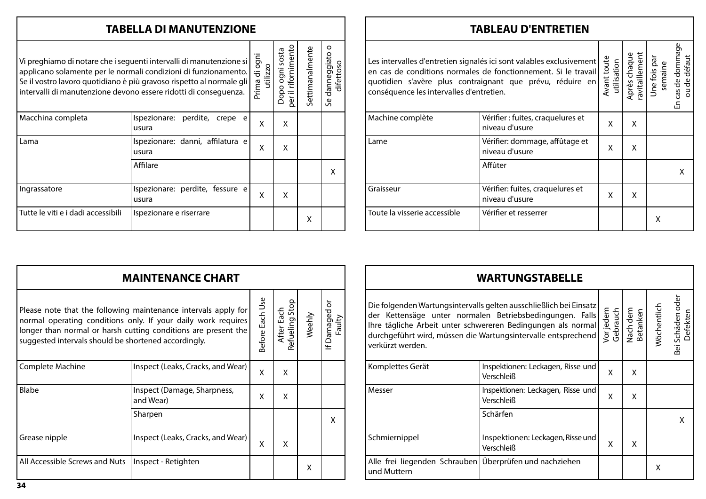# **TABELLA DI MANUTENZIONE**

| Vi preghiamo di notare che i seguenti intervalli di manutenzione si<br>applicano solamente per le normali condizioni di funzionamento.<br>Se il vostro lavoro quotidiano è più gravoso rispetto al normale gli<br>intervalli di manutenzione devono essere ridotti di conseguenza. | Prima di ogni<br>utilizzo                       | rifornimento<br>Dopo ogni sosta<br>Φ | Settimanalmente | danneggiato<br>difettoso<br>$\mathbf \omega$<br>$\sim$ |   |
|------------------------------------------------------------------------------------------------------------------------------------------------------------------------------------------------------------------------------------------------------------------------------------|-------------------------------------------------|--------------------------------------|-----------------|--------------------------------------------------------|---|
| Macchina completa                                                                                                                                                                                                                                                                  | perdite,<br>Ispezionare:<br>crepe<br>e<br>usura | X                                    | X               |                                                        |   |
| Lama                                                                                                                                                                                                                                                                               | Ispezionare: danni, affilatura e<br>usura       | X                                    | X               |                                                        |   |
|                                                                                                                                                                                                                                                                                    | Affilare                                        |                                      |                 |                                                        | x |
| Ingrassatore                                                                                                                                                                                                                                                                       | Ispezionare: perdite, fessure e<br>usura        | X                                    | X               |                                                        |   |
| Tutte le viti e i dadi accessibili                                                                                                                                                                                                                                                 | Ispezionare e riserrare                         |                                      |                 | X                                                      |   |

# **TABLEAU D'ENTRETIEN**

| Les intervalles d'entretien signalés ici sont valables exclusivement<br>en cas de conditions normales de fonctionnement. Si le travail<br>quotidien s'avère plus contraignant que prévu, réduire en<br>conséquence les intervalles d'entretien. |                                                     |   | Avant toute<br>utilisation | Après chaque<br>ravitaillement<br>Une fois par<br>semaine | cas de dommage<br>ou de défaut<br>Cas<br>띵 |
|-------------------------------------------------------------------------------------------------------------------------------------------------------------------------------------------------------------------------------------------------|-----------------------------------------------------|---|----------------------------|-----------------------------------------------------------|--------------------------------------------|
| Machine complète                                                                                                                                                                                                                                | Vérifier : fuites, craquelures et<br>niveau d'usure | x | x                          |                                                           |                                            |
| Lame                                                                                                                                                                                                                                            | Vérifier: dommage, affûtage et<br>niveau d'usure    | X | X                          |                                                           |                                            |
|                                                                                                                                                                                                                                                 | Affûter                                             |   |                            |                                                           | X                                          |
| Graisseur                                                                                                                                                                                                                                       | Vérifier: fuites, craquelures et<br>niveau d'usure  | x | x                          |                                                           |                                            |
| Toute la visserie accessible                                                                                                                                                                                                                    | Vérifier et resserrer                               |   |                            | X                                                         |                                            |

| <b>MAINTENANCE CHART</b>                                                                                                                                                                                                                                  |                                          |   |                                   |        |                         |  |  |
|-----------------------------------------------------------------------------------------------------------------------------------------------------------------------------------------------------------------------------------------------------------|------------------------------------------|---|-----------------------------------|--------|-------------------------|--|--|
| Please note that the following maintenance intervals apply for<br>normal operating conditions only. If your daily work requires<br>longer than normal or harsh cutting conditions are present the<br>suggested intervals should be shortened accordingly. |                                          |   | Stop<br>After Each<br>Refueling 9 | Weehly | If Damaged or<br>Faulty |  |  |
| Complete Machine                                                                                                                                                                                                                                          | Inspect (Leaks, Cracks, and Wear)        | X | X                                 |        |                         |  |  |
| Blabe                                                                                                                                                                                                                                                     | Inspect (Damage, Sharpness,<br>and Wear) | X | X                                 |        |                         |  |  |
|                                                                                                                                                                                                                                                           | Sharpen                                  |   |                                   |        | X                       |  |  |
| Grease nipple                                                                                                                                                                                                                                             | Inspect (Leaks, Cracks, and Wear)        | X | X                                 |        |                         |  |  |
| All Accessible Screws and Nuts                                                                                                                                                                                                                            | Inspect - Retighten                      |   |                                   | x      |                         |  |  |

| <b>WARTUNGSTABELLE</b>                                                                                                                                                                                                                                                              |                                                 |   |                                              |             |                              |  |  |
|-------------------------------------------------------------------------------------------------------------------------------------------------------------------------------------------------------------------------------------------------------------------------------------|-------------------------------------------------|---|----------------------------------------------|-------------|------------------------------|--|--|
| Die folgenden Wartungsintervalls gelten ausschließlich bei Einsatz<br>der Kettensäge unter normalen Betriebsbedingungen. Falls<br>Ihre tägliche Arbeit unter schwereren Bedingungen als normal<br>durchgeführt wird, müssen die Wartungsintervalle entsprechend<br>verkürzt werden. |                                                 |   | Vorjedem<br>Gebrauch<br>Nach dem<br>Betanken | Wöchentlich | Bei Schäden oder<br>Defekten |  |  |
| Komplettes Gerät                                                                                                                                                                                                                                                                    | Inspektionen: Leckagen, Risse und<br>Verschleiß | X | X                                            |             |                              |  |  |
| Messer                                                                                                                                                                                                                                                                              | Inspektionen: Leckagen, Risse und<br>Verschleiß | X | X                                            |             |                              |  |  |
|                                                                                                                                                                                                                                                                                     | Schärfen                                        |   |                                              |             | X                            |  |  |
| Schmiernippel                                                                                                                                                                                                                                                                       | Inspektionen: Leckagen, Risse und<br>Verschleiß | X | X                                            |             |                              |  |  |
| Alle frei liegenden Schrauben Überprüfen und nachziehen<br>und Muttern                                                                                                                                                                                                              |                                                 |   |                                              | X           |                              |  |  |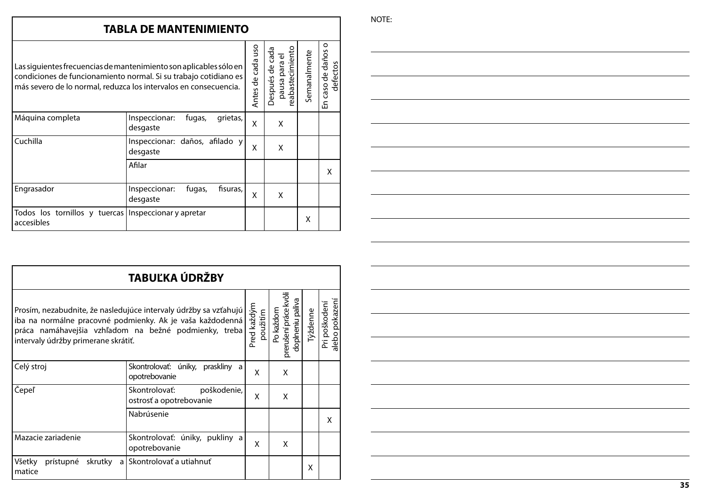# **TABLA DE MANTENIMIENTO**

| Las siguientes frecuencias de mantenimiento son aplicables sólo en<br>condiciones de funcionamiento normal. Si su trabajo cotidiano es<br>más severo de lo normal, reduzca los intervalos en consecuencia. |                                                 |   | abastecimiento<br>ತ<br>pausa para el<br>$\frac{e}{\sigma}$<br>espués<br>Φ<br>◠ | Semanalmente | O<br>daños<br>defectos<br>$\frac{e}{\sigma}$<br>Caso<br>모 |
|------------------------------------------------------------------------------------------------------------------------------------------------------------------------------------------------------------|-------------------------------------------------|---|--------------------------------------------------------------------------------|--------------|-----------------------------------------------------------|
| Máquina completa                                                                                                                                                                                           | Inspeccionar:<br>fugas,<br>grietas,<br>desgaste | x | x                                                                              |              |                                                           |
| Cuchilla                                                                                                                                                                                                   | Inspeccionar: daños, afilado y<br>desgaste      | X | X                                                                              |              |                                                           |
|                                                                                                                                                                                                            | Afilar                                          |   |                                                                                |              | x                                                         |
| Engrasador                                                                                                                                                                                                 | fisuras,<br>Inspeccionar:<br>fugas,<br>desgaste | x | x                                                                              |              |                                                           |
| Todos los tornillos y tuercas Inspeccionar y apretar<br>accesibles                                                                                                                                         |                                                 |   |                                                                                | x            |                                                           |

| TABUĽKA ÚDRŽBY                                                                                                                                                                                                                |                                                         |                                                        |          |                                 |   |  |
|-------------------------------------------------------------------------------------------------------------------------------------------------------------------------------------------------------------------------------|---------------------------------------------------------|--------------------------------------------------------|----------|---------------------------------|---|--|
| Prosím, nezabudnite, že nasledujúce intervaly údržby sa vzťahujú<br>iba na normálne pracovné podmienky. Ak je vaša každodenná<br>práca namáhavejšia vzhľadom na bežné podmienky, treba<br>intervaly údržby primerane skrátiť. | Pred každým<br>použitím                                 | Po každom<br>prerušení práce kvôli<br>doplneniu paliva | Týždenne | alebo pokazení<br>Pri poškodení |   |  |
| Celý stroj                                                                                                                                                                                                                    | Skontrolovať: úniky, praskliny a<br>opotrebovanie       | X                                                      | X        |                                 |   |  |
| Čepeľ                                                                                                                                                                                                                         | Skontrolovať:<br>poškodenie,<br>ostrosť a opotrebovanie | X                                                      | X        |                                 |   |  |
|                                                                                                                                                                                                                               | Nabrúsenie                                              |                                                        |          |                                 | X |  |
| Mazacie zariadenie                                                                                                                                                                                                            | Skontrolovať: úniky, pukliny a<br>opotrebovanie         | X                                                      | X        |                                 |   |  |
| Všetky<br>prístupné<br>skrutky<br>a l<br>matice                                                                                                                                                                               | Skontrolovať a utiahnuť                                 |                                                        |          | x                               |   |  |

NOTE: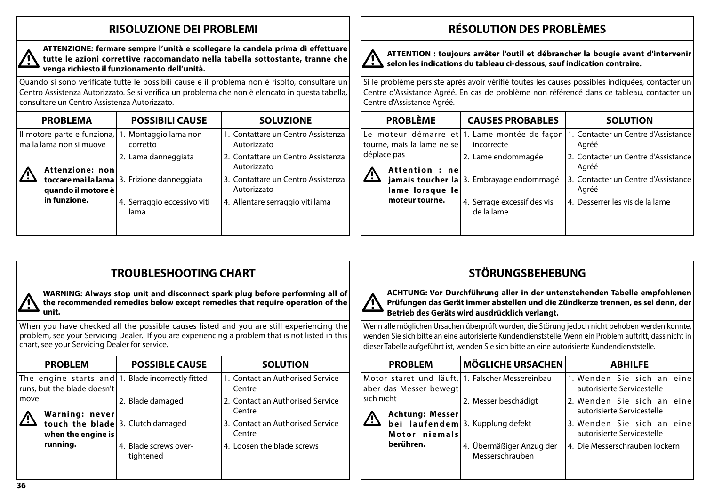# **RISOLUZIONE DEI PROBLEMI**



### **ATTENZIONE: fermare sempre l'unità e scollegare la candela prima di effettuare tutte le azioni correttive raccomandato nella tabella sottostante, tranne che venga richiesto il funzionamento dell'unità.**

Quando si sono verificate tutte le possibili cause e il problema non è risolto, consultare un Centro Assistenza Autorizzato. Se si verifica un problema che non è elencato in questa tabella, consultare un Centro Assistenza Autorizzato.

| <b>PROBLEMA</b>                                        |                    | <b>POSSIBILI CAUSE</b>                        | <b>SOLUZIONE</b>                                  |
|--------------------------------------------------------|--------------------|-----------------------------------------------|---------------------------------------------------|
| Il motore parte e funziona,<br>ma la lama non si muove |                    | 1. Montaggio lama non<br>corretto             | 1. Contattare un Centro Assistenza<br>Autorizzato |
|                                                        | Attenzione: non    | 2. Lama danneggiata                           | 2. Contattare un Centro Assistenza<br>Autorizzato |
|                                                        | quando il motore è | toccare mai la lama   3. Frizione danneggiata | 3. Contattare un Centro Assistenza<br>Autorizzato |
| in funzione.                                           |                    | 4. Serraggio eccessivo viti<br>lama           | 4. Allentare serraggio viti lama                  |
|                                                        |                    |                                               |                                                   |

# **RÉSOLUTION DES PROBLÈMES**



**ATTENTION : toujours arrêter l'outil et débrancher la bougie avant d'intervenir selon les indications du tableau ci-dessous, sauf indication contraire.**

Si le problème persiste après avoir vérifié toutes les causes possibles indiquées, contacter un Centre d'Assistance Agréé. En cas de problème non référencé dans ce tableau, contacter un Centre d'Assistance Agréé.

| <b>PROBLÈME</b>               | <b>CAUSES PROBABLES</b>                   | <b>SOLUTION</b>                                                                           |
|-------------------------------|-------------------------------------------|-------------------------------------------------------------------------------------------|
| tourne, mais la lame ne se    | incorrecte                                | Le moteur démarre et 1. Lame montée de façon 1. Contacter un Centre d'Assistance<br>Agréé |
| déplace pas<br>Attention : ne | 2. Lame endommagée                        | 2. Contacter un Centre d'Assistance<br>Agréé                                              |
| <u>,</u><br>lame lorsque le   | jamais toucher la 3. Embrayage endommagé  | 3. Contacter un Centre d'Assistance<br>Agréé                                              |
| moteur tourne.                | 4. Serrage excessif des vis<br>de la lame | 4. Desserrer les vis de la lame                                                           |
|                               |                                           |                                                                                           |

|                                                                                                                                                                                       | <b>TROUBLESHOOTING CHART</b>                           |                                                                                                                                                                                             |                                                                                                                                                               | <b>STÖRUNGSBEHEBUNG</b>                                                                                        |                                                                                                                                                                                                                   |
|---------------------------------------------------------------------------------------------------------------------------------------------------------------------------------------|--------------------------------------------------------|---------------------------------------------------------------------------------------------------------------------------------------------------------------------------------------------|---------------------------------------------------------------------------------------------------------------------------------------------------------------|----------------------------------------------------------------------------------------------------------------|-------------------------------------------------------------------------------------------------------------------------------------------------------------------------------------------------------------------|
| unit.                                                                                                                                                                                 |                                                        | WARNING: Always stop unit and disconnect spark plug before performing all of<br>the recommended remedies below except remedies that require operation of the                                | $\sqrt{1}$                                                                                                                                                    | Betrieb des Geräts wird ausdrücklich verlangt.                                                                 | ACHTUNG: Vor Durchführung aller in der untenstehenden Tabelle empfohlenen<br>Prüfungen das Gerät immer abstellen und die Zündkerze trennen, es sei denn, der                                                      |
| chart, see your Servicing Dealer for service.                                                                                                                                         |                                                        | When you have checked all the possible causes listed and you are still experiencing the<br>problem, see your Servicing Dealer. If you are experiencing a problem that is not listed in this |                                                                                                                                                               | dieser Tabelle aufgeführt ist, wenden Sie sich bitte an eine autorisierte Kundendienststelle.                  | Wenn alle möglichen Ursachen überprüft wurden, die Störung jedoch nicht behoben werden konnte,<br>wenden Sie sich bitte an eine autorisierte Kundendienststelle. Wenn ein Problem auftritt, dass nicht in         |
| <b>PROBLEM</b>                                                                                                                                                                        | <b>POSSIBLE CAUSE</b>                                  | <b>SOLUTION</b>                                                                                                                                                                             | <b>PROBLEM</b>                                                                                                                                                | <b>MÖGLICHE URSACHEN</b>                                                                                       | <b>ABHILFE</b>                                                                                                                                                                                                    |
| The engine starts and $ 1$ . Blade incorrectly fitted<br>runs, but the blade doesn't<br>move<br>Warning: never<br>touch the blade 3. Clutch damaged<br>when the engine is<br>running. | 2. Blade damaged<br>4. Blade screws over-<br>tightened | <b>Contact an Authorised Service</b><br>Centre<br>2. Contact an Authorised Service<br>Centre<br>3. Contact an Authorised Service<br>Centre<br>4. Loosen the blade screws                    | Motor staret und läuft, 1. Falscher Messereinbau<br>aber das Messer bewegt<br>sich nicht<br><b>Achtung: Messer</b><br><u>/\</u><br>Motor niemals<br>berühren. | 2. Messer beschädigt<br><b>bei</b> laufendem 3. Kupplung defekt<br>4. Übermäßiger Anzug der<br>Messerschrauben | 1.Wenden Sie sich an eine<br>autorisierte Servicestelle<br>2. Wenden Sie sich an eine<br>autorisierte Servicestelle<br>3. Wenden Sie sich an eine<br>autorisierte Servicestelle<br>4. Die Messerschrauben lockern |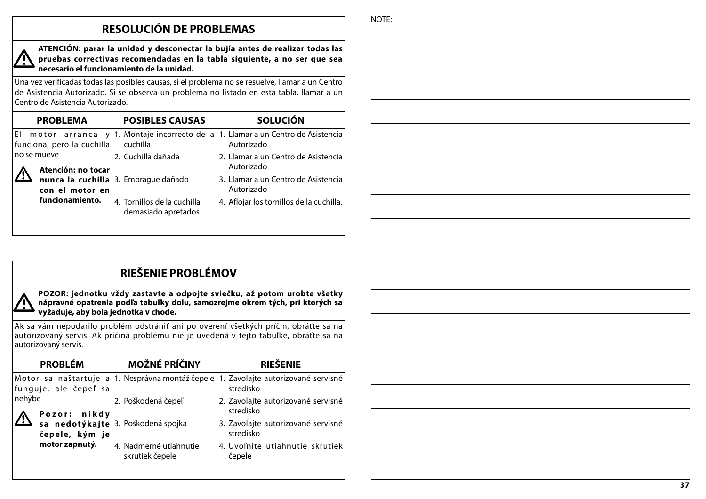# **RESOLUCIÓN DE PROBLEMAS**

**ATENCIÓN: parar la unidad y desconectar la bujía antes de realizar todas las pruebas correctivas recomendadas en la tabla siguiente, a no ser que sea necesario el funcionamiento de la unidad.**

Una vez verificadas todas las posibles causas, si el problema no se resuelve, llamar a un Centro de Asistencia Autorizado. Si se observa un problema no listado en esta tabla, llamar a un Centro de Asistencia Autorizado.

| <b>PROBLEMA</b>                                  | <b>POSIBLES CAUSAS</b>                             | <b>SOLUCIÓN</b>                                                                 |
|--------------------------------------------------|----------------------------------------------------|---------------------------------------------------------------------------------|
| El motor arranca y<br>funciona, pero la cuchilla | cuchilla                                           | 1. Montaje incorrecto de la   1. Llamar a un Centro de Asistencia<br>Autorizado |
| no se mueve<br>Atención: no tocar                | 2. Cuchilla dañada                                 | 2. Llamar a un Centro de Asistencia<br>Autorizado                               |
| <u>/!\</u><br>con el motor en                    | nunca la cuchilla 3. Embrague dañado               | 3. Llamar a un Centro de Asistencia<br>Autorizado                               |
| funcionamiento.                                  | 4. Tornillos de la cuchilla<br>demasiado apretados | 4. Aflojar los tornillos de la cuchilla.                                        |
|                                                  |                                                    |                                                                                 |

|  | <b>RIEŠENIE PROBLÉMOV</b> |  |
|--|---------------------------|--|
|  |                           |  |

**POZOR: jednotku vždy zastavte a odpojte sviečku, až potom urobte všetky nápravné opatrenia podľa tabuľky dolu, samozrejme okrem tých, pri ktorých sa vyžaduje, aby bola jednotka v chode.**

Ak sa vám nepodarilo problém odstrániť ani po overení všetkých príčin, obráťte sa na autorizovaný servis. Ak príčina problému nie je uvedená v tejto tabuľke, obráťte sa na autorizovaný servis.

| <b>MOŽNÉ PRÍČINY</b>                      | <b>RIEŠENIE</b>                                                                                  |
|-------------------------------------------|--------------------------------------------------------------------------------------------------|
|                                           | Motor sa naštartuje a 1. Nesprávna montáž čepele 1. Zavolajte autorizované servisné<br>stredisko |
| 2. Poškodená čepeľ                        | 2. Zavolajte autorizované servisné<br>stredisko                                                  |
|                                           | 3. Zavolajte autorizované servisné<br>stredisko                                                  |
| 4. Nadmerné utiahnutie<br>skrutiek čepele | 4. Uvoľnite utiahnutie skrutiek<br>čepele                                                        |
|                                           | Pozor: nikdy<br>sa nedotýkajte 3. Poškodená spojka                                               |

NOTE: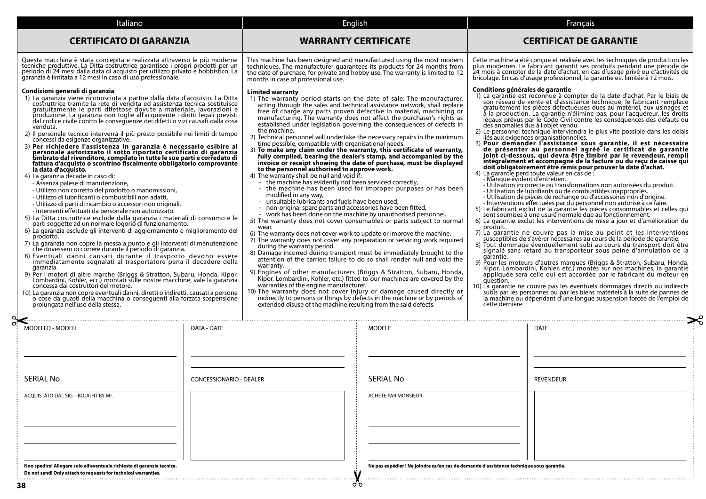| Italiano                                                                                                                                                                                                                                                                                                                                                                                                                                                                                                                                                                                                                                                                                                                                                                                                                                                                                                                                                                                                                                                                                                                                                                                                                                                                                                                                                                                                                                                                                                                                                                                                                                                                                                                                                                                                                                                                                                                                                                                                                                                                                                                                       | English                                                                                                                                                                                                                                                                                                                                                                                                                                                                                                                                                                                                                                                                                                                                                                                                                                                                                                                                                                                                                                                                                                                                                                                                                                                                                                                                                                                                                                                                                                                                                                                                                                                                                                                                                                                                                                                                                                                                                                                                                                                                                                                                                                     |                                                                                         |                                                                                                                                                                  | Français                                                                                                                                                                                                                                                                                                                                                                                                                                                                                                                                                                                                                                                                                                                                                                                                                                                                                                                                                                                                                                                                                                                                                                                                                                                                                                                                                                                                                                                                                                                                                                                                                                                                                                                                                                                                                                                                                                                                                                                                                                                                                                                                                                               |
|------------------------------------------------------------------------------------------------------------------------------------------------------------------------------------------------------------------------------------------------------------------------------------------------------------------------------------------------------------------------------------------------------------------------------------------------------------------------------------------------------------------------------------------------------------------------------------------------------------------------------------------------------------------------------------------------------------------------------------------------------------------------------------------------------------------------------------------------------------------------------------------------------------------------------------------------------------------------------------------------------------------------------------------------------------------------------------------------------------------------------------------------------------------------------------------------------------------------------------------------------------------------------------------------------------------------------------------------------------------------------------------------------------------------------------------------------------------------------------------------------------------------------------------------------------------------------------------------------------------------------------------------------------------------------------------------------------------------------------------------------------------------------------------------------------------------------------------------------------------------------------------------------------------------------------------------------------------------------------------------------------------------------------------------------------------------------------------------------------------------------------------------|-----------------------------------------------------------------------------------------------------------------------------------------------------------------------------------------------------------------------------------------------------------------------------------------------------------------------------------------------------------------------------------------------------------------------------------------------------------------------------------------------------------------------------------------------------------------------------------------------------------------------------------------------------------------------------------------------------------------------------------------------------------------------------------------------------------------------------------------------------------------------------------------------------------------------------------------------------------------------------------------------------------------------------------------------------------------------------------------------------------------------------------------------------------------------------------------------------------------------------------------------------------------------------------------------------------------------------------------------------------------------------------------------------------------------------------------------------------------------------------------------------------------------------------------------------------------------------------------------------------------------------------------------------------------------------------------------------------------------------------------------------------------------------------------------------------------------------------------------------------------------------------------------------------------------------------------------------------------------------------------------------------------------------------------------------------------------------------------------------------------------------------------------------------------------------|-----------------------------------------------------------------------------------------|------------------------------------------------------------------------------------------------------------------------------------------------------------------|----------------------------------------------------------------------------------------------------------------------------------------------------------------------------------------------------------------------------------------------------------------------------------------------------------------------------------------------------------------------------------------------------------------------------------------------------------------------------------------------------------------------------------------------------------------------------------------------------------------------------------------------------------------------------------------------------------------------------------------------------------------------------------------------------------------------------------------------------------------------------------------------------------------------------------------------------------------------------------------------------------------------------------------------------------------------------------------------------------------------------------------------------------------------------------------------------------------------------------------------------------------------------------------------------------------------------------------------------------------------------------------------------------------------------------------------------------------------------------------------------------------------------------------------------------------------------------------------------------------------------------------------------------------------------------------------------------------------------------------------------------------------------------------------------------------------------------------------------------------------------------------------------------------------------------------------------------------------------------------------------------------------------------------------------------------------------------------------------------------------------------------------------------------------------------------|
| <b>CERTIFICATO DI GARANZIA</b>                                                                                                                                                                                                                                                                                                                                                                                                                                                                                                                                                                                                                                                                                                                                                                                                                                                                                                                                                                                                                                                                                                                                                                                                                                                                                                                                                                                                                                                                                                                                                                                                                                                                                                                                                                                                                                                                                                                                                                                                                                                                                                                 | <b>WARRANTY CERTIFICATE</b>                                                                                                                                                                                                                                                                                                                                                                                                                                                                                                                                                                                                                                                                                                                                                                                                                                                                                                                                                                                                                                                                                                                                                                                                                                                                                                                                                                                                                                                                                                                                                                                                                                                                                                                                                                                                                                                                                                                                                                                                                                                                                                                                                 |                                                                                         |                                                                                                                                                                  | <b>CERTIFICAT DE GARANTIE</b>                                                                                                                                                                                                                                                                                                                                                                                                                                                                                                                                                                                                                                                                                                                                                                                                                                                                                                                                                                                                                                                                                                                                                                                                                                                                                                                                                                                                                                                                                                                                                                                                                                                                                                                                                                                                                                                                                                                                                                                                                                                                                                                                                          |
| Questa macchina è stata concepita e realizzata attraverso le più moderne<br>tecniche produttive. La Ditta costruttrice garantisce i propri prodotti per un<br>periodo di 24 mesi dalla data di acquisto per utilizzo privato e hobbistico. La<br>garanzia è limitata a 12 mesi in caso di uso professionale.                                                                                                                                                                                                                                                                                                                                                                                                                                                                                                                                                                                                                                                                                                                                                                                                                                                                                                                                                                                                                                                                                                                                                                                                                                                                                                                                                                                                                                                                                                                                                                                                                                                                                                                                                                                                                                   | This machine has been designed and manufactured using the most modern<br>techniques. The manufacturer quarantees its products for 24 months from<br>months in case of professional use.                                                                                                                                                                                                                                                                                                                                                                                                                                                                                                                                                                                                                                                                                                                                                                                                                                                                                                                                                                                                                                                                                                                                                                                                                                                                                                                                                                                                                                                                                                                                                                                                                                                                                                                                                                                                                                                                                                                                                                                     |                                                                                         |                                                                                                                                                                  | Cette machine a été conçue et réalisée avec les techniques de production les<br>plus modernes. Le fabricant garantit ses produits pendant une période de<br>24 mois à compter de la date d'achat, en cas d'usage privé ou d'activités de<br>bricolage. En cas d'usage professionnel, la garantie est limitée à 12 mois.                                                                                                                                                                                                                                                                                                                                                                                                                                                                                                                                                                                                                                                                                                                                                                                                                                                                                                                                                                                                                                                                                                                                                                                                                                                                                                                                                                                                                                                                                                                                                                                                                                                                                                                                                                                                                                                                |
| Condizioni generali di garanzia<br>1) La garanzia viene riconosciuta a partire dalla data d'acquisto. La Ditta<br>costruttrice tramite la rete di vendita ed assistenza tecnica sostituisce<br>gratuitamente le parti difettose dovute a materiale, lavorazioni e<br>produzione. La garanzia non toglie all'acquirente i diritti legali previsti<br>dal codice civile contro le consequenze dei difetti o vizi causati dalla cosa<br>venduta.<br>2) Il personale tecnico interverrà il più presto possibile nei limiti di tempo<br>concessi da esigenze organizzative.<br>3) Per richiedere l'assistenza in garanzia è necessario esibire al<br>personale autorizzato il sotto riportato certificato di garanzia<br>timbrato dal rivenditore, compilato in tutte le sue parti e corredato di<br>fattura d'acquisto o scontrino fiscalmente obbligatorio comprovante<br>la data d'acquisto.<br>4) La garanzia decade in caso di:<br>- Assenza palese di manutenzione,<br>- Utilizzo non corretto del prodotto o manomissioni,<br>- Utilizzo di lubrificanti o combustibili non adatti,<br>- Utilizzo di parti di ricambio o accessori non originali,<br>- Interventi effettuati da personale non autorizzato.<br>5) La Ditta costruttrice esclude dalla garanzia i materiali di consumo e le<br>parti soggette ad un normale logorio di funzionamento.<br>6) La garanzia esclude gli interventi di aggiornamento e miglioramento del<br>prodotto.<br>7) La garanzia non copre la messa a punto e gli interventi di manutenzione che dovessero occorrere durante il periodo di garanzia.<br>8) Eventuali danni causati durante il trasporto devono essere<br>immediatamente segnalati al trasportatore pena il decadere della<br>garanzia.<br>9) Per i motori di altre marche (Briggs & Stratton, Subaru, Honda, Kipor,<br>Lombardini, Kohler, ecc.) montati sulle nostre macchine, vale la garanzia<br>concessa dai costruttori del motore.<br>10) La garanzia non copre eventuali danni, diretti o indiretti, causati a persone<br>o cose da guasti della macchina o conseguenti alla forzata sospensione<br>prolungata nell'uso della stessa. | the date of purchase, for private and hobby use. The warranty is limited to 12<br><b>Limited warranty</b><br>1) The warranty period starts on the date of sale. The manufacturer,<br>acting through the sales and technical assistance network, shall replace<br>free of charge any parts proven defective in material, machining or<br>manufacturing. The warranty does not affect the purchaser's rights as<br>established under legislation governing the consequences of defects in<br>the machine.<br>2) Technical personnel will undertake the necessary repairs in the minimum<br>time possible, compatible with organisational needs.<br>3) To make any claim under the warranty, this certificate of warranty,<br>fully compiled, bearing the dealer's stamp, and accompanied by the<br>invoice or receipt showing the date of purchase, must be displayed<br>to the personnel authorised to approve work.<br>4) The warranty shall be null and void if:<br>- the machine has evidently not been serviced correctly,<br>- the machine has been used for improper purposes or has been<br>modified in any way,<br>- unsuitable lubricants and fuels have been used,<br>- non-original spare parts and accessories have been fitted,<br>work has been done on the machine by unauthorised personnel.<br>5) The warranty does not cover consumables or parts subject to normal<br>wear.<br>6) The warranty does not cover work to update or improve the machine.<br>7) The warranty does not cover any preparation or servicing work required<br>during the warranty period.<br>8) Damage incurred during transport must be immediately brought to the<br>attention of the carrier: failure to do so shall render null and void the<br>warranty.<br>9) Engines of other manufacturers (Briggs & Stratton, Subaru, Honda, Kipor, Lombardini, Kohler, etc.) fitted to our machines are covered by the<br>warranties of the engine manufacturer.<br>10) The warranty does not cover injury or damage caused directly or<br>indirectly to persons or things by defects in the machine or by periods of<br>extended disuse of the machine resulting from the said defects. |                                                                                         | Conditions générales de garantie<br>des anomalies dus à l'objet vendu.<br>- Manque évident d'entretien.<br>produit.<br>garantie.<br>question.<br>cette dernière. | 1) La garantie est reconnue à compter de la date d'achat. Par le biais de<br>son réseau de vente et d'assistance technique, le fabricant remplace<br>gratuitement les pièces défectueuses dues au matériel, aux usinages et<br>à la production. La garantie n'élimine pas, pour l'acquéreur, les droits<br>légaux prévus par le Code Civil contre les conséquences des défauts ou<br>2) Le personnel technique interviendra le plus vite possible dans les délais<br>liés aux exigences organisationnelles.<br>3) Pour demander l'assistance sous garantie, il est nécessaire<br>de présenter au personnel agréé le certificat de garantie<br>joint ci-dessous, qui devra être timbré par le revendeur, rempli<br>intégralement et accompagné de la facture ou du reçu de caisse qui<br>doit obligatoirement être remis pour prouver la date d'achat.<br>4) La garantie perd toute valeur en cas de :<br>- Utilisation incorrecte ou transformations non autorisées du produit.<br>- Utilisation de lubrifiants ou de combustibles inappropriés.<br>- Utilisation de pièces de rechange ou d'accessoires non d'origine.<br>- Interventions effectuées par du personnel non autorisé à ce faire.<br>5) Le fabricant exclut de la garantie les pièces consommables et celles qui<br>sont soumises à une usure normale due au fonctionnement.<br>6) La garantie exclut les interventions de mise à jour et d'amélioration du<br>7) La garantie ne couvre pas la mise au point et les interventions<br>susceptibles de s'avérer nécessaires au cours de la période de garantie.<br>8) Tout dommage éventuellement subi au cours du transport doit être<br>signalé sans retard au transporteur sous peine d'annulation de la<br>9) Pour les moteurs d'autres marques (Briggs & Stratton, Subaru, Honda,<br>Kipor, Lombardini, Kohler, etc.) montés sur nos machines, la garantie<br>appliquée sera celle qui est accordée par le fabricant du moteur en<br>10) La garantie ne couvre pas les éventuels dommages directs ou indirects<br>subis par les personnes ou par les biens matériels à la suite de pannes de<br>la machine ou dépendant d'une longue suspension forcée de l'emploi de |
| MODELLO - MODELL<br>DATA - DATE                                                                                                                                                                                                                                                                                                                                                                                                                                                                                                                                                                                                                                                                                                                                                                                                                                                                                                                                                                                                                                                                                                                                                                                                                                                                                                                                                                                                                                                                                                                                                                                                                                                                                                                                                                                                                                                                                                                                                                                                                                                                                                                |                                                                                                                                                                                                                                                                                                                                                                                                                                                                                                                                                                                                                                                                                                                                                                                                                                                                                                                                                                                                                                                                                                                                                                                                                                                                                                                                                                                                                                                                                                                                                                                                                                                                                                                                                                                                                                                                                                                                                                                                                                                                                                                                                                             | <b>MODELE</b>                                                                           |                                                                                                                                                                  | <b>DATE</b>                                                                                                                                                                                                                                                                                                                                                                                                                                                                                                                                                                                                                                                                                                                                                                                                                                                                                                                                                                                                                                                                                                                                                                                                                                                                                                                                                                                                                                                                                                                                                                                                                                                                                                                                                                                                                                                                                                                                                                                                                                                                                                                                                                            |
| <b>SERIAL No</b><br><b>CONCESSIONARIO - DEALER</b>                                                                                                                                                                                                                                                                                                                                                                                                                                                                                                                                                                                                                                                                                                                                                                                                                                                                                                                                                                                                                                                                                                                                                                                                                                                                                                                                                                                                                                                                                                                                                                                                                                                                                                                                                                                                                                                                                                                                                                                                                                                                                             |                                                                                                                                                                                                                                                                                                                                                                                                                                                                                                                                                                                                                                                                                                                                                                                                                                                                                                                                                                                                                                                                                                                                                                                                                                                                                                                                                                                                                                                                                                                                                                                                                                                                                                                                                                                                                                                                                                                                                                                                                                                                                                                                                                             | <b>SERIAL No</b>                                                                        |                                                                                                                                                                  | <b>REVENDEUR</b>                                                                                                                                                                                                                                                                                                                                                                                                                                                                                                                                                                                                                                                                                                                                                                                                                                                                                                                                                                                                                                                                                                                                                                                                                                                                                                                                                                                                                                                                                                                                                                                                                                                                                                                                                                                                                                                                                                                                                                                                                                                                                                                                                                       |
| ACQUISTATO DAL SIG. - BOUGHT BY Mr.                                                                                                                                                                                                                                                                                                                                                                                                                                                                                                                                                                                                                                                                                                                                                                                                                                                                                                                                                                                                                                                                                                                                                                                                                                                                                                                                                                                                                                                                                                                                                                                                                                                                                                                                                                                                                                                                                                                                                                                                                                                                                                            |                                                                                                                                                                                                                                                                                                                                                                                                                                                                                                                                                                                                                                                                                                                                                                                                                                                                                                                                                                                                                                                                                                                                                                                                                                                                                                                                                                                                                                                                                                                                                                                                                                                                                                                                                                                                                                                                                                                                                                                                                                                                                                                                                                             | ACHETE PAR MONSIEUR                                                                     |                                                                                                                                                                  |                                                                                                                                                                                                                                                                                                                                                                                                                                                                                                                                                                                                                                                                                                                                                                                                                                                                                                                                                                                                                                                                                                                                                                                                                                                                                                                                                                                                                                                                                                                                                                                                                                                                                                                                                                                                                                                                                                                                                                                                                                                                                                                                                                                        |
| Non spedire! Allegare solo all'eventuale richiesta di garanzia tecnica.<br>Do not send! Only attach to requests for technical warranties.<br>38                                                                                                                                                                                                                                                                                                                                                                                                                                                                                                                                                                                                                                                                                                                                                                                                                                                                                                                                                                                                                                                                                                                                                                                                                                                                                                                                                                                                                                                                                                                                                                                                                                                                                                                                                                                                                                                                                                                                                                                                | a p                                                                                                                                                                                                                                                                                                                                                                                                                                                                                                                                                                                                                                                                                                                                                                                                                                                                                                                                                                                                                                                                                                                                                                                                                                                                                                                                                                                                                                                                                                                                                                                                                                                                                                                                                                                                                                                                                                                                                                                                                                                                                                                                                                         | Ne pas expédier ! Ne joindre qu'en cas de demande d'assistance technique sous garantie. |                                                                                                                                                                  |                                                                                                                                                                                                                                                                                                                                                                                                                                                                                                                                                                                                                                                                                                                                                                                                                                                                                                                                                                                                                                                                                                                                                                                                                                                                                                                                                                                                                                                                                                                                                                                                                                                                                                                                                                                                                                                                                                                                                                                                                                                                                                                                                                                        |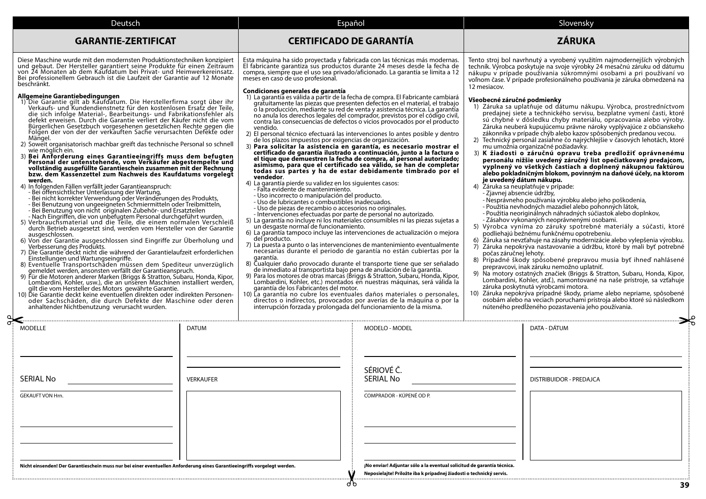| Deutsch                                                                                                                                                                                                                                                                                                                                                                                                                                                                                                                                                                                                                                                                                                                                                                                                                                                                                                                                                                                                                                                                                                                                                                                                                                                                                                                                                                                                                                                                                                                                                                                                                                                                                                                                                                                                                                                                                                                                                                                                                                                                                                                                                                                                                  |                                                                                                                                                                                                                                                                                                                                                                                                                                                                                                           | Español                                                                                                                                                                                                                                                                                                                                                                                                                                                                                                                                                                                                                                                                                                                                                                                                                                                                                                                                                                                                                                                                                                                                                                                                                                                                                                                                                                                                                                                                                                                                                                                                                                                                                                                                                                              | Slovensky                                                                                                                                                                                                                                                                                                                                                                                                                                                                                                                                                                                                                                                                                                                                                                                                                                                                                                                                                                                                                                                                                                                                                                                                                                                                                                                                                                                                                                                                                                                                                                                                                                                                                                                                                                                                                                                                                                                          |    |
|--------------------------------------------------------------------------------------------------------------------------------------------------------------------------------------------------------------------------------------------------------------------------------------------------------------------------------------------------------------------------------------------------------------------------------------------------------------------------------------------------------------------------------------------------------------------------------------------------------------------------------------------------------------------------------------------------------------------------------------------------------------------------------------------------------------------------------------------------------------------------------------------------------------------------------------------------------------------------------------------------------------------------------------------------------------------------------------------------------------------------------------------------------------------------------------------------------------------------------------------------------------------------------------------------------------------------------------------------------------------------------------------------------------------------------------------------------------------------------------------------------------------------------------------------------------------------------------------------------------------------------------------------------------------------------------------------------------------------------------------------------------------------------------------------------------------------------------------------------------------------------------------------------------------------------------------------------------------------------------------------------------------------------------------------------------------------------------------------------------------------------------------------------------------------------------------------------------------------|-----------------------------------------------------------------------------------------------------------------------------------------------------------------------------------------------------------------------------------------------------------------------------------------------------------------------------------------------------------------------------------------------------------------------------------------------------------------------------------------------------------|--------------------------------------------------------------------------------------------------------------------------------------------------------------------------------------------------------------------------------------------------------------------------------------------------------------------------------------------------------------------------------------------------------------------------------------------------------------------------------------------------------------------------------------------------------------------------------------------------------------------------------------------------------------------------------------------------------------------------------------------------------------------------------------------------------------------------------------------------------------------------------------------------------------------------------------------------------------------------------------------------------------------------------------------------------------------------------------------------------------------------------------------------------------------------------------------------------------------------------------------------------------------------------------------------------------------------------------------------------------------------------------------------------------------------------------------------------------------------------------------------------------------------------------------------------------------------------------------------------------------------------------------------------------------------------------------------------------------------------------------------------------------------------------|------------------------------------------------------------------------------------------------------------------------------------------------------------------------------------------------------------------------------------------------------------------------------------------------------------------------------------------------------------------------------------------------------------------------------------------------------------------------------------------------------------------------------------------------------------------------------------------------------------------------------------------------------------------------------------------------------------------------------------------------------------------------------------------------------------------------------------------------------------------------------------------------------------------------------------------------------------------------------------------------------------------------------------------------------------------------------------------------------------------------------------------------------------------------------------------------------------------------------------------------------------------------------------------------------------------------------------------------------------------------------------------------------------------------------------------------------------------------------------------------------------------------------------------------------------------------------------------------------------------------------------------------------------------------------------------------------------------------------------------------------------------------------------------------------------------------------------------------------------------------------------------------------------------------------------|----|
| <b>GARANTIE-ZERTIFICAT</b>                                                                                                                                                                                                                                                                                                                                                                                                                                                                                                                                                                                                                                                                                                                                                                                                                                                                                                                                                                                                                                                                                                                                                                                                                                                                                                                                                                                                                                                                                                                                                                                                                                                                                                                                                                                                                                                                                                                                                                                                                                                                                                                                                                                               |                                                                                                                                                                                                                                                                                                                                                                                                                                                                                                           | <b>CERTIFICADO DE GARANTÍA</b>                                                                                                                                                                                                                                                                                                                                                                                                                                                                                                                                                                                                                                                                                                                                                                                                                                                                                                                                                                                                                                                                                                                                                                                                                                                                                                                                                                                                                                                                                                                                                                                                                                                                                                                                                       | <b>ZÁRUKA</b>                                                                                                                                                                                                                                                                                                                                                                                                                                                                                                                                                                                                                                                                                                                                                                                                                                                                                                                                                                                                                                                                                                                                                                                                                                                                                                                                                                                                                                                                                                                                                                                                                                                                                                                                                                                                                                                                                                                      |    |
| Diese Maschine wurde mit den modernsten Produktionstechniken konzipiert<br>und gebaut. Der Hersteller garantiert seine Produkte für einen Zeitraum<br>von 24 Monaten ab dem Kaufdatum bei Privat- und Heimwerkereinsatz.<br>Bei professionellem Gebrauch ist die Laufzeit der Garantie auf 12 Monate<br>beschränkt.                                                                                                                                                                                                                                                                                                                                                                                                                                                                                                                                                                                                                                                                                                                                                                                                                                                                                                                                                                                                                                                                                                                                                                                                                                                                                                                                                                                                                                                                                                                                                                                                                                                                                                                                                                                                                                                                                                      | meses en caso de uso profesional.                                                                                                                                                                                                                                                                                                                                                                                                                                                                         | Esta máquina ha sido proyectada y fabricada con las técnicas más modernas.<br>El fabricante garantiza sus productos durante 24 meses desde la fecha de<br>compra, siempre que el uso sea privado/aficionado. La garantía se limita a 12                                                                                                                                                                                                                                                                                                                                                                                                                                                                                                                                                                                                                                                                                                                                                                                                                                                                                                                                                                                                                                                                                                                                                                                                                                                                                                                                                                                                                                                                                                                                              | Tento stroj bol navrhnutý a vyrobený využitím najmodernejších výrobných<br>techník. Výrobca poskytuje na svoje výrobky 24 mesačnú záruku od dátumu<br>nákupu v prípade používania súkromnými osobami a pri používaní vo<br>voľnom čase. V prípade profesionálneho používania je záruka obmedzená na<br>12 mesiacov.                                                                                                                                                                                                                                                                                                                                                                                                                                                                                                                                                                                                                                                                                                                                                                                                                                                                                                                                                                                                                                                                                                                                                                                                                                                                                                                                                                                                                                                                                                                                                                                                                |    |
| Allgemeine Garantiebedingungen<br>1) Die Garantie gilt ab Kaufdatum. Die Herstellerfirma sorgt über ihr<br>Verkaufs- und Kundendienstnetz für den kostenlosen Ersatz der Teile,<br>die sich infolge Material-, Bearbeitungs- und Fabrikationsfehler als defekt erweisen. Durch die Garantie verliert der Käufer nicht die vom<br>Bürgerlichen Gesetzbuch vorgesehenen gesetzlichen Rechte gegen die Folgen der von der der verkauften Sache verursachten Defekte oder<br>Mängel.<br>2) Soweit organisatorisch machbar greift das technische Personal so schnell<br>wie möglich ein.<br>3) Bei Anforderung eines Garantieeingriffs muss dem befugten<br>Personal der untenstehende, vom Verkäufer abgestempelte und<br>vollständig ausgefüllte Garantieschein zusammen mit der Rechnung<br>bzw. dem Kassenzettel zum Nachweis des Kaufdatums vorgelegt<br>werden.<br>4) In folgenden Fällen verfällt jeder Garantieanspruch:<br>- Bei offensichtlicher Unterlassung der Wartung,<br>- Bei nicht korrekter Verwendung oder Veränderungen des Produkts,<br>- Bei Benutzung von ungeeigneten Schmiermitteln oder Treibmitteln,<br>- Bei Benutzung von nicht originalen Zubehör- und Ersatzteilen<br>- Nach Eingriffen, die von unbefugtem Personal durchgeführt wurden.<br>5) Verbrauchsmaterial und die Teile, die einem normalen Verschleiß<br>durch Betrieb ausgesetzt sind, werden vom Hersteller von der Garantie<br>ausgeschlossen.<br>6) Von der Garantie ausgeschlossen sind Eingriffe zur Überholung und<br>Verbesserung des Produkts.<br>7) Die Garantie deckt nicht die während der Garantielaufzeit erforderlichen<br>Einstellungen und Wartungseingriffe.<br>ansvertungen und verlation missen dem Spediteur unverzüglich<br>8) Eventuelle Transportschäden müssen dem Spediteur unverzüglich<br>9) Für die Motoren anderer Marken (Briggs & Stratton, Subaru, Honda, Kipor,<br>Lombardini, Kohler, usw.), die an unseren Maschinen installiert werden,<br>gilt die vom Hersteller des Motors gewährte Garantie.<br>10) Die Garantie deckt keine eventuellen direkten oder indirekten Personen-<br>oder Sachschäden, die durch Defekte der Maschine oder deren<br>anhaltender Nichtbenutzung verursacht wurden. | Condiciones generales de garantía<br>vendido.<br>de los plazos impuestos por exigencias de organización.<br>vendedor.<br>4) La garantía pierde su validez en los siguientes casos:<br>- Falta evidente de mantenimiento.<br>- Uso incorrecto o manipulación del producto.<br>- Uso de lubricantes o combustibles inadecuados.<br>- Uso de piezas de recambio o accesorios no originales.<br>un desgaste normal de funcionamiento.<br>del producto.<br>garantía.<br>garantía de los Fabricantes del motor. | 1) La garantía es válida a partir de la fecha de compra. El Fabricante cambiará<br>gratuitamente las piezas que presenten defectos en el material, el trabajo<br>o la producción, mediante su red de venta y asistencia técnica. La garantía<br>no anula los derechos legales del comprador, previstos por el código civil,<br>contra las consecuencias de defectos o vicios provocados por el producto<br>2) El personal técnico efectuará las intervenciones lo antes posible y dentro<br>3) Para solicitar la asistencia en garantía, es necesario mostrar el<br>certificado de garantía ilustrado a continuación, junto a la factura o<br>el tique que demuestren la fecha de compra, al personal autorizado;<br>asimismo, para que el certificado sea válido, se han de completar<br>todas sus partes y ha de estar debidamente timbrado por el<br>- Intervenciones efectuadas por parte de personal no autorizado.<br>5) La garantía no incluye ni los materiales consumibles ni las piezas sujetas a<br>6) La garantía tampoco incluye las intervenciones de actualización o mejora<br>7) La puesta a punto o las intervenciones de mantenimiento eventualmente<br>necesarias durante el periodo de garantía no están cubiertas por la<br>8) Cualquier daño provocado durante el transporte tiene que ser señalado<br>de inmediato al transportista bajo pena de anulación de la garantía.<br>9) Para los motores de otras marcas (Briggs & Stratton, Subaru, Honda, Kipor,<br>Lombardini, Kohler, etc.) montados en nuestras máquinas, será válida la<br>10) La garantía no cubre los eventuales daños materiales o personales,<br>directos o indirectos, provocados por averías de la máquina o por la<br>interrupción forzada y prolongada del funcionamiento de la misma. | Všeobecné záručné podmienky<br>1) Záruka sa uplatňuje od dátumu nákupu. Výrobca, prostredníctvom<br>predajnej siete a technického servisu, bezplatne vymení časti, ktoré<br>sú chybné v dôsledku chyby materiálu, opracovania alebo výroby.<br>Záruka neuberá kupujúcemu právne nároky vyplývajúce z občianskeho<br>zákonníka v prípade chýb alebo kazov spôsobených predanou vecou.<br>2) Technický personál zasiahne čo najrýchlejšie v časových lehotách, ktoré<br>mu umožnia organizačné požiadavky.<br>3) K žiadosti o záručnú opravu treba predložiť oprávnenému<br>personálu nižšie uvedený záručný list opečiatkovaný predajcom,<br>vyplnený vo všetkých častiach a doplnený nákupnou faktúrou<br>alebo pokladničným blokom, povinným na daňové účely, na ktorom<br>je uvedený dátum nákupu.<br>4) Záruka sa neuplatňuje v prípade:<br>- Zjavnej absencie údržby,<br>- Nesprávneho používania výrobku alebo jeho poškodenia,<br>- Použitia nevhodných mazadiel alebo pohonných látok,<br>- Použitia neoriginálnych náhradných súčiastok alebo doplnkov,<br>- Zásahov vykonaných neoprávnenými osobami.<br>5) Výrobca vyníma zo záruky spotrebné materiály a súčasti, ktoré<br>podliehajú bežnému funkčnému opotrebeniu.<br>6) Záruka sa nevzťahuje na zásahy modernizácie alebo vylepšenia výrobku.<br>7) Záruka nepokrýva nastavovanie a údržbu, ktoré by mali byť potrebné<br>počas záručnej lehoty.<br>8) Prípadné škody spôsobené prepravou musia byť ihneď nahlásené<br>prepravcovi, inak záruku nemožno uplatniť.<br>9) Na motory ostatných značiek (Briggs & Stratton, Subaru, Honda, Kipor,<br>Lombardini, Kohler, atď.), namontované na naše prístroje, sa vzťahuje<br>záruka poskytnutá výrobcami motora.<br>10) Záruka nepokrýva prípadné škody, priame alebo nepriame, spôsobené<br>osobám alebo na veciach poruchami prístroja alebo ktoré sú následkom<br>núteného predĺženého pozastavenia jeho používania. |    |
| <b>MODELLE</b><br><b>DATUM</b>                                                                                                                                                                                                                                                                                                                                                                                                                                                                                                                                                                                                                                                                                                                                                                                                                                                                                                                                                                                                                                                                                                                                                                                                                                                                                                                                                                                                                                                                                                                                                                                                                                                                                                                                                                                                                                                                                                                                                                                                                                                                                                                                                                                           |                                                                                                                                                                                                                                                                                                                                                                                                                                                                                                           | MODELO - MODEL                                                                                                                                                                                                                                                                                                                                                                                                                                                                                                                                                                                                                                                                                                                                                                                                                                                                                                                                                                                                                                                                                                                                                                                                                                                                                                                                                                                                                                                                                                                                                                                                                                                                                                                                                                       | DATA - DÁTUM                                                                                                                                                                                                                                                                                                                                                                                                                                                                                                                                                                                                                                                                                                                                                                                                                                                                                                                                                                                                                                                                                                                                                                                                                                                                                                                                                                                                                                                                                                                                                                                                                                                                                                                                                                                                                                                                                                                       |    |
| <b>SERIAL No</b><br><b>VERKAUFER</b><br><b>GEKAUFT VON Hrn.</b>                                                                                                                                                                                                                                                                                                                                                                                                                                                                                                                                                                                                                                                                                                                                                                                                                                                                                                                                                                                                                                                                                                                                                                                                                                                                                                                                                                                                                                                                                                                                                                                                                                                                                                                                                                                                                                                                                                                                                                                                                                                                                                                                                          |                                                                                                                                                                                                                                                                                                                                                                                                                                                                                                           | SÉRIOVÉ Č.<br><b>SERIAL No</b><br>COMPRADOR - KÚPENÉ OD P.                                                                                                                                                                                                                                                                                                                                                                                                                                                                                                                                                                                                                                                                                                                                                                                                                                                                                                                                                                                                                                                                                                                                                                                                                                                                                                                                                                                                                                                                                                                                                                                                                                                                                                                           | <b>DISTRIBUIDOR - PREDAJCA</b>                                                                                                                                                                                                                                                                                                                                                                                                                                                                                                                                                                                                                                                                                                                                                                                                                                                                                                                                                                                                                                                                                                                                                                                                                                                                                                                                                                                                                                                                                                                                                                                                                                                                                                                                                                                                                                                                                                     |    |
| Nicht einsenden! Der Garantieschein muss nur bei einer eventuellen Anforderung eines Garantieeingriffs vorgelegt werden.                                                                                                                                                                                                                                                                                                                                                                                                                                                                                                                                                                                                                                                                                                                                                                                                                                                                                                                                                                                                                                                                                                                                                                                                                                                                                                                                                                                                                                                                                                                                                                                                                                                                                                                                                                                                                                                                                                                                                                                                                                                                                                 |                                                                                                                                                                                                                                                                                                                                                                                                                                                                                                           | ¡No enviar! Adjuntar sólo a la eventual solicitud de garantía técnica.<br>Neposielajte! Priložte iba k prípadnej žiadosti o technický servis.                                                                                                                                                                                                                                                                                                                                                                                                                                                                                                                                                                                                                                                                                                                                                                                                                                                                                                                                                                                                                                                                                                                                                                                                                                                                                                                                                                                                                                                                                                                                                                                                                                        |                                                                                                                                                                                                                                                                                                                                                                                                                                                                                                                                                                                                                                                                                                                                                                                                                                                                                                                                                                                                                                                                                                                                                                                                                                                                                                                                                                                                                                                                                                                                                                                                                                                                                                                                                                                                                                                                                                                                    | 39 |